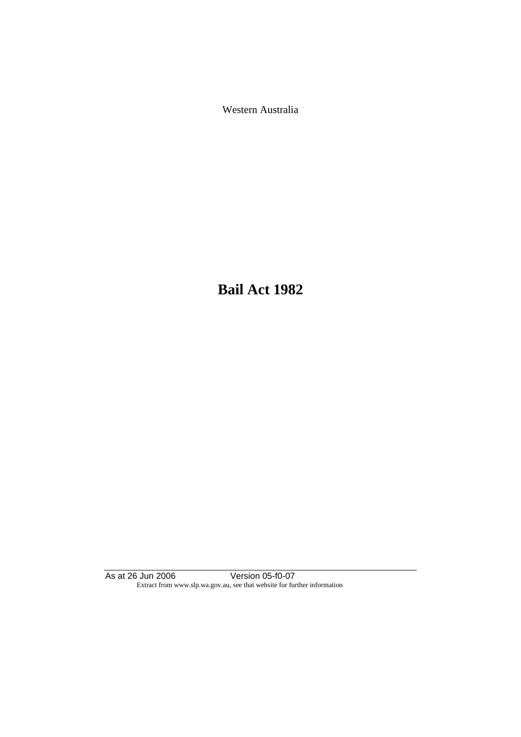Western Australia

**Bail Act 1982**

As at 26 Jun 2006 Version 05-f0-07 Extract from www.slp.wa.gov.au, see that website for further information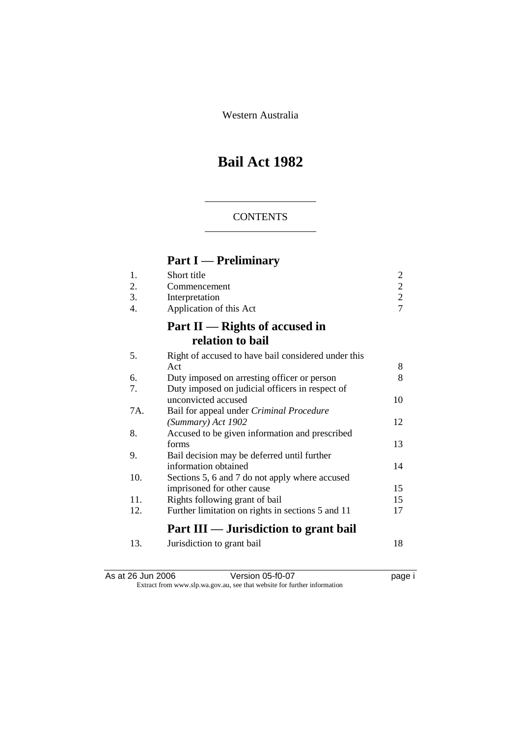Western Australia

# **Bail Act 1982**

## **CONTENTS**

# **Part I — Preliminary**

| 1.  | Short title                                         | $\mathbf{2}$   |
|-----|-----------------------------------------------------|----------------|
| 2.  | Commencement                                        | $\overline{c}$ |
| 3.  | Interpretation                                      | $\overline{c}$ |
| 4.  | Application of this Act                             | $\overline{7}$ |
|     | Part $II$ — Rights of accused in                    |                |
|     | relation to bail                                    |                |
| 5.  | Right of accused to have bail considered under this |                |
|     | Act                                                 | 8              |
| 6.  | Duty imposed on arresting officer or person         | 8              |
| 7.  | Duty imposed on judicial officers in respect of     |                |
|     | unconvicted accused                                 | 10             |
| 7A. | Bail for appeal under <i>Criminal Procedure</i>     |                |
|     | (Summary) Act 1902                                  | 12             |
| 8.  | Accused to be given information and prescribed      |                |
|     | forms                                               | 13             |
| 9.  | Bail decision may be deferred until further         |                |
|     | information obtained                                | 14             |
| 10. | Sections 5, 6 and 7 do not apply where accused      |                |
|     | imprisoned for other cause                          | 15             |
| 11. | Rights following grant of bail                      | 15             |
| 12. | Further limitation on rights in sections 5 and 11   | 17             |
|     | Part III — Jurisdiction to grant bail               |                |
| 13. | Jurisdiction to grant bail                          | 18             |

As at 26 Jun 2006 Version 05-f0-07 page i Extract from www.slp.wa.gov.au, see that website for further information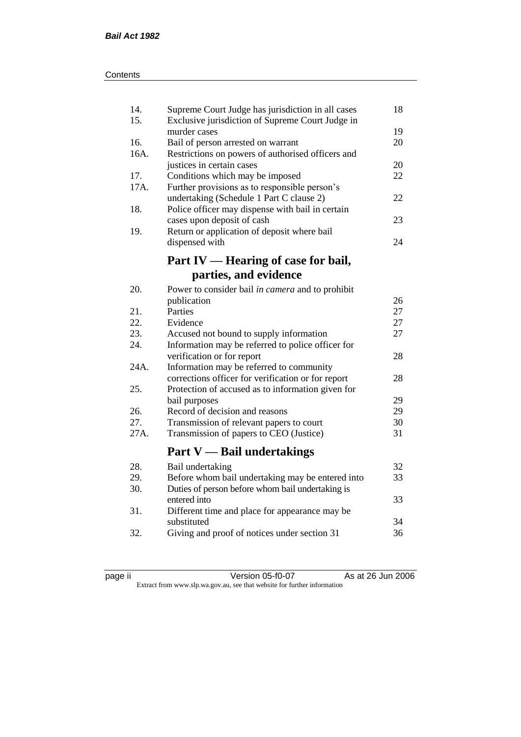| 14.<br>15. | Supreme Court Judge has jurisdiction in all cases<br>Exclusive jurisdiction of Supreme Court Judge in | 18 |
|------------|-------------------------------------------------------------------------------------------------------|----|
|            | murder cases                                                                                          | 19 |
| 16.        | Bail of person arrested on warrant                                                                    | 20 |
| 16A.       | Restrictions on powers of authorised officers and                                                     |    |
|            | justices in certain cases                                                                             | 20 |
| 17.        | Conditions which may be imposed                                                                       | 22 |
| 17A.       | Further provisions as to responsible person's                                                         |    |
|            | undertaking (Schedule 1 Part C clause 2)                                                              | 22 |
| 18.        | Police officer may dispense with bail in certain                                                      |    |
|            | cases upon deposit of cash                                                                            | 23 |
| 19.        | Return or application of deposit where bail                                                           |    |
|            | dispensed with                                                                                        | 24 |
|            |                                                                                                       |    |
|            | Part IV — Hearing of case for bail,                                                                   |    |
|            | parties, and evidence                                                                                 |    |
| 20.        | Power to consider bail in camera and to prohibit                                                      |    |
|            | publication                                                                                           | 26 |
| 21.        | Parties                                                                                               | 27 |
| 22.        | Evidence                                                                                              | 27 |
| 23.        | Accused not bound to supply information                                                               | 27 |
| 24.        | Information may be referred to police officer for                                                     |    |
|            | verification or for report                                                                            | 28 |
| 24A.       | Information may be referred to community                                                              |    |
|            | corrections officer for verification or for report                                                    | 28 |
| 25.        | Protection of accused as to information given for                                                     |    |
|            | bail purposes                                                                                         | 29 |
| 26.        | Record of decision and reasons                                                                        | 29 |
| 27.        | Transmission of relevant papers to court                                                              | 30 |
| 27A.       | Transmission of papers to CEO (Justice)                                                               | 31 |
|            |                                                                                                       |    |
|            | <b>Part V</b> — Bail undertakings                                                                     |    |
| 28.        | Bail undertaking                                                                                      | 32 |
| 29.        | Before whom bail undertaking may be entered into                                                      | 33 |
| 30.        | Duties of person before whom bail undertaking is                                                      |    |
|            | entered into                                                                                          | 33 |
| 31.        | Different time and place for appearance may be                                                        |    |
|            | substituted                                                                                           | 34 |
| 32.        | Giving and proof of notices under section 31                                                          | 36 |
|            |                                                                                                       |    |

| ⋍ |  |
|---|--|
| ┍ |  |
|   |  |

page ii Version 05-f0-07 As at 26 Jun 2006 Extract from www.slp.wa.gov.au, see that website for further information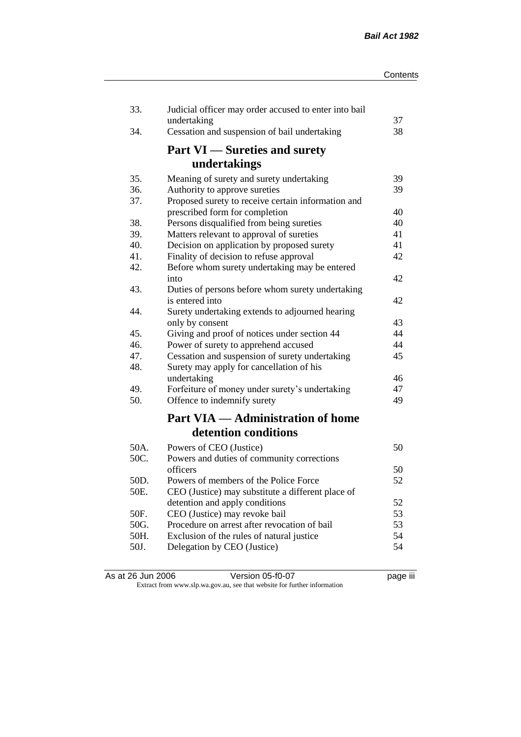| 33.  | Judicial officer may order accused to enter into bail<br>undertaking | 37 |
|------|----------------------------------------------------------------------|----|
| 34.  | Cessation and suspension of bail undertaking                         | 38 |
|      | <b>Part VI</b> — Sureties and surety                                 |    |
|      | undertakings                                                         |    |
| 35.  | Meaning of surety and surety undertaking                             | 39 |
| 36.  | Authority to approve sureties                                        | 39 |
| 37.  | Proposed surety to receive certain information and                   |    |
|      | prescribed form for completion                                       | 40 |
| 38.  | Persons disqualified from being sureties                             | 40 |
| 39.  | Matters relevant to approval of sureties                             | 41 |
| 40.  | Decision on application by proposed surety                           | 41 |
| 41.  | Finality of decision to refuse approval                              | 42 |
| 42.  | Before whom surety undertaking may be entered<br>into                | 42 |
| 43.  | Duties of persons before whom surety undertaking                     |    |
|      | is entered into                                                      | 42 |
| 44.  | Surety undertaking extends to adjourned hearing                      |    |
|      | only by consent                                                      | 43 |
| 45.  | Giving and proof of notices under section 44                         | 44 |
| 46.  | Power of surety to apprehend accused                                 | 44 |
| 47.  | Cessation and suspension of surety undertaking                       | 45 |
| 48.  | Surety may apply for cancellation of his                             |    |
|      | undertaking                                                          | 46 |
| 49.  | Forfeiture of money under surety's undertaking                       | 47 |
| 50.  | Offence to indemnify surety                                          | 49 |
|      | <b>Part VIA — Administration of home</b>                             |    |
|      | detention conditions                                                 |    |
| 50A. | Powers of CEO (Justice)                                              | 50 |
| 50C. | Powers and duties of community corrections                           |    |
|      | officers                                                             | 50 |
| 50D. | Powers of members of the Police Force                                | 52 |
| 50E. | CEO (Justice) may substitute a different place of                    |    |
|      | detention and apply conditions                                       | 52 |
| 50F. | CEO (Justice) may revoke bail                                        | 53 |
| 50G. | Procedure on arrest after revocation of bail                         | 53 |
| 50H. | Exclusion of the rules of natural justice                            | 54 |
| 50J. | Delegation by CEO (Justice)                                          | 54 |
|      |                                                                      |    |

| As at 26 Jun 2006 | Version 05-f0-07                                                         | <br>page III |
|-------------------|--------------------------------------------------------------------------|--------------|
|                   | Extract from www.slp.wa.gov.au, see that website for further information |              |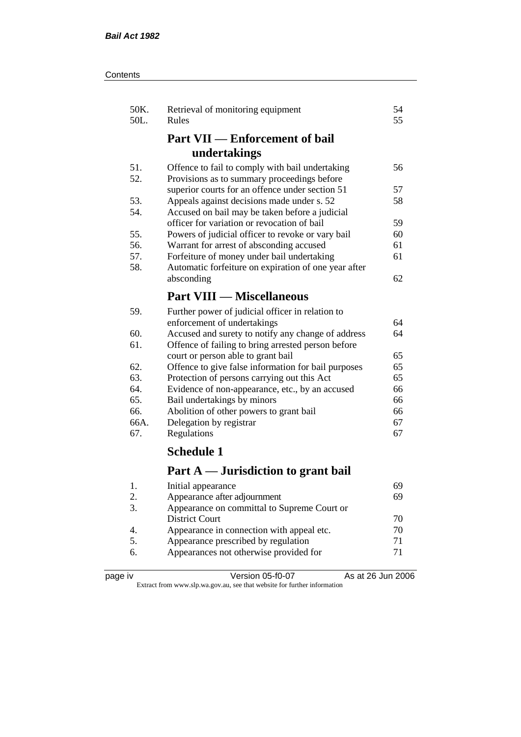| Contents |
|----------|
|----------|

| 50K.<br>50L.   | Retrieval of monitoring equipment<br>Rules           | 54<br>55 |
|----------------|------------------------------------------------------|----------|
|                | <b>Part VII — Enforcement of bail</b>                |          |
|                | undertakings                                         |          |
| 51.            | Offence to fail to comply with bail undertaking      | 56       |
| 52.            | Provisions as to summary proceedings before          |          |
|                | superior courts for an offence under section 51      | 57       |
| 53.            | Appeals against decisions made under s. 52           | 58       |
| 54.            | Accused on bail may be taken before a judicial       |          |
|                | officer for variation or revocation of bail          | 59       |
| 55.            | Powers of judicial officer to revoke or vary bail    | 60       |
| 56.            | Warrant for arrest of absconding accused             | 61       |
| 57.            | Forfeiture of money under bail undertaking           | 61       |
| 58.            | Automatic forfeiture on expiration of one year after |          |
|                | absconding                                           | 62       |
|                | <b>Part VIII — Miscellaneous</b>                     |          |
| 59.            | Further power of judicial officer in relation to     |          |
|                | enforcement of undertakings                          | 64       |
| 60.            | Accused and surety to notify any change of address   | 64       |
| 61.            | Offence of failing to bring arrested person before   |          |
|                | court or person able to grant bail                   | 65       |
| 62.            | Offence to give false information for bail purposes  | 65       |
| 63.            | Protection of persons carrying out this Act          | 65       |
| 64.            | Evidence of non-appearance, etc., by an accused      | 66       |
| 65.            | Bail undertakings by minors                          | 66       |
| 66.            | Abolition of other powers to grant bail              | 66       |
| 66A.           | Delegation by registrar                              | 67       |
| 67.            | Regulations                                          | 67       |
|                | <b>Schedule 1</b>                                    |          |
|                | Part A — Jurisdiction to grant bail                  |          |
| 1.             | Initial appearance                                   | 69       |
| $\mathfrak{D}$ | Annearance after adiournment                         | 69       |

| . | mitted appearance                           |    |
|---|---------------------------------------------|----|
|   | Appearance after adjournment                | 69 |
|   | Appearance on committal to Supreme Court or |    |
|   | <b>District Court</b>                       | 70 |
|   | Appearance in connection with appeal etc.   | 70 |
|   | Appearance prescribed by regulation         | 71 |
|   | Appearances not otherwise provided for      | 71 |
|   |                                             |    |

| page | ιv |
|------|----|
|------|----|

page iv Version 05-f0-07 As at 26 Jun 2006 Extract from www.slp.wa.gov.au, see that website for further information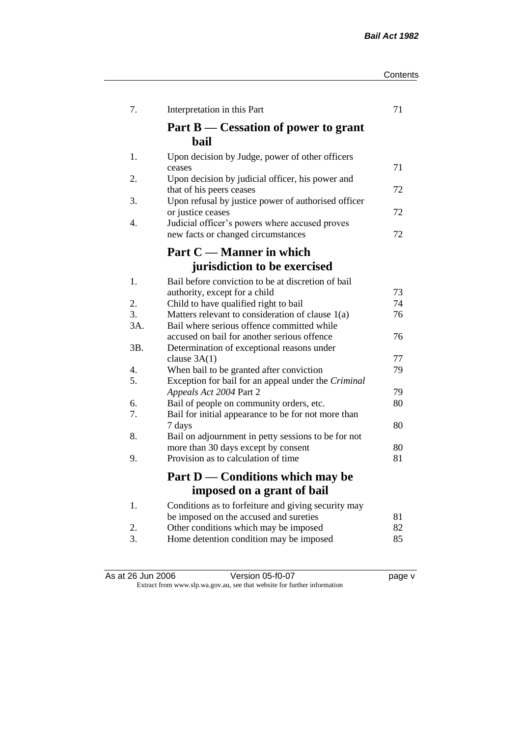| Contents |  |
|----------|--|
|----------|--|

| 7.               | Interpretation in this Part                                                                   | 71 |
|------------------|-----------------------------------------------------------------------------------------------|----|
|                  | Part B — Cessation of power to grant<br><b>bail</b>                                           |    |
| 1.               | Upon decision by Judge, power of other officers<br>ceases                                     | 71 |
| 2.               | Upon decision by judicial officer, his power and<br>that of his peers ceases                  | 72 |
| 3.               | Upon refusal by justice power of authorised officer<br>or justice ceases                      | 72 |
| $\overline{4}$ . | Judicial officer's powers where accused proves<br>new facts or changed circumstances          | 72 |
|                  | Part C — Manner in which                                                                      |    |
|                  | jurisdiction to be exercised                                                                  |    |
| 1.               | Bail before conviction to be at discretion of bail                                            |    |
|                  | authority, except for a child                                                                 | 73 |
| 2.               | Child to have qualified right to bail                                                         | 74 |
| 3.               | Matters relevant to consideration of clause 1(a)                                              | 76 |
| 3A.              | Bail where serious offence committed while                                                    |    |
|                  | accused on bail for another serious offence                                                   | 76 |
| 3B.              | Determination of exceptional reasons under                                                    |    |
|                  | clause $3A(1)$                                                                                | 77 |
| 4.               | When bail to be granted after conviction                                                      | 79 |
| 5.               | Exception for bail for an appeal under the Criminal                                           |    |
|                  | Appeals Act 2004 Part 2                                                                       | 79 |
| 6.               | Bail of people on community orders, etc.                                                      | 80 |
| 7.               | Bail for initial appearance to be for not more than                                           |    |
|                  | 7 days                                                                                        | 80 |
| 8.               | Bail on adjournment in petty sessions to be for not                                           |    |
|                  | more than 30 days except by consent                                                           | 80 |
| 9.               | Provision as to calculation of time                                                           | 81 |
|                  | Part D — Conditions which may be                                                              |    |
|                  | imposed on a grant of bail                                                                    |    |
| 1.               | Conditions as to forfeiture and giving security may<br>be imposed on the accused and sureties | 81 |
| 2.               | Other conditions which may be imposed                                                         | 82 |
| 3.               | Home detention condition may be imposed                                                       | 85 |
|                  |                                                                                               |    |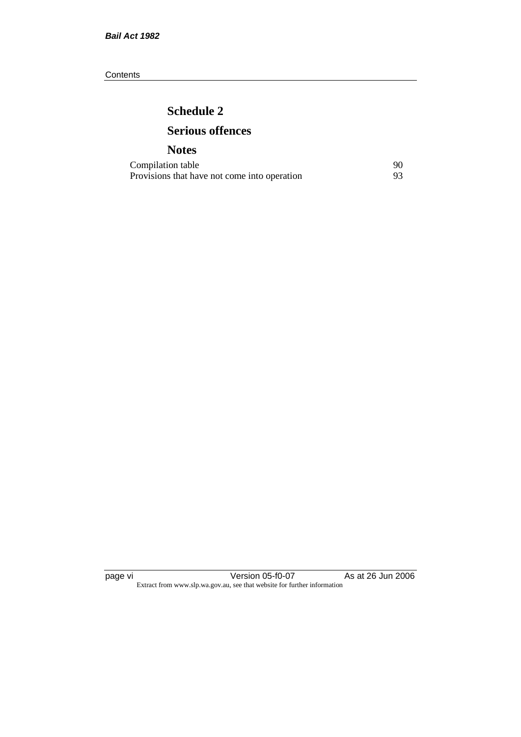**Contents** 

# **Schedule 2 Serious offences**

## **Notes**

| Compilation table                            |  |
|----------------------------------------------|--|
| Provisions that have not come into operation |  |

page vi Version 05-f0-07 As at 26 Jun 2006 Extract from www.slp.wa.gov.au, see that website for further information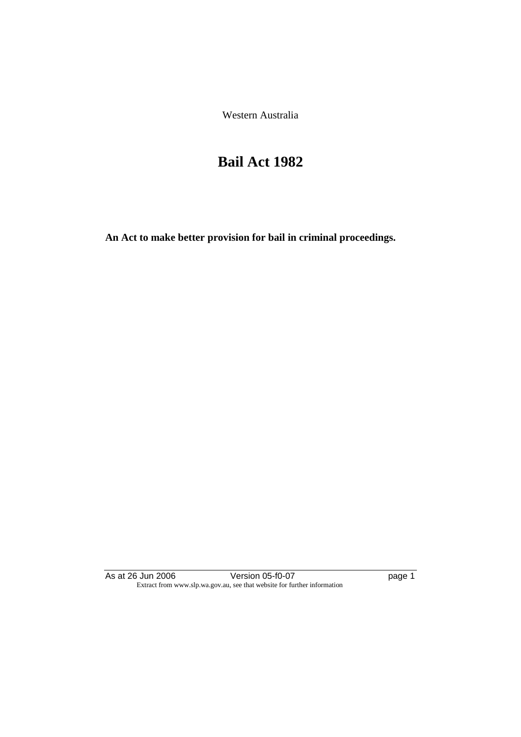Western Australia

# **Bail Act 1982**

**An Act to make better provision for bail in criminal proceedings.** 

As at 26 Jun 2006 Version 05-f0-07 page 1 Extract from www.slp.wa.gov.au, see that website for further information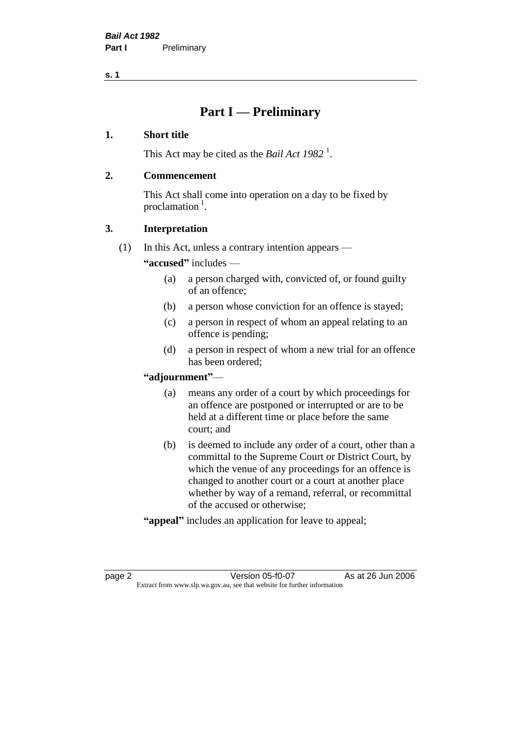## **Part I — Preliminary**

## **1. Short title**

This Act may be cited as the *Bail Act* 1982<sup>1</sup>.

## **2. Commencement**

This Act shall come into operation on a day to be fixed by proclamation  $<sup>1</sup>$ .</sup>

## **3. Interpretation**

(1) In this Act, unless a contrary intention appears —

**"accused"** includes —

- (a) a person charged with, convicted of, or found guilty of an offence;
- (b) a person whose conviction for an offence is stayed;
- (c) a person in respect of whom an appeal relating to an offence is pending;
- (d) a person in respect of whom a new trial for an offence has been ordered;

## **"adjournment"**—

- (a) means any order of a court by which proceedings for an offence are postponed or interrupted or are to be held at a different time or place before the same court; and
- (b) is deemed to include any order of a court, other than a committal to the Supreme Court or District Court, by which the venue of any proceedings for an offence is changed to another court or a court at another place whether by way of a remand, referral, or recommittal of the accused or otherwise;
- **"appeal"** includes an application for leave to appeal;

page 2 **Version 05-f0-07** As at 26 Jun 2006 Extract from www.slp.wa.gov.au, see that website for further information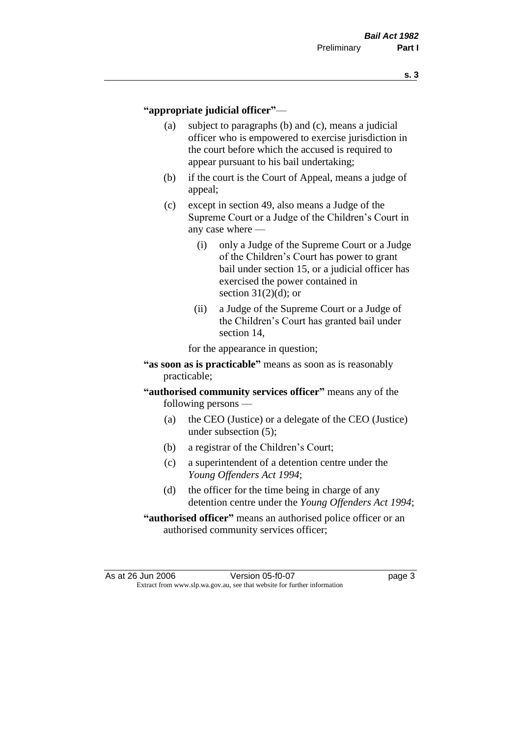### **"appropriate judicial officer"**—

- (a) subject to paragraphs (b) and (c), means a judicial officer who is empowered to exercise jurisdiction in the court before which the accused is required to appear pursuant to his bail undertaking;
- (b) if the court is the Court of Appeal, means a judge of appeal;
- (c) except in section 49, also means a Judge of the Supreme Court or a Judge of the Children's Court in any case where —
	- (i) only a Judge of the Supreme Court or a Judge of the Children's Court has power to grant bail under section 15, or a judicial officer has exercised the power contained in section  $31(2)(d)$ ; or
	- (ii) a Judge of the Supreme Court or a Judge of the Children's Court has granted bail under section 14,

for the appearance in question;

- **"as soon as is practicable"** means as soon as is reasonably practicable;
- **"authorised community services officer"** means any of the following persons —
	- (a) the CEO (Justice) or a delegate of the CEO (Justice) under subsection (5);
	- (b) a registrar of the Children's Court;
	- (c) a superintendent of a detention centre under the *Young Offenders Act 1994*;
	- (d) the officer for the time being in charge of any detention centre under the *Young Offenders Act 1994*;
- **"authorised officer"** means an authorised police officer or an authorised community services officer;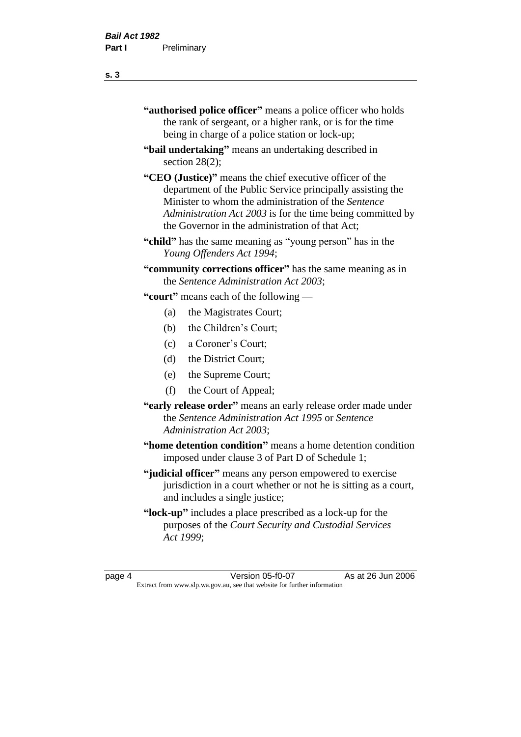| "authorised police officer" means a police officer who holds |
|--------------------------------------------------------------|
| the rank of sergeant, or a higher rank, or is for the time   |
| being in charge of a police station or lock-up;              |

- **"bail undertaking"** means an undertaking described in section 28(2);
- **"CEO (Justice)"** means the chief executive officer of the department of the Public Service principally assisting the Minister to whom the administration of the *Sentence Administration Act 2003* is for the time being committed by the Governor in the administration of that Act;
- **"child"** has the same meaning as "young person" has in the *Young Offenders Act 1994*;
- **"community corrections officer"** has the same meaning as in the *Sentence Administration Act 2003*;

**"court"** means each of the following —

- (a) the Magistrates Court;
- (b) the Children's Court;
- (c) a Coroner's Court;
- (d) the District Court;
- (e) the Supreme Court;
- (f) the Court of Appeal;
- **"early release order"** means an early release order made under the *Sentence Administration Act 1995* or *Sentence Administration Act 2003*;
- **"home detention condition"** means a home detention condition imposed under clause 3 of Part D of Schedule 1;
- **"judicial officer"** means any person empowered to exercise jurisdiction in a court whether or not he is sitting as a court, and includes a single justice;
- **"lock-up"** includes a place prescribed as a lock-up for the purposes of the *Court Security and Custodial Services Act 1999*;

page 4 Version 05-f0-07 As at 26 Jun 2006 Extract from www.slp.wa.gov.au, see that website for further information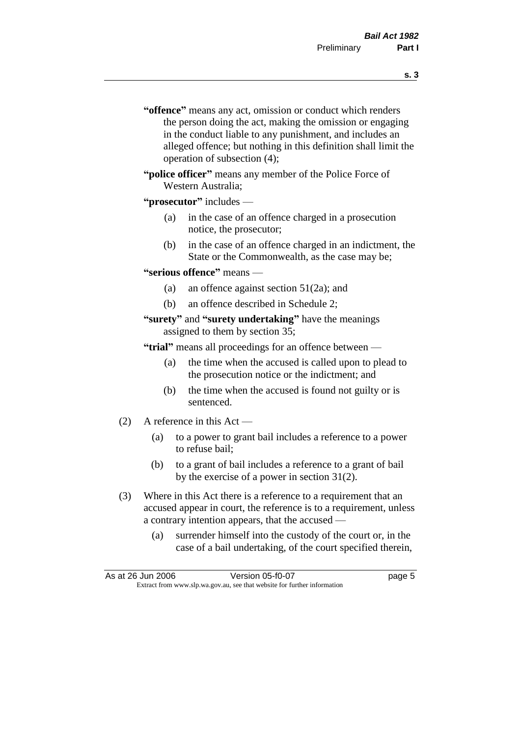- **s. 3**
- **"offence"** means any act, omission or conduct which renders the person doing the act, making the omission or engaging in the conduct liable to any punishment, and includes an alleged offence; but nothing in this definition shall limit the operation of subsection (4);
- **"police officer"** means any member of the Police Force of Western Australia;
- **"prosecutor"** includes
	- (a) in the case of an offence charged in a prosecution notice, the prosecutor;
	- (b) in the case of an offence charged in an indictment, the State or the Commonwealth, as the case may be;
- **"serious offence"** means
	- (a) an offence against section 51(2a); and
	- (b) an offence described in Schedule 2;
- **"surety"** and **"surety undertaking"** have the meanings assigned to them by section 35;

**"trial"** means all proceedings for an offence between —

- (a) the time when the accused is called upon to plead to the prosecution notice or the indictment; and
- (b) the time when the accused is found not guilty or is sentenced.
- (2) A reference in this Act
	- (a) to a power to grant bail includes a reference to a power to refuse bail;
	- (b) to a grant of bail includes a reference to a grant of bail by the exercise of a power in section 31(2).
- (3) Where in this Act there is a reference to a requirement that an accused appear in court, the reference is to a requirement, unless a contrary intention appears, that the accused —
	- (a) surrender himself into the custody of the court or, in the case of a bail undertaking, of the court specified therein,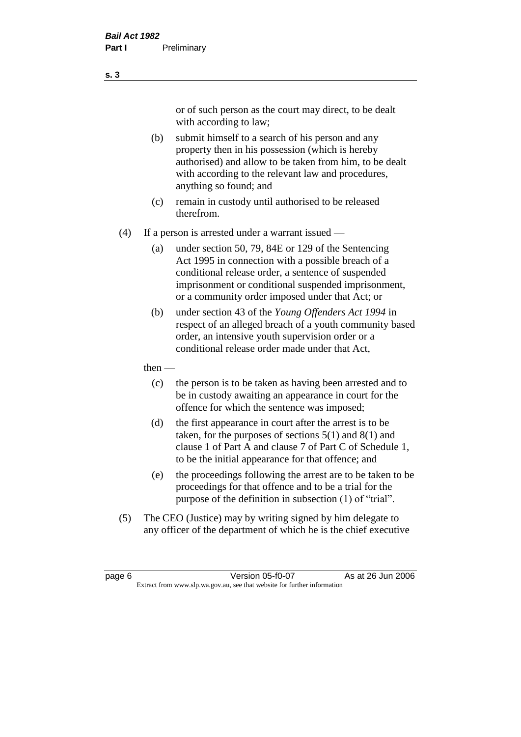or of such person as the court may direct, to be dealt with according to law;

(b) submit himself to a search of his person and any property then in his possession (which is hereby authorised) and allow to be taken from him, to be dealt with according to the relevant law and procedures, anything so found; and

- (c) remain in custody until authorised to be released therefrom.
- (4) If a person is arrested under a warrant issued
	- (a) under section 50, 79, 84E or 129 of the Sentencing Act 1995 in connection with a possible breach of a conditional release order, a sentence of suspended imprisonment or conditional suspended imprisonment, or a community order imposed under that Act; or
	- (b) under section 43 of the *Young Offenders Act 1994* in respect of an alleged breach of a youth community based order, an intensive youth supervision order or a conditional release order made under that Act,
	- then
		- (c) the person is to be taken as having been arrested and to be in custody awaiting an appearance in court for the offence for which the sentence was imposed;
		- (d) the first appearance in court after the arrest is to be taken, for the purposes of sections  $5(1)$  and  $8(1)$  and clause 1 of Part A and clause 7 of Part C of Schedule 1, to be the initial appearance for that offence; and
		- (e) the proceedings following the arrest are to be taken to be proceedings for that offence and to be a trial for the purpose of the definition in subsection (1) of "trial".
- (5) The CEO (Justice) may by writing signed by him delegate to any officer of the department of which he is the chief executive

page 6 **Version 05-f0-07** As at 26 Jun 2006 Extract from www.slp.wa.gov.au, see that website for further information

**s. 3**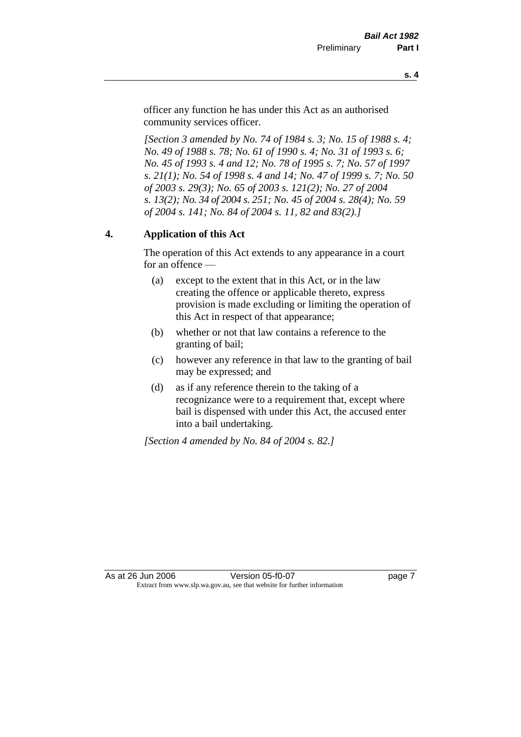officer any function he has under this Act as an authorised community services officer.

*[Section 3 amended by No. 74 of 1984 s. 3; No. 15 of 1988 s. 4; No. 49 of 1988 s. 78; No. 61 of 1990 s. 4; No. 31 of 1993 s. 6; No. 45 of 1993 s. 4 and 12; No. 78 of 1995 s. 7; No. 57 of 1997 s. 21(1); No. 54 of 1998 s. 4 and 14; No. 47 of 1999 s. 7; No. 50 of 2003 s. 29(3); No. 65 of 2003 s. 121(2); No. 27 of 2004 s. 13(2); No. 34 of 2004 s. 251; No. 45 of 2004 s. 28(4); No. 59 of 2004 s. 141; No. 84 of 2004 s. 11, 82 and 83(2).]* 

## **4. Application of this Act**

The operation of this Act extends to any appearance in a court for an offence —

- (a) except to the extent that in this Act, or in the law creating the offence or applicable thereto, express provision is made excluding or limiting the operation of this Act in respect of that appearance;
- (b) whether or not that law contains a reference to the granting of bail;
- (c) however any reference in that law to the granting of bail may be expressed; and
- (d) as if any reference therein to the taking of a recognizance were to a requirement that, except where bail is dispensed with under this Act, the accused enter into a bail undertaking.

*[Section 4 amended by No. 84 of 2004 s. 82.]*

As at 26 Jun 2006 Version 05-f0-07 Page 7 Extract from www.slp.wa.gov.au, see that website for further information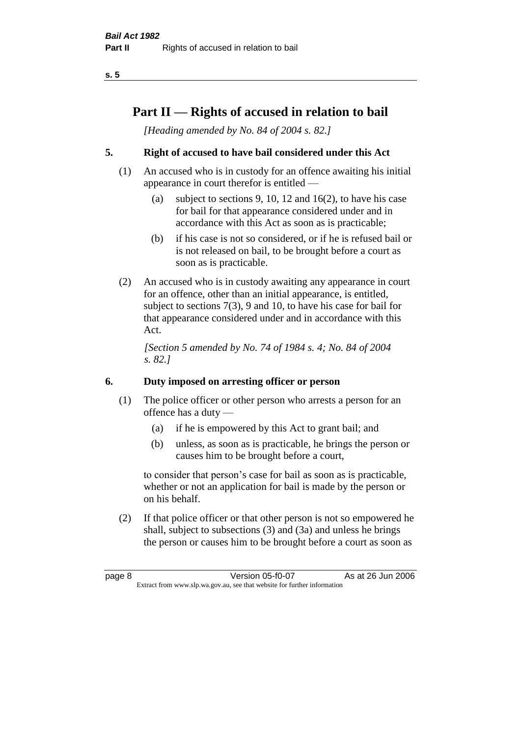## **Part II — Rights of accused in relation to bail**

*[Heading amended by No. 84 of 2004 s. 82.]* 

## **5. Right of accused to have bail considered under this Act**

- (1) An accused who is in custody for an offence awaiting his initial appearance in court therefor is entitled —
	- (a) subject to sections 9, 10, 12 and 16(2), to have his case for bail for that appearance considered under and in accordance with this Act as soon as is practicable;
	- (b) if his case is not so considered, or if he is refused bail or is not released on bail, to be brought before a court as soon as is practicable.
- (2) An accused who is in custody awaiting any appearance in court for an offence, other than an initial appearance, is entitled, subject to sections 7(3), 9 and 10, to have his case for bail for that appearance considered under and in accordance with this Act.

*[Section 5 amended by No. 74 of 1984 s. 4; No. 84 of 2004 s. 82.]* 

## **6. Duty imposed on arresting officer or person**

- (1) The police officer or other person who arrests a person for an offence has a duty —
	- (a) if he is empowered by this Act to grant bail; and
	- (b) unless, as soon as is practicable, he brings the person or causes him to be brought before a court,

to consider that person's case for bail as soon as is practicable, whether or not an application for bail is made by the person or on his behalf.

(2) If that police officer or that other person is not so empowered he shall, subject to subsections (3) and (3a) and unless he brings the person or causes him to be brought before a court as soon as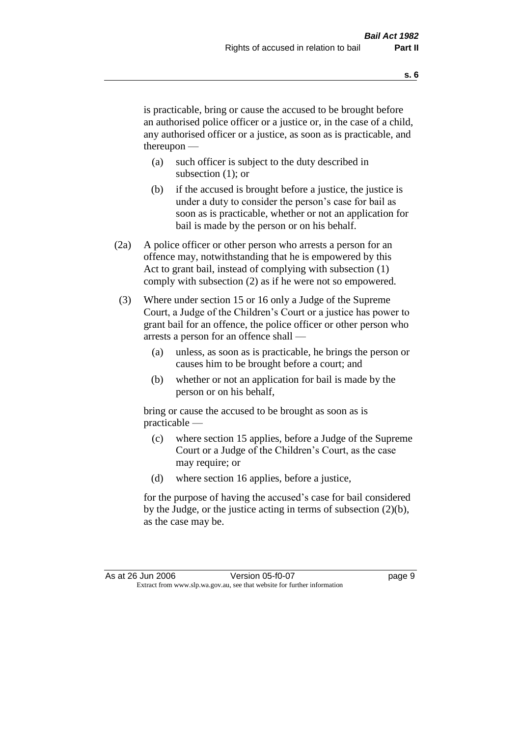is practicable, bring or cause the accused to be brought before an authorised police officer or a justice or, in the case of a child, any authorised officer or a justice, as soon as is practicable, and thereupon —

- (a) such officer is subject to the duty described in subsection (1); or
- (b) if the accused is brought before a justice, the justice is under a duty to consider the person's case for bail as soon as is practicable, whether or not an application for bail is made by the person or on his behalf.
- (2a) A police officer or other person who arrests a person for an offence may, notwithstanding that he is empowered by this Act to grant bail, instead of complying with subsection (1) comply with subsection (2) as if he were not so empowered.
- (3) Where under section 15 or 16 only a Judge of the Supreme Court, a Judge of the Children's Court or a justice has power to grant bail for an offence, the police officer or other person who arrests a person for an offence shall —
	- (a) unless, as soon as is practicable, he brings the person or causes him to be brought before a court; and
	- (b) whether or not an application for bail is made by the person or on his behalf,

bring or cause the accused to be brought as soon as is practicable —

- (c) where section 15 applies, before a Judge of the Supreme Court or a Judge of the Children's Court, as the case may require; or
- (d) where section 16 applies, before a justice,

for the purpose of having the accused's case for bail considered by the Judge, or the justice acting in terms of subsection (2)(b), as the case may be.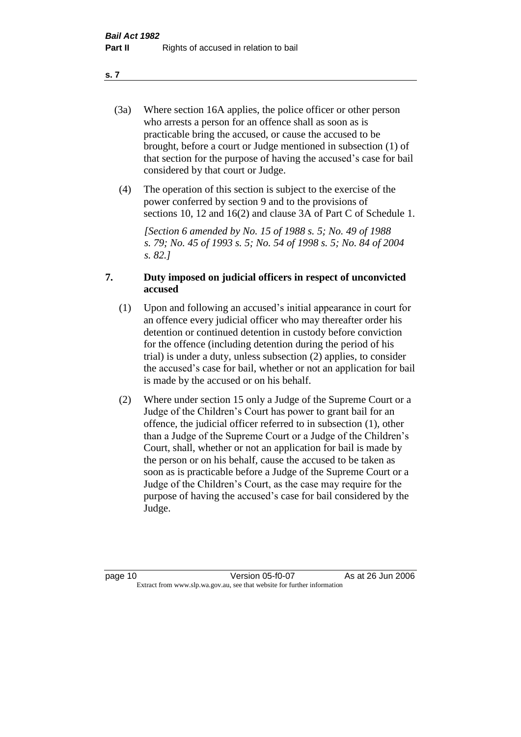- (3a) Where section 16A applies, the police officer or other person who arrests a person for an offence shall as soon as is practicable bring the accused, or cause the accused to be brought, before a court or Judge mentioned in subsection (1) of that section for the purpose of having the accused's case for bail considered by that court or Judge.
- (4) The operation of this section is subject to the exercise of the power conferred by section 9 and to the provisions of sections 10, 12 and 16(2) and clause 3A of Part C of Schedule 1.

*[Section 6 amended by No. 15 of 1988 s. 5; No. 49 of 1988 s. 79; No. 45 of 1993 s. 5; No. 54 of 1998 s. 5; No. 84 of 2004 s. 82.]* 

## **7. Duty imposed on judicial officers in respect of unconvicted accused**

- (1) Upon and following an accused's initial appearance in court for an offence every judicial officer who may thereafter order his detention or continued detention in custody before conviction for the offence (including detention during the period of his trial) is under a duty, unless subsection (2) applies, to consider the accused's case for bail, whether or not an application for bail is made by the accused or on his behalf.
- (2) Where under section 15 only a Judge of the Supreme Court or a Judge of the Children's Court has power to grant bail for an offence, the judicial officer referred to in subsection (1), other than a Judge of the Supreme Court or a Judge of the Children's Court, shall, whether or not an application for bail is made by the person or on his behalf, cause the accused to be taken as soon as is practicable before a Judge of the Supreme Court or a Judge of the Children's Court, as the case may require for the purpose of having the accused's case for bail considered by the Judge.

**s. 7**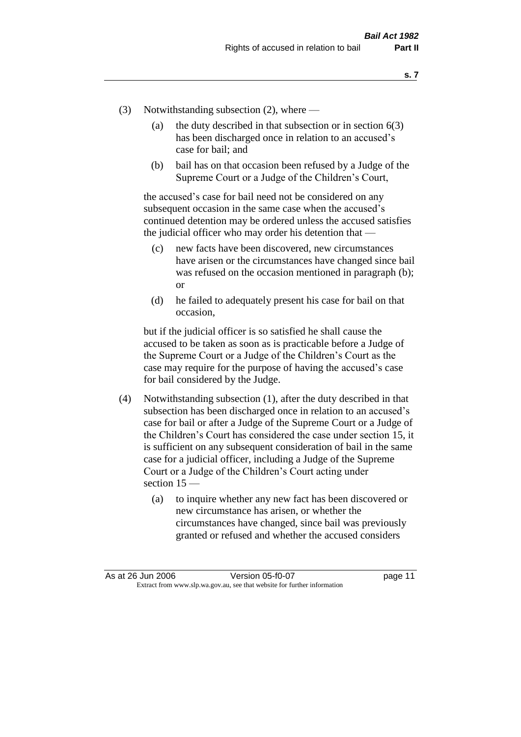- (3) Notwithstanding subsection (2), where
	- (a) the duty described in that subsection or in section  $6(3)$ has been discharged once in relation to an accused's case for bail; and
	- (b) bail has on that occasion been refused by a Judge of the Supreme Court or a Judge of the Children's Court,

the accused's case for bail need not be considered on any subsequent occasion in the same case when the accused's continued detention may be ordered unless the accused satisfies the judicial officer who may order his detention that —

- (c) new facts have been discovered, new circumstances have arisen or the circumstances have changed since bail was refused on the occasion mentioned in paragraph (b); or
- (d) he failed to adequately present his case for bail on that occasion,

but if the judicial officer is so satisfied he shall cause the accused to be taken as soon as is practicable before a Judge of the Supreme Court or a Judge of the Children's Court as the case may require for the purpose of having the accused's case for bail considered by the Judge.

- (4) Notwithstanding subsection (1), after the duty described in that subsection has been discharged once in relation to an accused's case for bail or after a Judge of the Supreme Court or a Judge of the Children's Court has considered the case under section 15, it is sufficient on any subsequent consideration of bail in the same case for a judicial officer, including a Judge of the Supreme Court or a Judge of the Children's Court acting under section 15 —
	- (a) to inquire whether any new fact has been discovered or new circumstance has arisen, or whether the circumstances have changed, since bail was previously granted or refused and whether the accused considers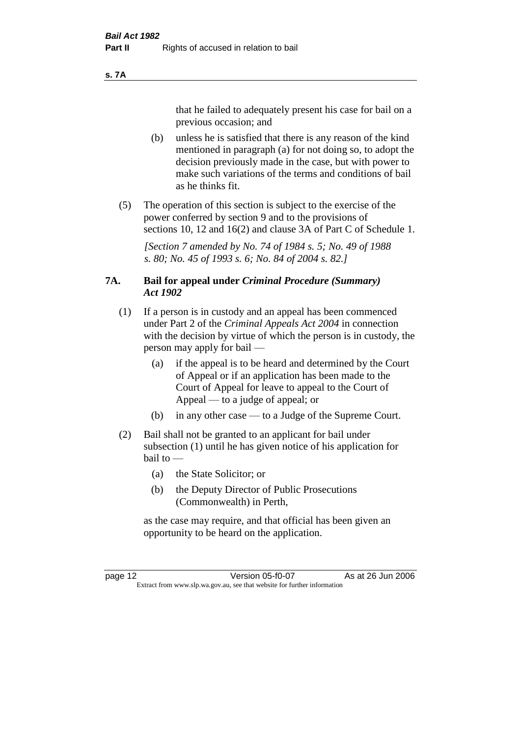#### **s. 7A**

that he failed to adequately present his case for bail on a previous occasion; and

- (b) unless he is satisfied that there is any reason of the kind mentioned in paragraph (a) for not doing so, to adopt the decision previously made in the case, but with power to make such variations of the terms and conditions of bail as he thinks fit.
- (5) The operation of this section is subject to the exercise of the power conferred by section 9 and to the provisions of sections 10, 12 and 16(2) and clause 3A of Part C of Schedule 1.

*[Section 7 amended by No. 74 of 1984 s. 5; No. 49 of 1988 s. 80; No. 45 of 1993 s. 6; No. 84 of 2004 s. 82.]* 

## **7A. Bail for appeal under** *Criminal Procedure (Summary) Act 1902*

- (1) If a person is in custody and an appeal has been commenced under Part 2 of the *Criminal Appeals Act 2004* in connection with the decision by virtue of which the person is in custody, the person may apply for bail —
	- (a) if the appeal is to be heard and determined by the Court of Appeal or if an application has been made to the Court of Appeal for leave to appeal to the Court of Appeal — to a judge of appeal; or
	- (b) in any other case to a Judge of the Supreme Court.
- (2) Bail shall not be granted to an applicant for bail under subsection (1) until he has given notice of his application for bail to —
	- (a) the State Solicitor; or
	- (b) the Deputy Director of Public Prosecutions (Commonwealth) in Perth,

as the case may require, and that official has been given an opportunity to be heard on the application.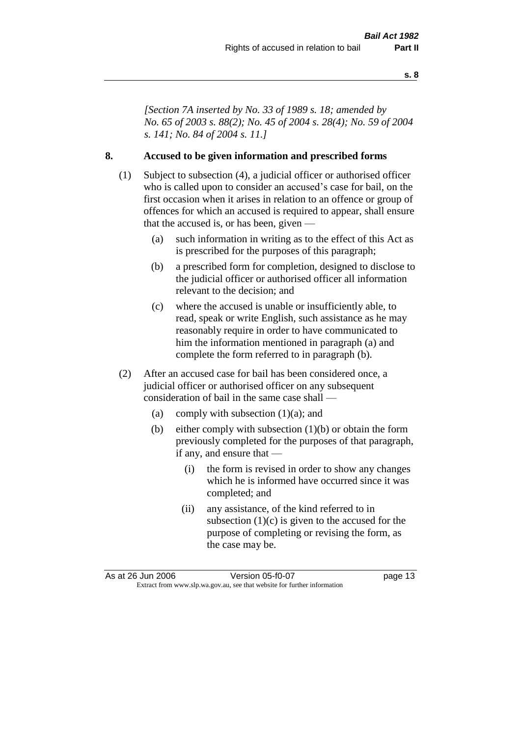*[Section 7A inserted by No. 33 of 1989 s. 18; amended by No. 65 of 2003 s. 88(2); No. 45 of 2004 s. 28(4); No. 59 of 2004 s. 141; No. 84 of 2004 s. 11.]* 

## **8. Accused to be given information and prescribed forms**

- (1) Subject to subsection (4), a judicial officer or authorised officer who is called upon to consider an accused's case for bail, on the first occasion when it arises in relation to an offence or group of offences for which an accused is required to appear, shall ensure that the accused is, or has been, given —
	- (a) such information in writing as to the effect of this Act as is prescribed for the purposes of this paragraph;
	- (b) a prescribed form for completion, designed to disclose to the judicial officer or authorised officer all information relevant to the decision; and
	- (c) where the accused is unable or insufficiently able, to read, speak or write English, such assistance as he may reasonably require in order to have communicated to him the information mentioned in paragraph (a) and complete the form referred to in paragraph (b).
- (2) After an accused case for bail has been considered once, a judicial officer or authorised officer on any subsequent consideration of bail in the same case shall —
	- (a) comply with subsection  $(1)(a)$ ; and
	- (b) either comply with subsection (1)(b) or obtain the form previously completed for the purposes of that paragraph, if any, and ensure that —
		- (i) the form is revised in order to show any changes which he is informed have occurred since it was completed; and
		- (ii) any assistance, of the kind referred to in subsection  $(1)(c)$  is given to the accused for the purpose of completing or revising the form, as the case may be.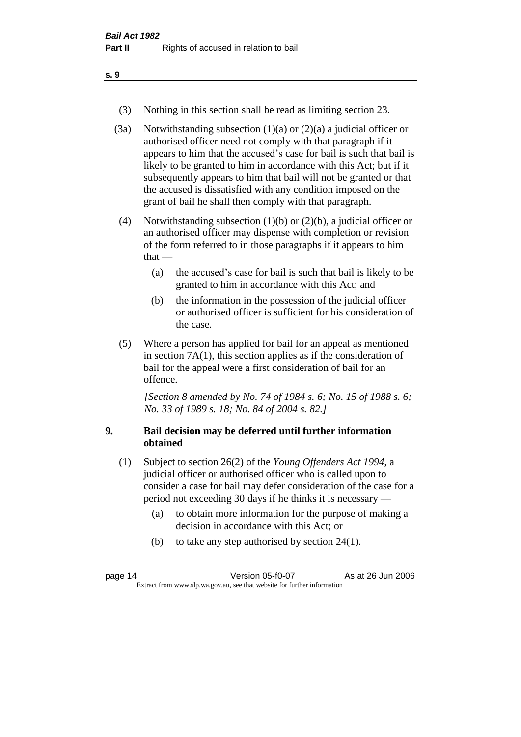- (3) Nothing in this section shall be read as limiting section 23.
- (3a) Notwithstanding subsection  $(1)(a)$  or  $(2)(a)$  a judicial officer or authorised officer need not comply with that paragraph if it appears to him that the accused's case for bail is such that bail is likely to be granted to him in accordance with this Act; but if it subsequently appears to him that bail will not be granted or that the accused is dissatisfied with any condition imposed on the grant of bail he shall then comply with that paragraph.
- (4) Notwithstanding subsection (1)(b) or (2)(b), a judicial officer or an authorised officer may dispense with completion or revision of the form referred to in those paragraphs if it appears to him  $that -$ 
	- (a) the accused's case for bail is such that bail is likely to be granted to him in accordance with this Act; and
	- (b) the information in the possession of the judicial officer or authorised officer is sufficient for his consideration of the case.
- (5) Where a person has applied for bail for an appeal as mentioned in section 7A(1), this section applies as if the consideration of bail for the appeal were a first consideration of bail for an offence.

*[Section 8 amended by No. 74 of 1984 s. 6; No. 15 of 1988 s. 6; No. 33 of 1989 s. 18; No. 84 of 2004 s. 82.]* 

## **9. Bail decision may be deferred until further information obtained**

- (1) Subject to section 26(2) of the *Young Offenders Act 1994*, a judicial officer or authorised officer who is called upon to consider a case for bail may defer consideration of the case for a period not exceeding 30 days if he thinks it is necessary —
	- (a) to obtain more information for the purpose of making a decision in accordance with this Act; or
	- (b) to take any step authorised by section 24(1).

| page 14                                                                  | Version 05-f0-07 | As at 26 Jun 2006 |
|--------------------------------------------------------------------------|------------------|-------------------|
| Extract from www.slp.wa.gov.au, see that website for further information |                  |                   |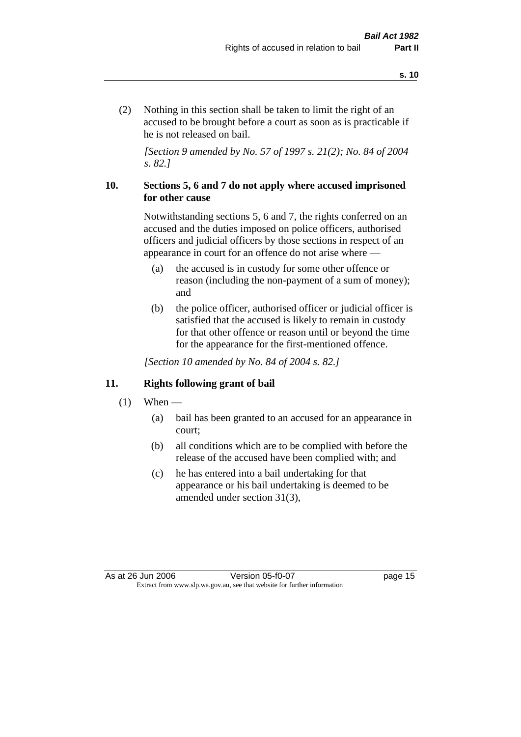(2) Nothing in this section shall be taken to limit the right of an accused to be brought before a court as soon as is practicable if he is not released on bail.

*[Section 9 amended by No. 57 of 1997 s. 21(2); No. 84 of 2004 s. 82.]*

## **10. Sections 5, 6 and 7 do not apply where accused imprisoned for other cause**

Notwithstanding sections 5, 6 and 7, the rights conferred on an accused and the duties imposed on police officers, authorised officers and judicial officers by those sections in respect of an appearance in court for an offence do not arise where —

- (a) the accused is in custody for some other offence or reason (including the non-payment of a sum of money); and
- (b) the police officer, authorised officer or judicial officer is satisfied that the accused is likely to remain in custody for that other offence or reason until or beyond the time for the appearance for the first-mentioned offence.

*[Section 10 amended by No. 84 of 2004 s. 82.]*

## **11. Rights following grant of bail**

- $(1)$  When
	- (a) bail has been granted to an accused for an appearance in court;
	- (b) all conditions which are to be complied with before the release of the accused have been complied with; and
	- (c) he has entered into a bail undertaking for that appearance or his bail undertaking is deemed to be amended under section 31(3),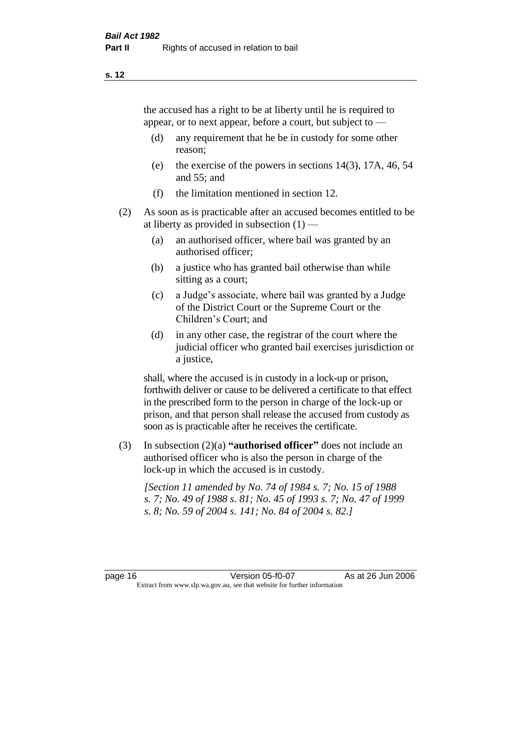the accused has a right to be at liberty until he is required to appear, or to next appear, before a court, but subject to —

- (d) any requirement that he be in custody for some other reason;
- (e) the exercise of the powers in sections 14(3), 17A, 46, 54 and 55; and
- (f) the limitation mentioned in section 12.
- (2) As soon as is practicable after an accused becomes entitled to be at liberty as provided in subsection  $(1)$  —
	- (a) an authorised officer, where bail was granted by an authorised officer;
	- (b) a justice who has granted bail otherwise than while sitting as a court;
	- (c) a Judge's associate, where bail was granted by a Judge of the District Court or the Supreme Court or the Children's Court; and
	- (d) in any other case, the registrar of the court where the judicial officer who granted bail exercises jurisdiction or a justice,

shall, where the accused is in custody in a lock-up or prison, forthwith deliver or cause to be delivered a certificate to that effect in the prescribed form to the person in charge of the lock-up or prison, and that person shall release the accused from custody as soon as is practicable after he receives the certificate.

(3) In subsection (2)(a) **"authorised officer"** does not include an authorised officer who is also the person in charge of the lock-up in which the accused is in custody.

*[Section 11 amended by No. 74 of 1984 s. 7; No. 15 of 1988 s. 7; No. 49 of 1988 s. 81; No. 45 of 1993 s. 7; No. 47 of 1999 s. 8; No. 59 of 2004 s. 141; No. 84 of 2004 s. 82.]*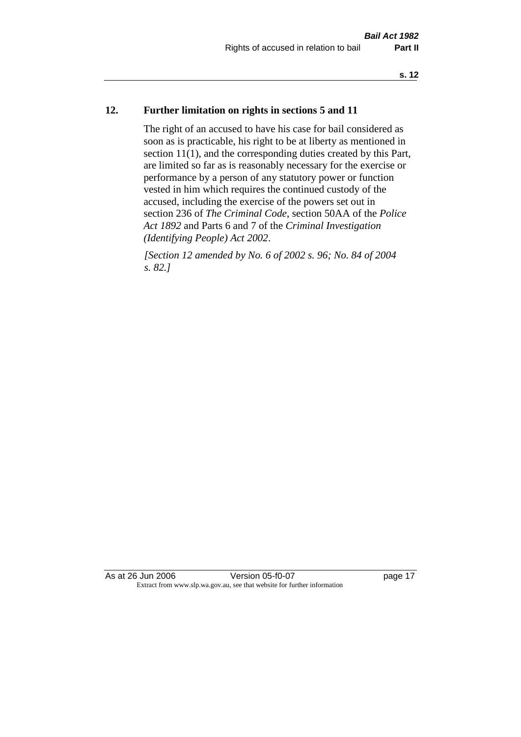## **12. Further limitation on rights in sections 5 and 11**

The right of an accused to have his case for bail considered as soon as is practicable, his right to be at liberty as mentioned in section 11(1), and the corresponding duties created by this Part, are limited so far as is reasonably necessary for the exercise or performance by a person of any statutory power or function vested in him which requires the continued custody of the accused, including the exercise of the powers set out in section 236 of *The Criminal Code*, section 50AA of the *Police Act 1892* and Parts 6 and 7 of the *Criminal Investigation (Identifying People) Act 2002*.

*[Section 12 amended by No. 6 of 2002 s. 96; No. 84 of 2004 s. 82.]*

As at 26 Jun 2006 Version 05-f0-07 page 17 Extract from www.slp.wa.gov.au, see that website for further information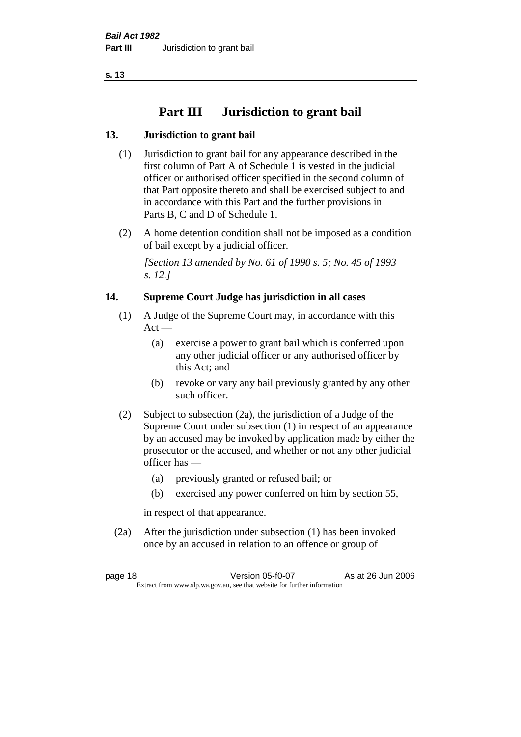## **Part III — Jurisdiction to grant bail**

## **13. Jurisdiction to grant bail**

- (1) Jurisdiction to grant bail for any appearance described in the first column of Part A of Schedule 1 is vested in the judicial officer or authorised officer specified in the second column of that Part opposite thereto and shall be exercised subject to and in accordance with this Part and the further provisions in Parts B, C and D of Schedule 1.
- (2) A home detention condition shall not be imposed as a condition of bail except by a judicial officer.

*[Section 13 amended by No. 61 of 1990 s. 5; No. 45 of 1993 s. 12.]* 

## **14. Supreme Court Judge has jurisdiction in all cases**

- (1) A Judge of the Supreme Court may, in accordance with this  $Act -$ 
	- (a) exercise a power to grant bail which is conferred upon any other judicial officer or any authorised officer by this Act; and
	- (b) revoke or vary any bail previously granted by any other such officer.
- (2) Subject to subsection (2a), the jurisdiction of a Judge of the Supreme Court under subsection (1) in respect of an appearance by an accused may be invoked by application made by either the prosecutor or the accused, and whether or not any other judicial officer has —
	- (a) previously granted or refused bail; or
	- (b) exercised any power conferred on him by section 55,

in respect of that appearance.

(2a) After the jurisdiction under subsection (1) has been invoked once by an accused in relation to an offence or group of

page 18 Version 05-f0-07 As at 26 Jun 2006 Extract from www.slp.wa.gov.au, see that website for further information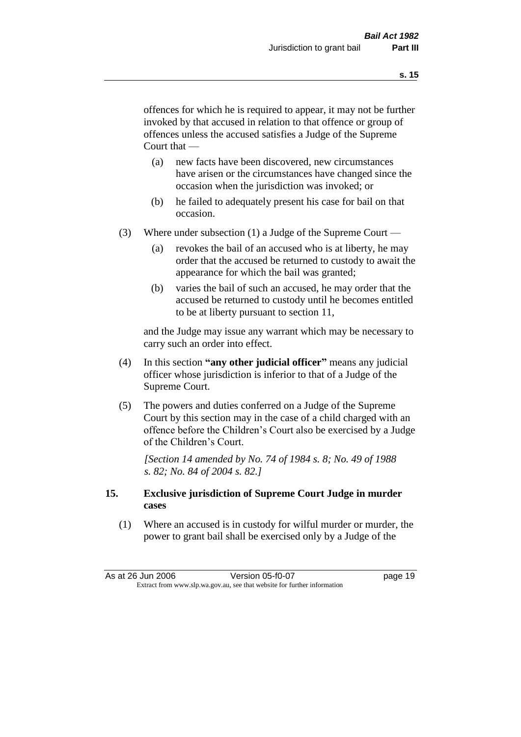offences for which he is required to appear, it may not be further invoked by that accused in relation to that offence or group of offences unless the accused satisfies a Judge of the Supreme Court that —

- (a) new facts have been discovered, new circumstances have arisen or the circumstances have changed since the occasion when the jurisdiction was invoked; or
- (b) he failed to adequately present his case for bail on that occasion.
- (3) Where under subsection (1) a Judge of the Supreme Court
	- (a) revokes the bail of an accused who is at liberty, he may order that the accused be returned to custody to await the appearance for which the bail was granted;
	- (b) varies the bail of such an accused, he may order that the accused be returned to custody until he becomes entitled to be at liberty pursuant to section 11,

and the Judge may issue any warrant which may be necessary to carry such an order into effect.

- (4) In this section **"any other judicial officer"** means any judicial officer whose jurisdiction is inferior to that of a Judge of the Supreme Court.
- (5) The powers and duties conferred on a Judge of the Supreme Court by this section may in the case of a child charged with an offence before the Children's Court also be exercised by a Judge of the Children's Court.

*[Section 14 amended by No. 74 of 1984 s. 8; No. 49 of 1988 s. 82; No. 84 of 2004 s. 82.]* 

## **15. Exclusive jurisdiction of Supreme Court Judge in murder cases**

(1) Where an accused is in custody for wilful murder or murder, the power to grant bail shall be exercised only by a Judge of the

| As at 26 Jun 2006                                                        | Version 05-f0-07 | page 19 |
|--------------------------------------------------------------------------|------------------|---------|
| Extract from www.slp.wa.gov.au, see that website for further information |                  |         |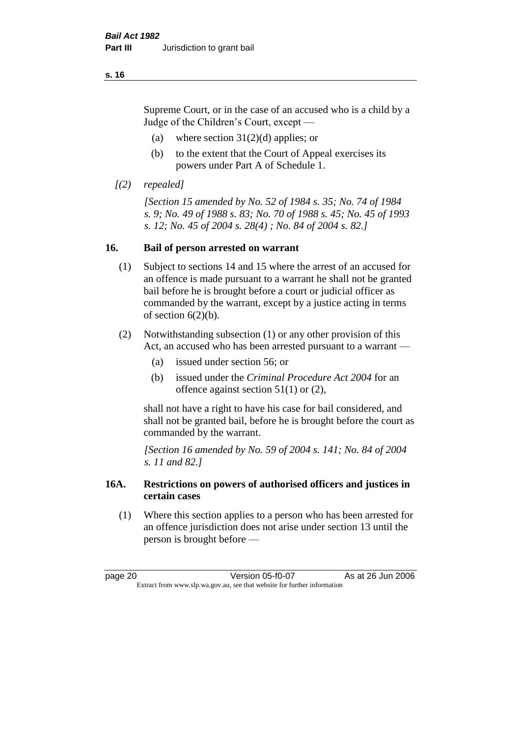Supreme Court, or in the case of an accused who is a child by a Judge of the Children's Court, except —

- (a) where section  $31(2)(d)$  applies; or
- (b) to the extent that the Court of Appeal exercises its powers under Part A of Schedule 1.
- *[(2) repealed]*

*[Section 15 amended by No. 52 of 1984 s. 35; No. 74 of 1984 s. 9; No. 49 of 1988 s. 83; No. 70 of 1988 s. 45; No. 45 of 1993 s. 12; No. 45 of 2004 s. 28(4) ; No. 84 of 2004 s. 82.]* 

## **16. Bail of person arrested on warrant**

- (1) Subject to sections 14 and 15 where the arrest of an accused for an offence is made pursuant to a warrant he shall not be granted bail before he is brought before a court or judicial officer as commanded by the warrant, except by a justice acting in terms of section  $6(2)(b)$ .
- (2) Notwithstanding subsection (1) or any other provision of this Act, an accused who has been arrested pursuant to a warrant —
	- (a) issued under section 56; or
	- (b) issued under the *Criminal Procedure Act 2004* for an offence against section 51(1) or (2),

shall not have a right to have his case for bail considered, and shall not be granted bail, before he is brought before the court as commanded by the warrant.

*[Section 16 amended by No. 59 of 2004 s. 141; No. 84 of 2004 s. 11 and 82.]*

## **16A. Restrictions on powers of authorised officers and justices in certain cases**

(1) Where this section applies to a person who has been arrested for an offence jurisdiction does not arise under section 13 until the person is brought before —

page 20 Version 05-f0-07 As at 26 Jun 2006 Extract from www.slp.wa.gov.au, see that website for further information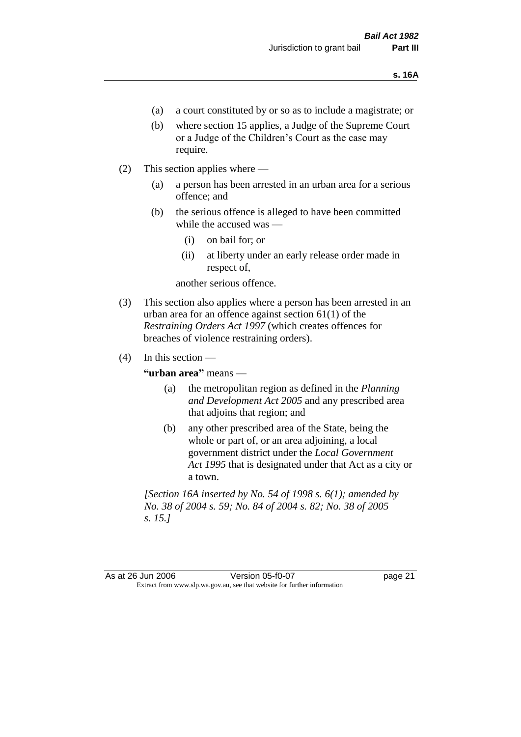- (a) a court constituted by or so as to include a magistrate; or
- (b) where section 15 applies, a Judge of the Supreme Court or a Judge of the Children's Court as the case may require.
- (2) This section applies where
	- (a) a person has been arrested in an urban area for a serious offence; and
	- (b) the serious offence is alleged to have been committed while the accused was —
		- (i) on bail for; or
		- (ii) at liberty under an early release order made in respect of,

another serious offence.

- (3) This section also applies where a person has been arrested in an urban area for an offence against section 61(1) of the *Restraining Orders Act 1997* (which creates offences for breaches of violence restraining orders).
- $(4)$  In this section —

**"urban area"** means —

- (a) the metropolitan region as defined in the *Planning and Development Act 2005* and any prescribed area that adjoins that region; and
- (b) any other prescribed area of the State, being the whole or part of, or an area adjoining, a local government district under the *Local Government Act 1995* that is designated under that Act as a city or a town.

*[Section 16A inserted by No. 54 of 1998 s. 6(1); amended by No. 38 of 2004 s. 59; No. 84 of 2004 s. 82; No. 38 of 2005 s. 15.]*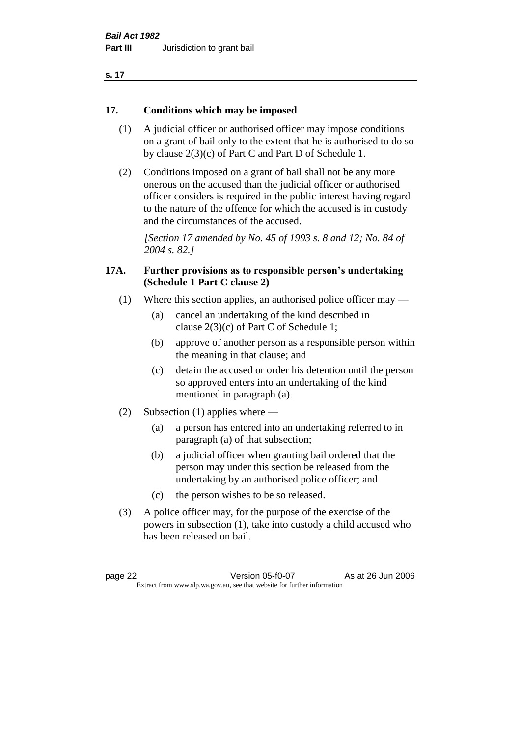| ×<br>. . |  |
|----------|--|
|----------|--|

## **17. Conditions which may be imposed**

- (1) A judicial officer or authorised officer may impose conditions on a grant of bail only to the extent that he is authorised to do so by clause 2(3)(c) of Part C and Part D of Schedule 1.
- (2) Conditions imposed on a grant of bail shall not be any more onerous on the accused than the judicial officer or authorised officer considers is required in the public interest having regard to the nature of the offence for which the accused is in custody and the circumstances of the accused.

*[Section 17 amended by No. 45 of 1993 s. 8 and 12; No. 84 of 2004 s. 82.]* 

## **17A. Further provisions as to responsible person's undertaking (Schedule 1 Part C clause 2)**

- (1) Where this section applies, an authorised police officer may
	- (a) cancel an undertaking of the kind described in clause 2(3)(c) of Part C of Schedule 1;
	- (b) approve of another person as a responsible person within the meaning in that clause; and
	- (c) detain the accused or order his detention until the person so approved enters into an undertaking of the kind mentioned in paragraph (a).
- (2) Subsection (1) applies where
	- (a) a person has entered into an undertaking referred to in paragraph (a) of that subsection;
	- (b) a judicial officer when granting bail ordered that the person may under this section be released from the undertaking by an authorised police officer; and
	- (c) the person wishes to be so released.
- (3) A police officer may, for the purpose of the exercise of the powers in subsection (1), take into custody a child accused who has been released on bail.

page 22 Version 05-f0-07 As at 26 Jun 2006 Extract from www.slp.wa.gov.au, see that website for further information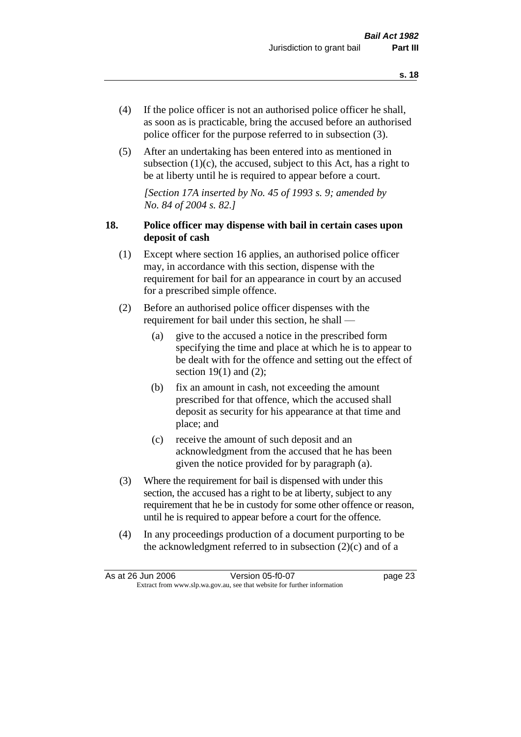- (4) If the police officer is not an authorised police officer he shall, as soon as is practicable, bring the accused before an authorised police officer for the purpose referred to in subsection (3).
- (5) After an undertaking has been entered into as mentioned in subsection  $(1)(c)$ , the accused, subject to this Act, has a right to be at liberty until he is required to appear before a court.

*[Section 17A inserted by No. 45 of 1993 s. 9; amended by No. 84 of 2004 s. 82.]* 

## **18. Police officer may dispense with bail in certain cases upon deposit of cash**

- (1) Except where section 16 applies, an authorised police officer may, in accordance with this section, dispense with the requirement for bail for an appearance in court by an accused for a prescribed simple offence.
- (2) Before an authorised police officer dispenses with the requirement for bail under this section, he shall —
	- (a) give to the accused a notice in the prescribed form specifying the time and place at which he is to appear to be dealt with for the offence and setting out the effect of section  $19(1)$  and  $(2)$ ;
	- (b) fix an amount in cash, not exceeding the amount prescribed for that offence, which the accused shall deposit as security for his appearance at that time and place; and
	- (c) receive the amount of such deposit and an acknowledgment from the accused that he has been given the notice provided for by paragraph (a).
- (3) Where the requirement for bail is dispensed with under this section, the accused has a right to be at liberty, subject to any requirement that he be in custody for some other offence or reason, until he is required to appear before a court for the offence.
- (4) In any proceedings production of a document purporting to be the acknowledgment referred to in subsection  $(2)(c)$  and of a

| As at 26 Jun 2006                                                        |  | Version 05-f0-07 | page 23 |
|--------------------------------------------------------------------------|--|------------------|---------|
| Extract from www.slp.wa.gov.au, see that website for further information |  |                  |         |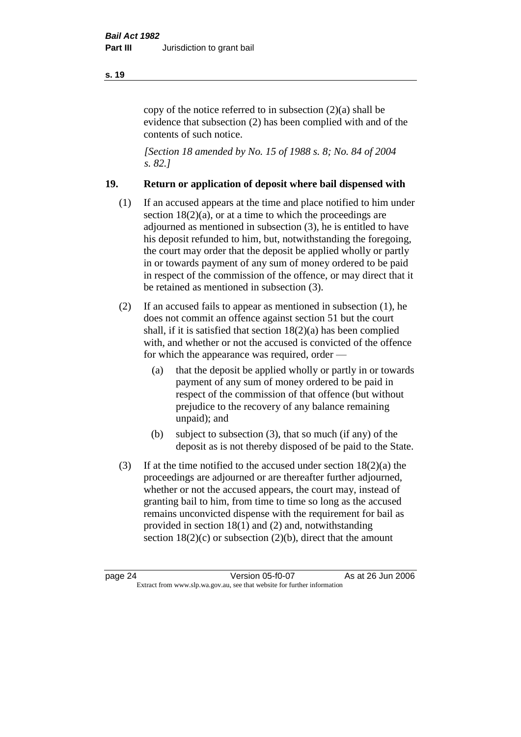copy of the notice referred to in subsection (2)(a) shall be evidence that subsection (2) has been complied with and of the contents of such notice.

*[Section 18 amended by No. 15 of 1988 s. 8; No. 84 of 2004 s. 82.]* 

## **19. Return or application of deposit where bail dispensed with**

- (1) If an accused appears at the time and place notified to him under section  $18(2)(a)$ , or at a time to which the proceedings are adjourned as mentioned in subsection (3), he is entitled to have his deposit refunded to him, but, notwithstanding the foregoing, the court may order that the deposit be applied wholly or partly in or towards payment of any sum of money ordered to be paid in respect of the commission of the offence, or may direct that it be retained as mentioned in subsection (3).
- (2) If an accused fails to appear as mentioned in subsection (1), he does not commit an offence against section 51 but the court shall, if it is satisfied that section 18(2)(a) has been complied with, and whether or not the accused is convicted of the offence for which the appearance was required, order —
	- (a) that the deposit be applied wholly or partly in or towards payment of any sum of money ordered to be paid in respect of the commission of that offence (but without prejudice to the recovery of any balance remaining unpaid); and
	- (b) subject to subsection (3), that so much (if any) of the deposit as is not thereby disposed of be paid to the State.
- (3) If at the time notified to the accused under section  $18(2)(a)$  the proceedings are adjourned or are thereafter further adjourned, whether or not the accused appears, the court may, instead of granting bail to him, from time to time so long as the accused remains unconvicted dispense with the requirement for bail as provided in section 18(1) and (2) and, notwithstanding section  $18(2)(c)$  or subsection  $(2)(b)$ , direct that the amount

#### **s. 19**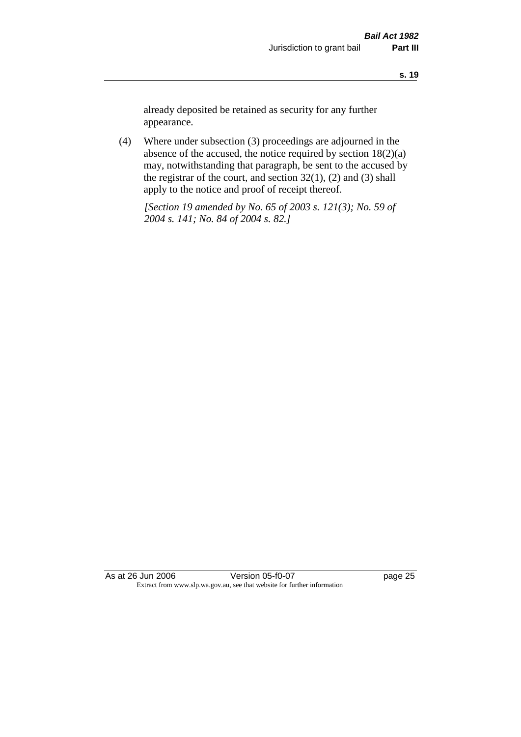already deposited be retained as security for any further appearance.

(4) Where under subsection (3) proceedings are adjourned in the absence of the accused, the notice required by section 18(2)(a) may, notwithstanding that paragraph, be sent to the accused by the registrar of the court, and section  $32(1)$ ,  $(2)$  and  $(3)$  shall apply to the notice and proof of receipt thereof.

*[Section 19 amended by No. 65 of 2003 s. 121(3); No. 59 of 2004 s. 141; No. 84 of 2004 s. 82.]*

As at 26 Jun 2006 Version 05-f0-07 page 25 Extract from www.slp.wa.gov.au, see that website for further information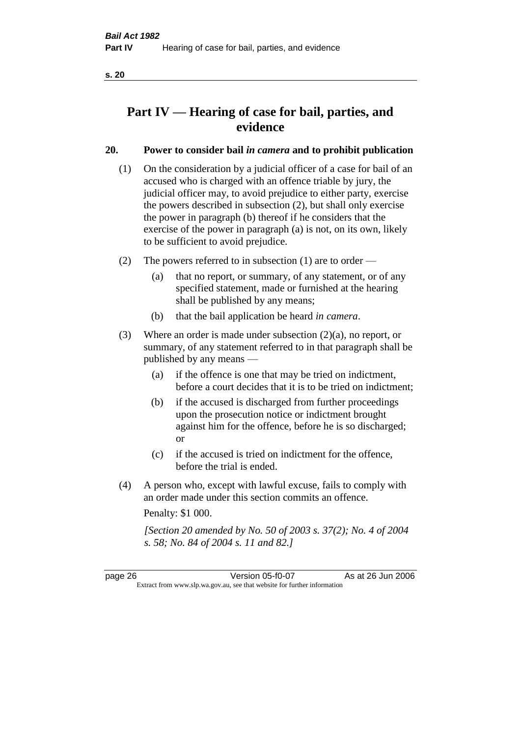## **Part IV — Hearing of case for bail, parties, and evidence**

## **20. Power to consider bail** *in camera* **and to prohibit publication**

- (1) On the consideration by a judicial officer of a case for bail of an accused who is charged with an offence triable by jury, the judicial officer may, to avoid prejudice to either party, exercise the powers described in subsection (2), but shall only exercise the power in paragraph (b) thereof if he considers that the exercise of the power in paragraph (a) is not, on its own, likely to be sufficient to avoid prejudice.
- (2) The powers referred to in subsection (1) are to order
	- (a) that no report, or summary, of any statement, or of any specified statement, made or furnished at the hearing shall be published by any means;
	- (b) that the bail application be heard *in camera*.
- (3) Where an order is made under subsection (2)(a), no report, or summary, of any statement referred to in that paragraph shall be published by any means —
	- (a) if the offence is one that may be tried on indictment, before a court decides that it is to be tried on indictment;
	- (b) if the accused is discharged from further proceedings upon the prosecution notice or indictment brought against him for the offence, before he is so discharged; or
	- (c) if the accused is tried on indictment for the offence, before the trial is ended.
- (4) A person who, except with lawful excuse, fails to comply with an order made under this section commits an offence.

Penalty: \$1 000.

*[Section 20 amended by No. 50 of 2003 s. 37(2); No. 4 of 2004 s. 58; No. 84 of 2004 s. 11 and 82.]*

page 26 Version 05-f0-07 As at 26 Jun 2006 Extract from www.slp.wa.gov.au, see that website for further information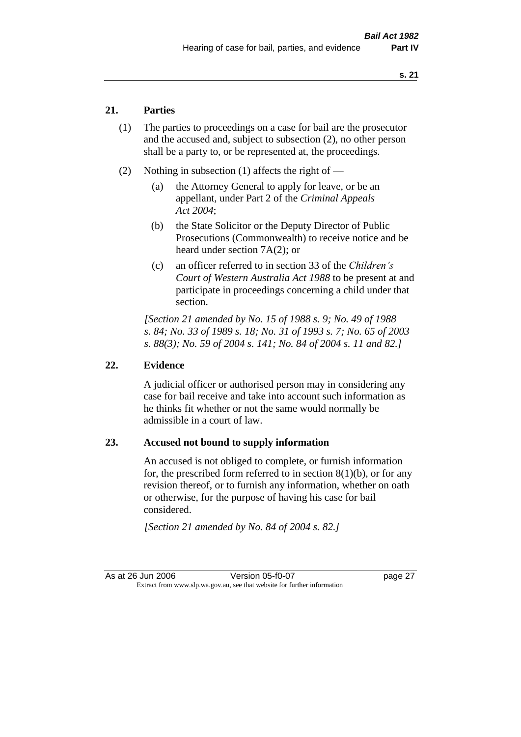## **21. Parties**

- (1) The parties to proceedings on a case for bail are the prosecutor and the accused and, subject to subsection (2), no other person shall be a party to, or be represented at, the proceedings.
- (2) Nothing in subsection (1) affects the right of
	- (a) the Attorney General to apply for leave, or be an appellant, under Part 2 of the *Criminal Appeals Act 2004*;
	- (b) the State Solicitor or the Deputy Director of Public Prosecutions (Commonwealth) to receive notice and be heard under section 7A(2); or
	- (c) an officer referred to in section 33 of the *Children's Court of Western Australia Act 1988* to be present at and participate in proceedings concerning a child under that section.

*[Section 21 amended by No. 15 of 1988 s. 9; No. 49 of 1988 s. 84; No. 33 of 1989 s. 18; No. 31 of 1993 s. 7; No. 65 of 2003 s. 88(3); No. 59 of 2004 s. 141; No. 84 of 2004 s. 11 and 82.]* 

#### **22. Evidence**

A judicial officer or authorised person may in considering any case for bail receive and take into account such information as he thinks fit whether or not the same would normally be admissible in a court of law.

## **23. Accused not bound to supply information**

An accused is not obliged to complete, or furnish information for, the prescribed form referred to in section  $8(1)(b)$ , or for any revision thereof, or to furnish any information, whether on oath or otherwise, for the purpose of having his case for bail considered.

*[Section 21 amended by No. 84 of 2004 s. 82.]* 

As at 26 Jun 2006 Version 05-f0-07 page 27 Extract from www.slp.wa.gov.au, see that website for further information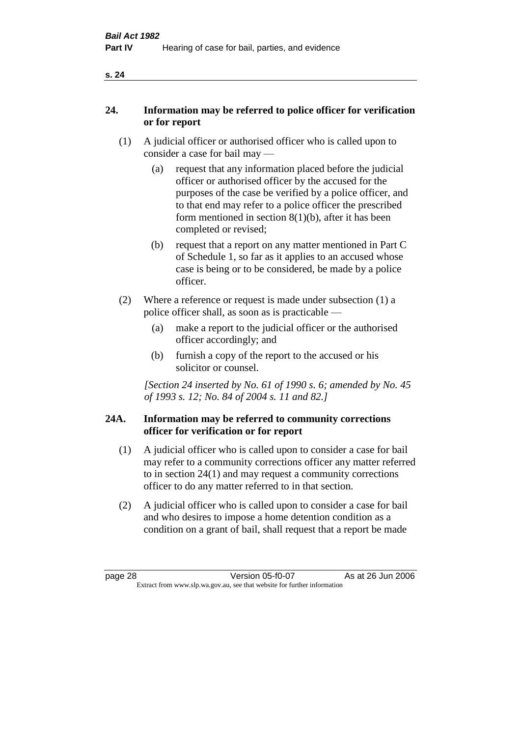| v |  |
|---|--|
|   |  |

## **24. Information may be referred to police officer for verification or for report**

- (1) A judicial officer or authorised officer who is called upon to consider a case for bail may —
	- (a) request that any information placed before the judicial officer or authorised officer by the accused for the purposes of the case be verified by a police officer, and to that end may refer to a police officer the prescribed form mentioned in section 8(1)(b), after it has been completed or revised;
	- (b) request that a report on any matter mentioned in Part C of Schedule 1, so far as it applies to an accused whose case is being or to be considered, be made by a police officer.
- (2) Where a reference or request is made under subsection (1) a police officer shall, as soon as is practicable —
	- (a) make a report to the judicial officer or the authorised officer accordingly; and
	- (b) furnish a copy of the report to the accused or his solicitor or counsel.

*[Section 24 inserted by No. 61 of 1990 s. 6; amended by No. 45 of 1993 s. 12; No. 84 of 2004 s. 11 and 82.]* 

## **24A. Information may be referred to community corrections officer for verification or for report**

- (1) A judicial officer who is called upon to consider a case for bail may refer to a community corrections officer any matter referred to in section 24(1) and may request a community corrections officer to do any matter referred to in that section.
- (2) A judicial officer who is called upon to consider a case for bail and who desires to impose a home detention condition as a condition on a grant of bail, shall request that a report be made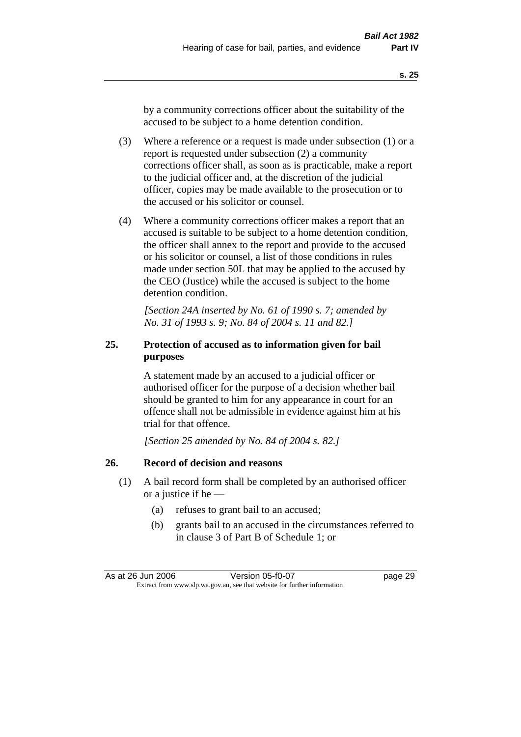by a community corrections officer about the suitability of the accused to be subject to a home detention condition.

- (3) Where a reference or a request is made under subsection (1) or a report is requested under subsection (2) a community corrections officer shall, as soon as is practicable, make a report to the judicial officer and, at the discretion of the judicial officer, copies may be made available to the prosecution or to the accused or his solicitor or counsel.
- (4) Where a community corrections officer makes a report that an accused is suitable to be subject to a home detention condition, the officer shall annex to the report and provide to the accused or his solicitor or counsel, a list of those conditions in rules made under section 50L that may be applied to the accused by the CEO (Justice) while the accused is subject to the home detention condition.

*[Section 24A inserted by No. 61 of 1990 s. 7; amended by No. 31 of 1993 s. 9; No. 84 of 2004 s. 11 and 82.]* 

# **25. Protection of accused as to information given for bail purposes**

A statement made by an accused to a judicial officer or authorised officer for the purpose of a decision whether bail should be granted to him for any appearance in court for an offence shall not be admissible in evidence against him at his trial for that offence.

*[Section 25 amended by No. 84 of 2004 s. 82.]* 

## **26. Record of decision and reasons**

- (1) A bail record form shall be completed by an authorised officer or a justice if he —
	- (a) refuses to grant bail to an accused;
	- (b) grants bail to an accused in the circumstances referred to in clause 3 of Part B of Schedule 1; or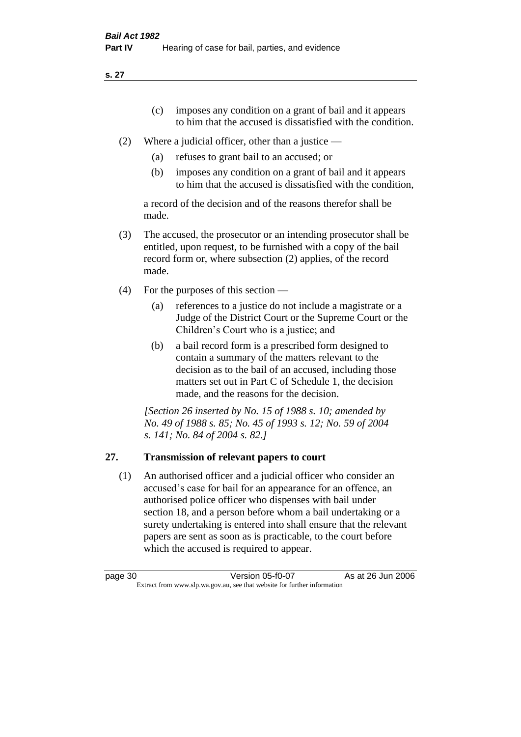**s. 27**

- (c) imposes any condition on a grant of bail and it appears to him that the accused is dissatisfied with the condition.
- (2) Where a judicial officer, other than a justice
	- (a) refuses to grant bail to an accused; or
	- (b) imposes any condition on a grant of bail and it appears to him that the accused is dissatisfied with the condition,

a record of the decision and of the reasons therefor shall be made.

- (3) The accused, the prosecutor or an intending prosecutor shall be entitled, upon request, to be furnished with a copy of the bail record form or, where subsection (2) applies, of the record made.
- (4) For the purposes of this section
	- (a) references to a justice do not include a magistrate or a Judge of the District Court or the Supreme Court or the Children's Court who is a justice; and
	- (b) a bail record form is a prescribed form designed to contain a summary of the matters relevant to the decision as to the bail of an accused, including those matters set out in Part C of Schedule 1, the decision made, and the reasons for the decision.

*[Section 26 inserted by No. 15 of 1988 s. 10; amended by No. 49 of 1988 s. 85; No. 45 of 1993 s. 12; No. 59 of 2004 s. 141; No. 84 of 2004 s. 82.]* 

# **27. Transmission of relevant papers to court**

(1) An authorised officer and a judicial officer who consider an accused's case for bail for an appearance for an offence, an authorised police officer who dispenses with bail under section 18, and a person before whom a bail undertaking or a surety undertaking is entered into shall ensure that the relevant papers are sent as soon as is practicable, to the court before which the accused is required to appear.

page 30 Version 05-f0-07 As at 26 Jun 2006 Extract from www.slp.wa.gov.au, see that website for further information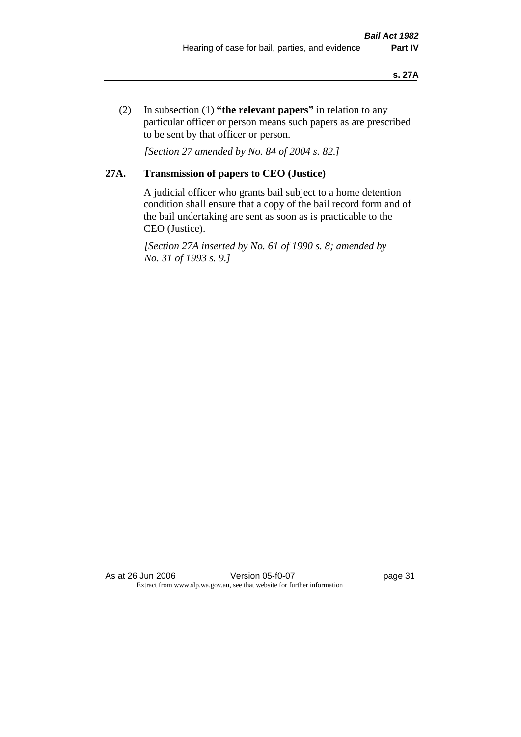(2) In subsection (1) **"the relevant papers"** in relation to any particular officer or person means such papers as are prescribed to be sent by that officer or person.

*[Section 27 amended by No. 84 of 2004 s. 82.]* 

# **27A. Transmission of papers to CEO (Justice)**

A judicial officer who grants bail subject to a home detention condition shall ensure that a copy of the bail record form and of the bail undertaking are sent as soon as is practicable to the CEO (Justice).

*[Section 27A inserted by No. 61 of 1990 s. 8; amended by No. 31 of 1993 s. 9.]* 

As at 26 Jun 2006 Version 05-f0-07 page 31 Extract from www.slp.wa.gov.au, see that website for further information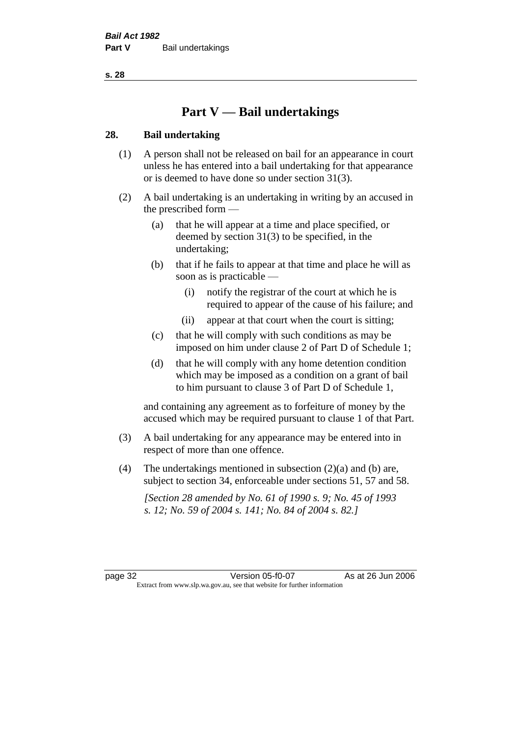**s. 28**

# **Part V — Bail undertakings**

## **28. Bail undertaking**

- (1) A person shall not be released on bail for an appearance in court unless he has entered into a bail undertaking for that appearance or is deemed to have done so under section 31(3).
- (2) A bail undertaking is an undertaking in writing by an accused in the prescribed form —
	- (a) that he will appear at a time and place specified, or deemed by section 31(3) to be specified, in the undertaking;
	- (b) that if he fails to appear at that time and place he will as soon as is practicable —
		- (i) notify the registrar of the court at which he is required to appear of the cause of his failure; and
		- (ii) appear at that court when the court is sitting;
	- (c) that he will comply with such conditions as may be imposed on him under clause 2 of Part D of Schedule 1;
	- (d) that he will comply with any home detention condition which may be imposed as a condition on a grant of bail to him pursuant to clause 3 of Part D of Schedule 1,

and containing any agreement as to forfeiture of money by the accused which may be required pursuant to clause 1 of that Part.

- (3) A bail undertaking for any appearance may be entered into in respect of more than one offence.
- (4) The undertakings mentioned in subsection  $(2)(a)$  and (b) are, subject to section 34, enforceable under sections 51, 57 and 58.

*[Section 28 amended by No. 61 of 1990 s. 9; No. 45 of 1993 s. 12; No. 59 of 2004 s. 141; No. 84 of 2004 s. 82.]* 

page 32 Version 05-f0-07 As at 26 Jun 2006 Extract from www.slp.wa.gov.au, see that website for further information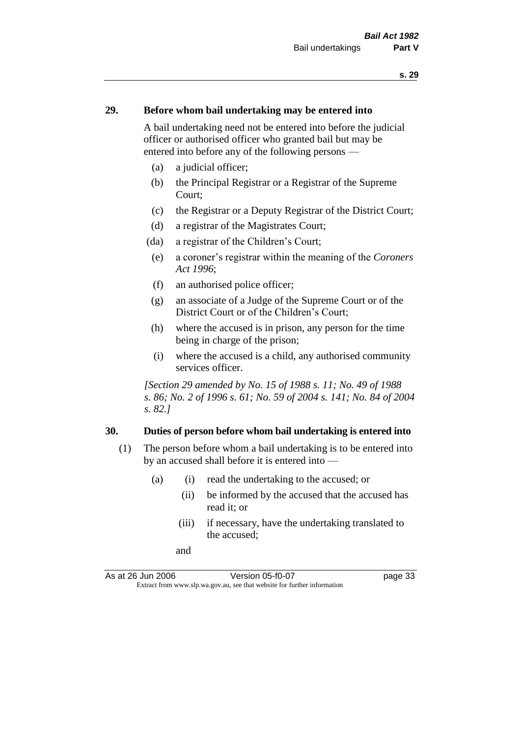### **29. Before whom bail undertaking may be entered into**

A bail undertaking need not be entered into before the judicial officer or authorised officer who granted bail but may be entered into before any of the following persons —

- (a) a judicial officer;
- (b) the Principal Registrar or a Registrar of the Supreme Court;
- (c) the Registrar or a Deputy Registrar of the District Court;
- (d) a registrar of the Magistrates Court;
- (da) a registrar of the Children's Court;
- (e) a coroner's registrar within the meaning of the *Coroners Act 1996*;
- (f) an authorised police officer;
- (g) an associate of a Judge of the Supreme Court or of the District Court or of the Children's Court;
- (h) where the accused is in prison, any person for the time being in charge of the prison;
- (i) where the accused is a child, any authorised community services officer.

*[Section 29 amended by No. 15 of 1988 s. 11; No. 49 of 1988 s. 86; No. 2 of 1996 s. 61; No. 59 of 2004 s. 141; No. 84 of 2004 s. 82.]* 

### **30. Duties of person before whom bail undertaking is entered into**

- (1) The person before whom a bail undertaking is to be entered into by an accused shall before it is entered into —
	- (a) (i) read the undertaking to the accused; or
		- (ii) be informed by the accused that the accused has read it; or
		- (iii) if necessary, have the undertaking translated to the accused;
		- and

As at 26 Jun 2006 Version 05-f0-07 page 33 Extract from www.slp.wa.gov.au, see that website for further information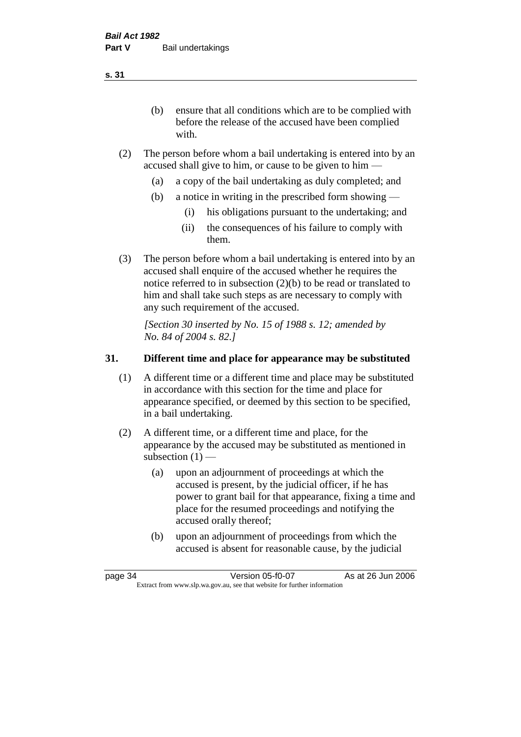(b) ensure that all conditions which are to be complied with before the release of the accused have been complied with.

- (2) The person before whom a bail undertaking is entered into by an accused shall give to him, or cause to be given to him —
	- (a) a copy of the bail undertaking as duly completed; and
	- (b) a notice in writing in the prescribed form showing
		- (i) his obligations pursuant to the undertaking; and
		- (ii) the consequences of his failure to comply with them.
- (3) The person before whom a bail undertaking is entered into by an accused shall enquire of the accused whether he requires the notice referred to in subsection (2)(b) to be read or translated to him and shall take such steps as are necessary to comply with any such requirement of the accused.

*[Section 30 inserted by No. 15 of 1988 s. 12; amended by No. 84 of 2004 s. 82.]* 

## **31. Different time and place for appearance may be substituted**

- (1) A different time or a different time and place may be substituted in accordance with this section for the time and place for appearance specified, or deemed by this section to be specified, in a bail undertaking.
- (2) A different time, or a different time and place, for the appearance by the accused may be substituted as mentioned in subsection  $(1)$  —
	- (a) upon an adjournment of proceedings at which the accused is present, by the judicial officer, if he has power to grant bail for that appearance, fixing a time and place for the resumed proceedings and notifying the accused orally thereof;
	- (b) upon an adjournment of proceedings from which the accused is absent for reasonable cause, by the judicial

page 34 Version 05-f0-07 As at 26 Jun 2006 Extract from www.slp.wa.gov.au, see that website for further information

**s. 31**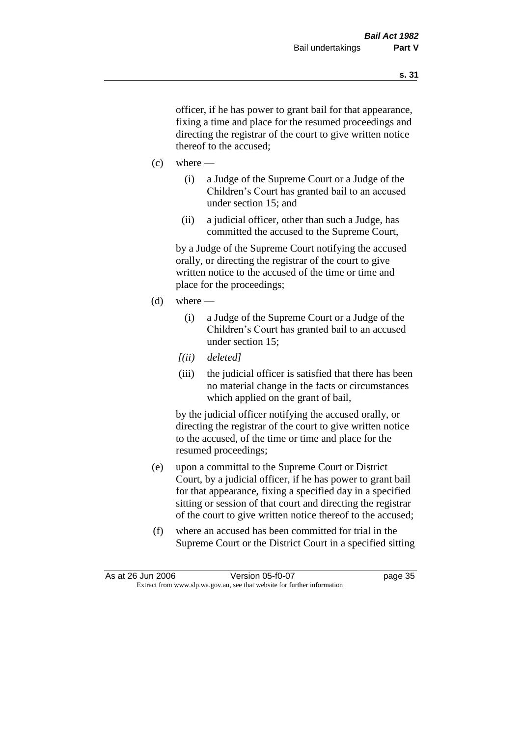officer, if he has power to grant bail for that appearance, fixing a time and place for the resumed proceedings and directing the registrar of the court to give written notice thereof to the accused;

- $(c)$  where
	- (i) a Judge of the Supreme Court or a Judge of the Children's Court has granted bail to an accused under section 15; and
	- (ii) a judicial officer, other than such a Judge, has committed the accused to the Supreme Court,

by a Judge of the Supreme Court notifying the accused orally, or directing the registrar of the court to give written notice to the accused of the time or time and place for the proceedings;

- $(d)$  where
	- (i) a Judge of the Supreme Court or a Judge of the Children's Court has granted bail to an accused under section 15;
	- *[(ii) deleted]*
	- (iii) the judicial officer is satisfied that there has been no material change in the facts or circumstances which applied on the grant of bail,

by the judicial officer notifying the accused orally, or directing the registrar of the court to give written notice to the accused, of the time or time and place for the resumed proceedings;

- (e) upon a committal to the Supreme Court or District Court, by a judicial officer, if he has power to grant bail for that appearance, fixing a specified day in a specified sitting or session of that court and directing the registrar of the court to give written notice thereof to the accused;
- (f) where an accused has been committed for trial in the Supreme Court or the District Court in a specified sitting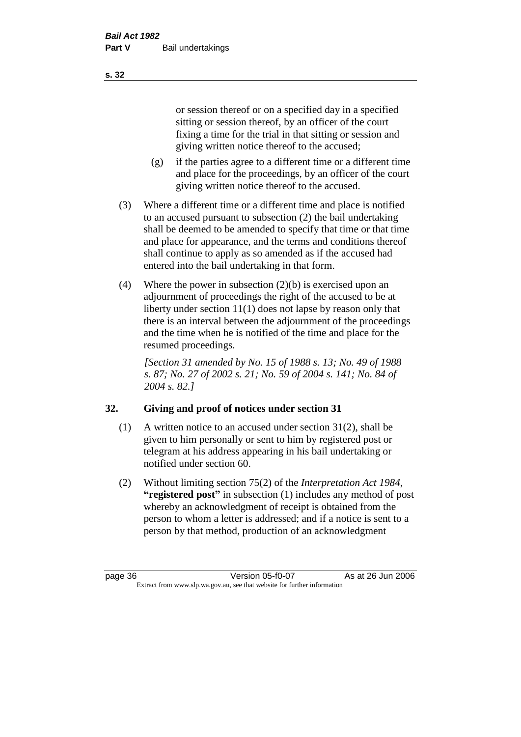or session thereof or on a specified day in a specified sitting or session thereof, by an officer of the court fixing a time for the trial in that sitting or session and giving written notice thereof to the accused;

- (g) if the parties agree to a different time or a different time and place for the proceedings, by an officer of the court giving written notice thereof to the accused.
- (3) Where a different time or a different time and place is notified to an accused pursuant to subsection (2) the bail undertaking shall be deemed to be amended to specify that time or that time and place for appearance, and the terms and conditions thereof shall continue to apply as so amended as if the accused had entered into the bail undertaking in that form.
- (4) Where the power in subsection (2)(b) is exercised upon an adjournment of proceedings the right of the accused to be at liberty under section 11(1) does not lapse by reason only that there is an interval between the adjournment of the proceedings and the time when he is notified of the time and place for the resumed proceedings.

*[Section 31 amended by No. 15 of 1988 s. 13; No. 49 of 1988 s. 87; No. 27 of 2002 s. 21; No. 59 of 2004 s. 141; No. 84 of 2004 s. 82.]* 

# **32. Giving and proof of notices under section 31**

- (1) A written notice to an accused under section 31(2), shall be given to him personally or sent to him by registered post or telegram at his address appearing in his bail undertaking or notified under section 60.
- (2) Without limiting section 75(2) of the *Interpretation Act 1984*, **"registered post"** in subsection (1) includes any method of post whereby an acknowledgment of receipt is obtained from the person to whom a letter is addressed; and if a notice is sent to a person by that method, production of an acknowledgment

**s. 32**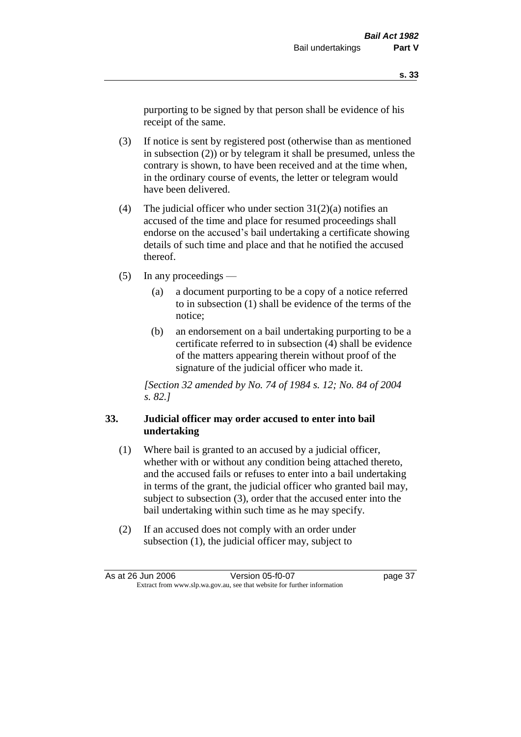purporting to be signed by that person shall be evidence of his receipt of the same.

- (3) If notice is sent by registered post (otherwise than as mentioned in subsection (2)) or by telegram it shall be presumed, unless the contrary is shown, to have been received and at the time when, in the ordinary course of events, the letter or telegram would have been delivered.
- (4) The judicial officer who under section  $31(2)(a)$  notifies an accused of the time and place for resumed proceedings shall endorse on the accused's bail undertaking a certificate showing details of such time and place and that he notified the accused thereof.
- (5) In any proceedings
	- (a) a document purporting to be a copy of a notice referred to in subsection (1) shall be evidence of the terms of the notice;
	- (b) an endorsement on a bail undertaking purporting to be a certificate referred to in subsection (4) shall be evidence of the matters appearing therein without proof of the signature of the judicial officer who made it.

*[Section 32 amended by No. 74 of 1984 s. 12; No. 84 of 2004 s. 82.]* 

## **33. Judicial officer may order accused to enter into bail undertaking**

- (1) Where bail is granted to an accused by a judicial officer, whether with or without any condition being attached thereto, and the accused fails or refuses to enter into a bail undertaking in terms of the grant, the judicial officer who granted bail may, subject to subsection (3), order that the accused enter into the bail undertaking within such time as he may specify.
- (2) If an accused does not comply with an order under subsection (1), the judicial officer may, subject to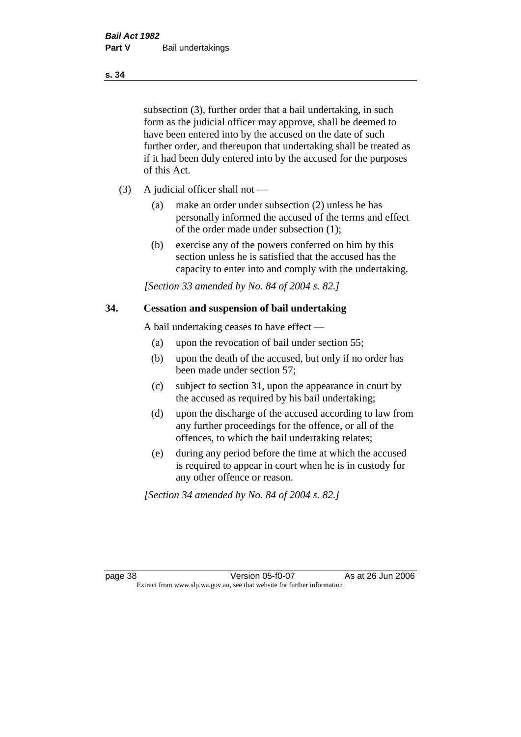subsection (3), further order that a bail undertaking, in such form as the judicial officer may approve, shall be deemed to have been entered into by the accused on the date of such further order, and thereupon that undertaking shall be treated as if it had been duly entered into by the accused for the purposes of this Act.

- (3) A judicial officer shall not
	- (a) make an order under subsection (2) unless he has personally informed the accused of the terms and effect of the order made under subsection (1);
	- (b) exercise any of the powers conferred on him by this section unless he is satisfied that the accused has the capacity to enter into and comply with the undertaking.

*[Section 33 amended by No. 84 of 2004 s. 82.]* 

### **34. Cessation and suspension of bail undertaking**

A bail undertaking ceases to have effect —

- (a) upon the revocation of bail under section 55;
- (b) upon the death of the accused, but only if no order has been made under section 57;
- (c) subject to section 31, upon the appearance in court by the accused as required by his bail undertaking;
- (d) upon the discharge of the accused according to law from any further proceedings for the offence, or all of the offences, to which the bail undertaking relates;
- (e) during any period before the time at which the accused is required to appear in court when he is in custody for any other offence or reason.

*[Section 34 amended by No. 84 of 2004 s. 82.]* 

page 38 Version 05-f0-07 As at 26 Jun 2006 Extract from www.slp.wa.gov.au, see that website for further information

#### **s. 34**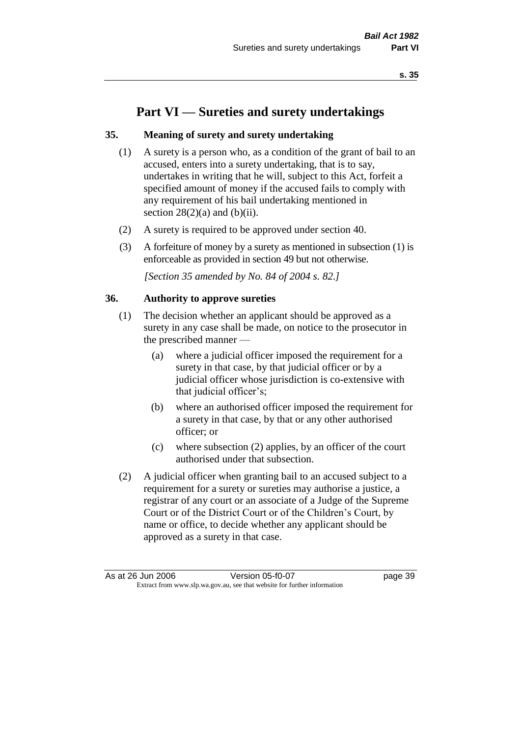# **Part VI — Sureties and surety undertakings**

## **35. Meaning of surety and surety undertaking**

- (1) A surety is a person who, as a condition of the grant of bail to an accused, enters into a surety undertaking, that is to say, undertakes in writing that he will, subject to this Act, forfeit a specified amount of money if the accused fails to comply with any requirement of his bail undertaking mentioned in section  $28(2)(a)$  and  $(b)(ii)$ .
- (2) A surety is required to be approved under section 40.
- (3) A forfeiture of money by a surety as mentioned in subsection (1) is enforceable as provided in section 49 but not otherwise.

*[Section 35 amended by No. 84 of 2004 s. 82.]* 

### **36. Authority to approve sureties**

- (1) The decision whether an applicant should be approved as a surety in any case shall be made, on notice to the prosecutor in the prescribed manner —
	- (a) where a judicial officer imposed the requirement for a surety in that case, by that judicial officer or by a judicial officer whose jurisdiction is co-extensive with that judicial officer's;
	- (b) where an authorised officer imposed the requirement for a surety in that case, by that or any other authorised officer; or
	- (c) where subsection (2) applies, by an officer of the court authorised under that subsection.
- (2) A judicial officer when granting bail to an accused subject to a requirement for a surety or sureties may authorise a justice, a registrar of any court or an associate of a Judge of the Supreme Court or of the District Court or of the Children's Court, by name or office, to decide whether any applicant should be approved as a surety in that case.

As at 26 Jun 2006 Version 05-f0-07 page 39 Extract from www.slp.wa.gov.au, see that website for further information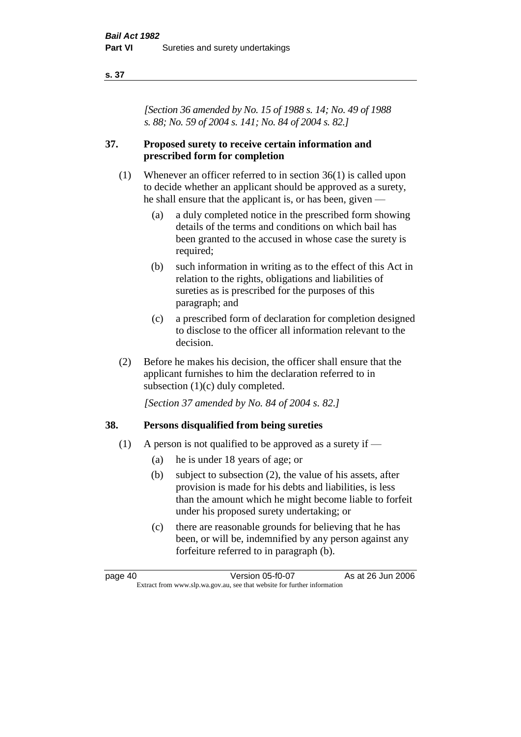### **s. 37**

*[Section 36 amended by No. 15 of 1988 s. 14; No. 49 of 1988 s. 88; No. 59 of 2004 s. 141; No. 84 of 2004 s. 82.]* 

## **37. Proposed surety to receive certain information and prescribed form for completion**

- (1) Whenever an officer referred to in section 36(1) is called upon to decide whether an applicant should be approved as a surety, he shall ensure that the applicant is, or has been, given —
	- (a) a duly completed notice in the prescribed form showing details of the terms and conditions on which bail has been granted to the accused in whose case the surety is required;
	- (b) such information in writing as to the effect of this Act in relation to the rights, obligations and liabilities of sureties as is prescribed for the purposes of this paragraph; and
	- (c) a prescribed form of declaration for completion designed to disclose to the officer all information relevant to the decision.
- (2) Before he makes his decision, the officer shall ensure that the applicant furnishes to him the declaration referred to in subsection (1)(c) duly completed.

*[Section 37 amended by No. 84 of 2004 s. 82.]* 

## **38. Persons disqualified from being sureties**

- (1) A person is not qualified to be approved as a surety if  $-$ 
	- (a) he is under 18 years of age; or
	- (b) subject to subsection (2), the value of his assets, after provision is made for his debts and liabilities, is less than the amount which he might become liable to forfeit under his proposed surety undertaking; or
	- (c) there are reasonable grounds for believing that he has been, or will be, indemnified by any person against any forfeiture referred to in paragraph (b).

page 40 Version 05-f0-07 As at 26 Jun 2006 Extract from www.slp.wa.gov.au, see that website for further information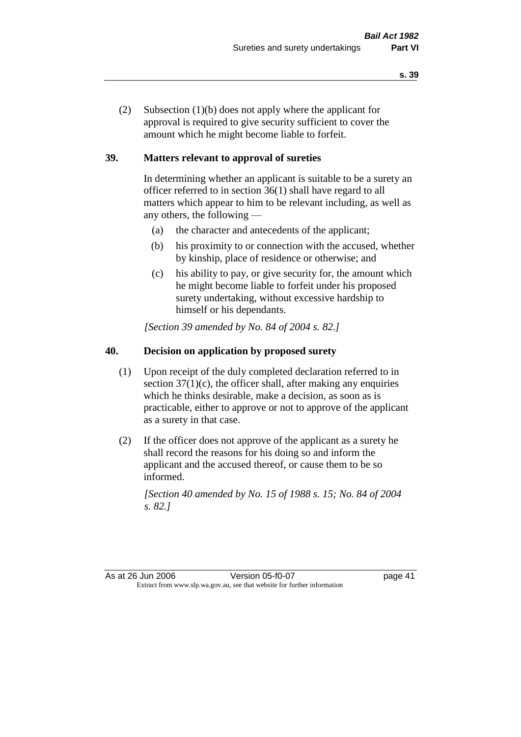(2) Subsection (1)(b) does not apply where the applicant for approval is required to give security sufficient to cover the amount which he might become liable to forfeit.

## **39. Matters relevant to approval of sureties**

In determining whether an applicant is suitable to be a surety an officer referred to in section 36(1) shall have regard to all matters which appear to him to be relevant including, as well as any others, the following —

- (a) the character and antecedents of the applicant;
- (b) his proximity to or connection with the accused, whether by kinship, place of residence or otherwise; and
- (c) his ability to pay, or give security for, the amount which he might become liable to forfeit under his proposed surety undertaking, without excessive hardship to himself or his dependants.

*[Section 39 amended by No. 84 of 2004 s. 82.]* 

# **40. Decision on application by proposed surety**

- (1) Upon receipt of the duly completed declaration referred to in section  $37(1)(c)$ , the officer shall, after making any enquiries which he thinks desirable, make a decision, as soon as is practicable, either to approve or not to approve of the applicant as a surety in that case.
- (2) If the officer does not approve of the applicant as a surety he shall record the reasons for his doing so and inform the applicant and the accused thereof, or cause them to be so informed.

*[Section 40 amended by No. 15 of 1988 s. 15; No. 84 of 2004 s. 82.]* 

As at 26 Jun 2006 Version 05-f0-07 page 41 Extract from www.slp.wa.gov.au, see that website for further information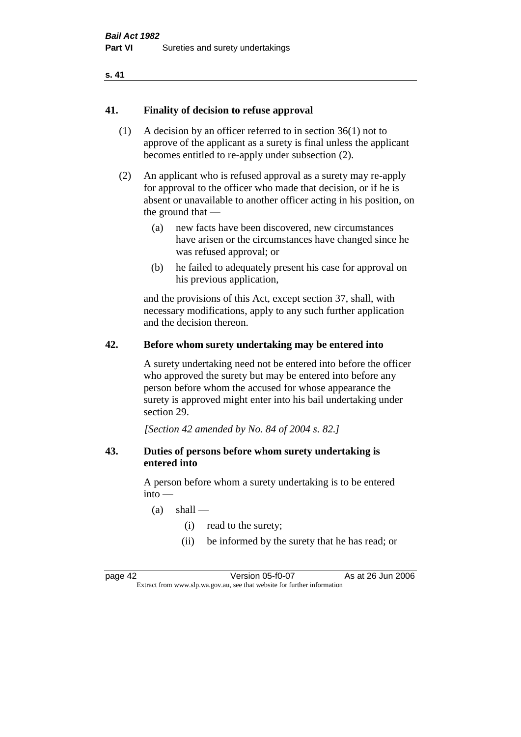### **s. 41**

### **41. Finality of decision to refuse approval**

- (1) A decision by an officer referred to in section 36(1) not to approve of the applicant as a surety is final unless the applicant becomes entitled to re-apply under subsection (2).
- (2) An applicant who is refused approval as a surety may re-apply for approval to the officer who made that decision, or if he is absent or unavailable to another officer acting in his position, on the ground that —
	- (a) new facts have been discovered, new circumstances have arisen or the circumstances have changed since he was refused approval; or
	- (b) he failed to adequately present his case for approval on his previous application,

and the provisions of this Act, except section 37, shall, with necessary modifications, apply to any such further application and the decision thereon.

### **42. Before whom surety undertaking may be entered into**

A surety undertaking need not be entered into before the officer who approved the surety but may be entered into before any person before whom the accused for whose appearance the surety is approved might enter into his bail undertaking under section 29.

*[Section 42 amended by No. 84 of 2004 s. 82.]* 

### **43. Duties of persons before whom surety undertaking is entered into**

A person before whom a surety undertaking is to be entered  $into -$ 

- $(a)$  shall
	- (i) read to the surety;
	- (ii) be informed by the surety that he has read; or

page 42 Version 05-f0-07 As at 26 Jun 2006 Extract from www.slp.wa.gov.au, see that website for further information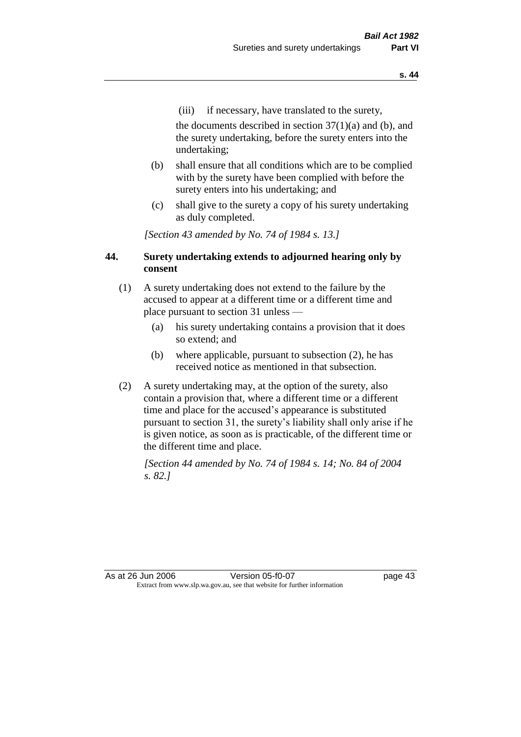(iii) if necessary, have translated to the surety,

the documents described in section  $37(1)(a)$  and (b), and the surety undertaking, before the surety enters into the undertaking;

- (b) shall ensure that all conditions which are to be complied with by the surety have been complied with before the surety enters into his undertaking; and
- (c) shall give to the surety a copy of his surety undertaking as duly completed.

*[Section 43 amended by No. 74 of 1984 s. 13.]* 

## **44. Surety undertaking extends to adjourned hearing only by consent**

- (1) A surety undertaking does not extend to the failure by the accused to appear at a different time or a different time and place pursuant to section 31 unless —
	- (a) his surety undertaking contains a provision that it does so extend; and
	- (b) where applicable, pursuant to subsection (2), he has received notice as mentioned in that subsection.
- (2) A surety undertaking may, at the option of the surety, also contain a provision that, where a different time or a different time and place for the accused's appearance is substituted pursuant to section 31, the surety's liability shall only arise if he is given notice, as soon as is practicable, of the different time or the different time and place.

*[Section 44 amended by No. 74 of 1984 s. 14; No. 84 of 2004 s. 82.]* 

As at 26 Jun 2006 Version 05-f0-07 page 43 Extract from www.slp.wa.gov.au, see that website for further information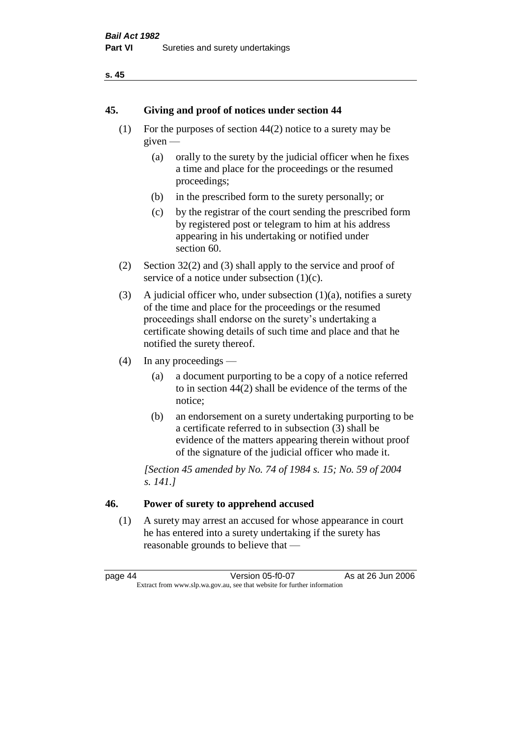### **s. 45**

### **45. Giving and proof of notices under section 44**

- (1) For the purposes of section 44(2) notice to a surety may be given —
	- (a) orally to the surety by the judicial officer when he fixes a time and place for the proceedings or the resumed proceedings;
	- (b) in the prescribed form to the surety personally; or
	- (c) by the registrar of the court sending the prescribed form by registered post or telegram to him at his address appearing in his undertaking or notified under section 60.
- (2) Section 32(2) and (3) shall apply to the service and proof of service of a notice under subsection  $(1)(c)$ .
- (3) A judicial officer who, under subsection  $(1)(a)$ , notifies a surety of the time and place for the proceedings or the resumed proceedings shall endorse on the surety's undertaking a certificate showing details of such time and place and that he notified the surety thereof.
- (4) In any proceedings
	- (a) a document purporting to be a copy of a notice referred to in section 44(2) shall be evidence of the terms of the notice;
	- (b) an endorsement on a surety undertaking purporting to be a certificate referred to in subsection (3) shall be evidence of the matters appearing therein without proof of the signature of the judicial officer who made it.

*[Section 45 amended by No. 74 of 1984 s. 15; No. 59 of 2004 s. 141.]* 

# **46. Power of surety to apprehend accused**

(1) A surety may arrest an accused for whose appearance in court he has entered into a surety undertaking if the surety has reasonable grounds to believe that —

page 44 Version 05-f0-07 As at 26 Jun 2006 Extract from www.slp.wa.gov.au, see that website for further information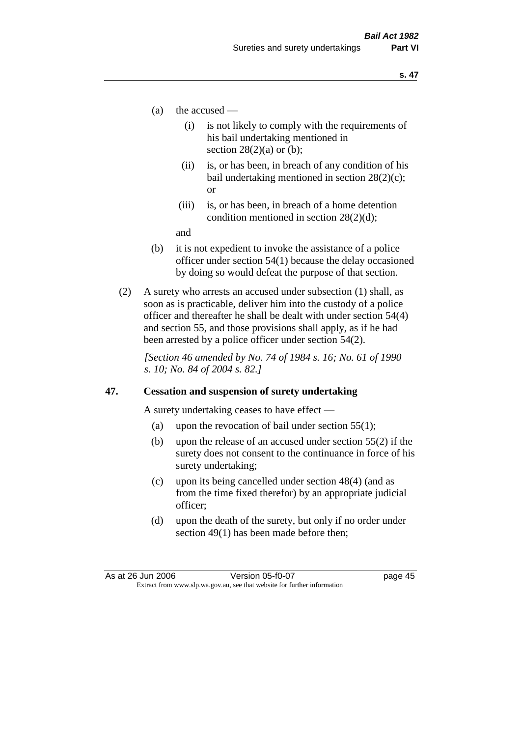- (a) the accused
	- (i) is not likely to comply with the requirements of his bail undertaking mentioned in section  $28(2)(a)$  or (b):
	- (ii) is, or has been, in breach of any condition of his bail undertaking mentioned in section 28(2)(c); or
	- (iii) is, or has been, in breach of a home detention condition mentioned in section 28(2)(d);

and

- (b) it is not expedient to invoke the assistance of a police officer under section 54(1) because the delay occasioned by doing so would defeat the purpose of that section.
- (2) A surety who arrests an accused under subsection (1) shall, as soon as is practicable, deliver him into the custody of a police officer and thereafter he shall be dealt with under section 54(4) and section 55, and those provisions shall apply, as if he had been arrested by a police officer under section 54(2).

*[Section 46 amended by No. 74 of 1984 s. 16; No. 61 of 1990 s. 10; No. 84 of 2004 s. 82.]* 

### **47. Cessation and suspension of surety undertaking**

A surety undertaking ceases to have effect —

- (a) upon the revocation of bail under section  $55(1)$ ;
- (b) upon the release of an accused under section 55(2) if the surety does not consent to the continuance in force of his surety undertaking;
- (c) upon its being cancelled under section 48(4) (and as from the time fixed therefor) by an appropriate judicial officer;
- (d) upon the death of the surety, but only if no order under section 49(1) has been made before then;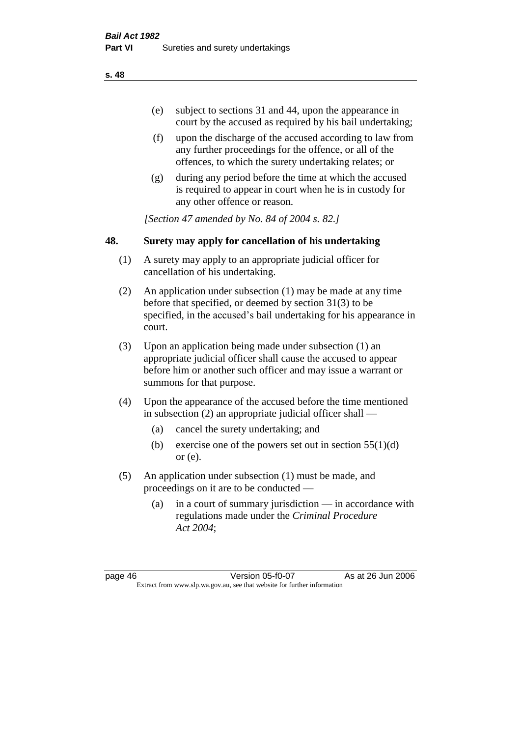- (e) subject to sections 31 and 44, upon the appearance in court by the accused as required by his bail undertaking;
- (f) upon the discharge of the accused according to law from any further proceedings for the offence, or all of the offences, to which the surety undertaking relates; or
- (g) during any period before the time at which the accused is required to appear in court when he is in custody for any other offence or reason.

*[Section 47 amended by No. 84 of 2004 s. 82.]* 

## **48. Surety may apply for cancellation of his undertaking**

- (1) A surety may apply to an appropriate judicial officer for cancellation of his undertaking.
- (2) An application under subsection (1) may be made at any time before that specified, or deemed by section 31(3) to be specified, in the accused's bail undertaking for his appearance in court.
- (3) Upon an application being made under subsection (1) an appropriate judicial officer shall cause the accused to appear before him or another such officer and may issue a warrant or summons for that purpose.
- (4) Upon the appearance of the accused before the time mentioned in subsection (2) an appropriate judicial officer shall —
	- (a) cancel the surety undertaking; and
	- (b) exercise one of the powers set out in section  $55(1)(d)$ or (e).
- (5) An application under subsection (1) must be made, and proceedings on it are to be conducted —
	- (a) in a court of summary jurisdiction in accordance with regulations made under the *Criminal Procedure Act 2004*;

page 46 Version 05-f0-07 As at 26 Jun 2006 Extract from www.slp.wa.gov.au, see that website for further information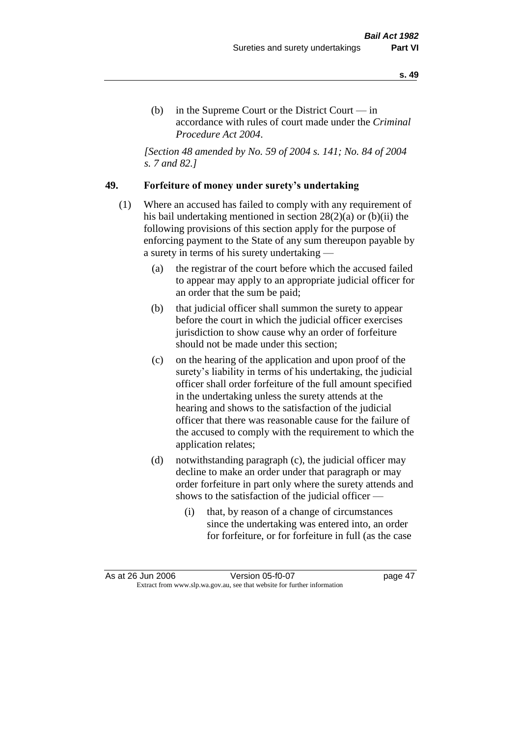(b) in the Supreme Court or the District Court  $-\text{in}$ accordance with rules of court made under the *Criminal Procedure Act 2004*.

*[Section 48 amended by No. 59 of 2004 s. 141; No. 84 of 2004 s. 7 and 82.]* 

### **49. Forfeiture of money under surety's undertaking**

- (1) Where an accused has failed to comply with any requirement of his bail undertaking mentioned in section 28(2)(a) or (b)(ii) the following provisions of this section apply for the purpose of enforcing payment to the State of any sum thereupon payable by a surety in terms of his surety undertaking —
	- (a) the registrar of the court before which the accused failed to appear may apply to an appropriate judicial officer for an order that the sum be paid;
	- (b) that judicial officer shall summon the surety to appear before the court in which the judicial officer exercises jurisdiction to show cause why an order of forfeiture should not be made under this section;
	- (c) on the hearing of the application and upon proof of the surety's liability in terms of his undertaking, the judicial officer shall order forfeiture of the full amount specified in the undertaking unless the surety attends at the hearing and shows to the satisfaction of the judicial officer that there was reasonable cause for the failure of the accused to comply with the requirement to which the application relates;
	- (d) notwithstanding paragraph (c), the judicial officer may decline to make an order under that paragraph or may order forfeiture in part only where the surety attends and shows to the satisfaction of the judicial officer —
		- (i) that, by reason of a change of circumstances since the undertaking was entered into, an order for forfeiture, or for forfeiture in full (as the case

As at 26 Jun 2006 Version 05-f0-07 page 47 Extract from www.slp.wa.gov.au, see that website for further information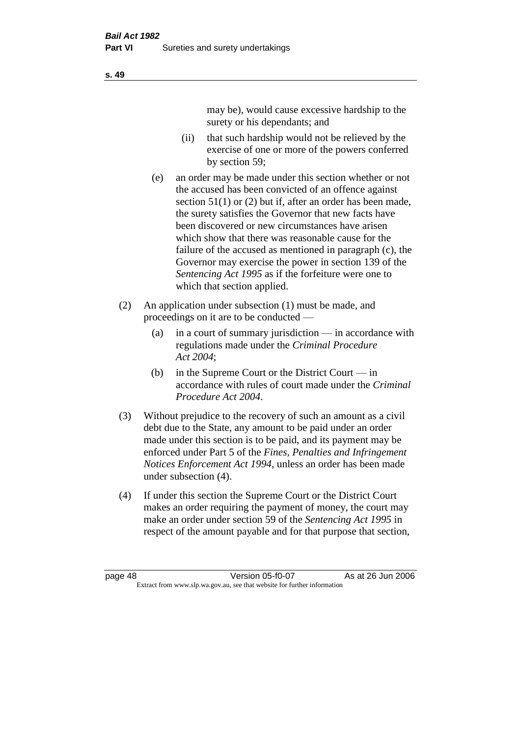may be), would cause excessive hardship to the surety or his dependants; and

- (ii) that such hardship would not be relieved by the exercise of one or more of the powers conferred by section 59;
- (e) an order may be made under this section whether or not the accused has been convicted of an offence against section 51(1) or (2) but if, after an order has been made, the surety satisfies the Governor that new facts have been discovered or new circumstances have arisen which show that there was reasonable cause for the failure of the accused as mentioned in paragraph (c), the Governor may exercise the power in section 139 of the *Sentencing Act 1995* as if the forfeiture were one to which that section applied.
- (2) An application under subsection (1) must be made, and proceedings on it are to be conducted —
	- (a) in a court of summary jurisdiction in accordance with regulations made under the *Criminal Procedure Act 2004*;
	- (b) in the Supreme Court or the District Court  $-\text{in}$ accordance with rules of court made under the *Criminal Procedure Act 2004*.
- (3) Without prejudice to the recovery of such an amount as a civil debt due to the State, any amount to be paid under an order made under this section is to be paid, and its payment may be enforced under Part 5 of the *Fines, Penalties and Infringement Notices Enforcement Act 1994*, unless an order has been made under subsection (4).
- (4) If under this section the Supreme Court or the District Court makes an order requiring the payment of money, the court may make an order under section 59 of the *Sentencing Act 1995* in respect of the amount payable and for that purpose that section,

page 48 Version 05-f0-07 As at 26 Jun 2006 Extract from www.slp.wa.gov.au, see that website for further information

**s. 49**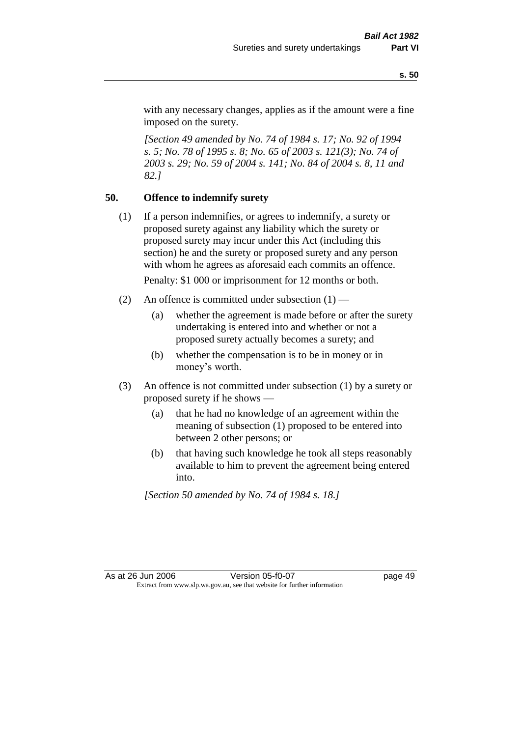with any necessary changes, applies as if the amount were a fine imposed on the surety.

*[Section 49 amended by No. 74 of 1984 s. 17; No. 92 of 1994 s. 5; No. 78 of 1995 s. 8; No. 65 of 2003 s. 121(3); No. 74 of 2003 s. 29; No. 59 of 2004 s. 141; No. 84 of 2004 s. 8, 11 and 82.]* 

## **50. Offence to indemnify surety**

(1) If a person indemnifies, or agrees to indemnify, a surety or proposed surety against any liability which the surety or proposed surety may incur under this Act (including this section) he and the surety or proposed surety and any person with whom he agrees as aforesaid each commits an offence.

Penalty: \$1 000 or imprisonment for 12 months or both.

- (2) An offence is committed under subsection  $(1)$ 
	- (a) whether the agreement is made before or after the surety undertaking is entered into and whether or not a proposed surety actually becomes a surety; and
	- (b) whether the compensation is to be in money or in money's worth.
- (3) An offence is not committed under subsection (1) by a surety or proposed surety if he shows —
	- (a) that he had no knowledge of an agreement within the meaning of subsection (1) proposed to be entered into between 2 other persons; or
	- (b) that having such knowledge he took all steps reasonably available to him to prevent the agreement being entered into.

*[Section 50 amended by No. 74 of 1984 s. 18.]*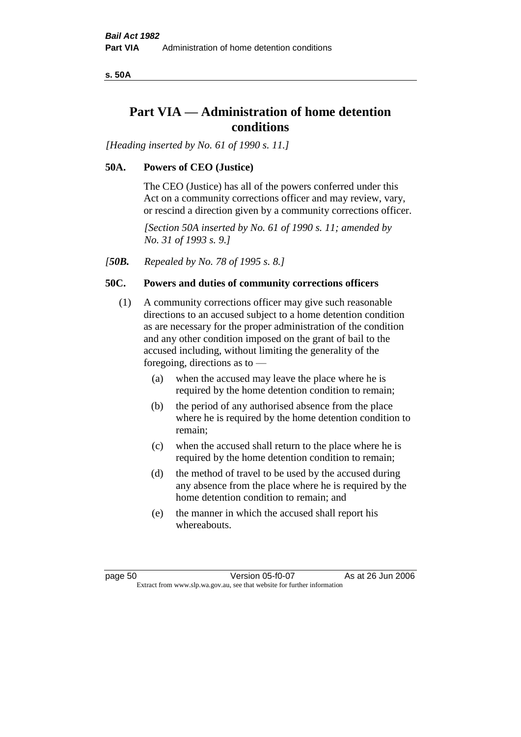**s. 50A**

# **Part VIA — Administration of home detention conditions**

*[Heading inserted by No. 61 of 1990 s. 11.]* 

## **50A. Powers of CEO (Justice)**

The CEO (Justice) has all of the powers conferred under this Act on a community corrections officer and may review, vary, or rescind a direction given by a community corrections officer.

*[Section 50A inserted by No. 61 of 1990 s. 11; amended by No. 31 of 1993 s. 9.]* 

*[50B. Repealed by No. 78 of 1995 s. 8.]* 

## **50C. Powers and duties of community corrections officers**

- (1) A community corrections officer may give such reasonable directions to an accused subject to a home detention condition as are necessary for the proper administration of the condition and any other condition imposed on the grant of bail to the accused including, without limiting the generality of the foregoing, directions as to —
	- (a) when the accused may leave the place where he is required by the home detention condition to remain;
	- (b) the period of any authorised absence from the place where he is required by the home detention condition to remain;
	- (c) when the accused shall return to the place where he is required by the home detention condition to remain;
	- (d) the method of travel to be used by the accused during any absence from the place where he is required by the home detention condition to remain; and
	- (e) the manner in which the accused shall report his whereabouts.

page 50 Version 05-f0-07 As at 26 Jun 2006 Extract from www.slp.wa.gov.au, see that website for further information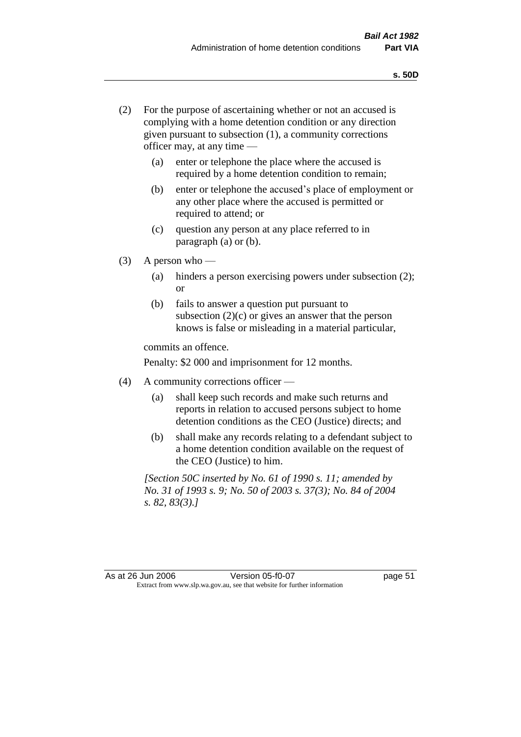- (2) For the purpose of ascertaining whether or not an accused is complying with a home detention condition or any direction given pursuant to subsection (1), a community corrections officer may, at any time —
	- (a) enter or telephone the place where the accused is required by a home detention condition to remain;
	- (b) enter or telephone the accused's place of employment or any other place where the accused is permitted or required to attend; or
	- (c) question any person at any place referred to in paragraph (a) or (b).
- $(3)$  A person who
	- (a) hinders a person exercising powers under subsection (2); or
	- (b) fails to answer a question put pursuant to subsection  $(2)(c)$  or gives an answer that the person knows is false or misleading in a material particular,

commits an offence.

Penalty: \$2 000 and imprisonment for 12 months.

- (4) A community corrections officer
	- (a) shall keep such records and make such returns and reports in relation to accused persons subject to home detention conditions as the CEO (Justice) directs; and
	- (b) shall make any records relating to a defendant subject to a home detention condition available on the request of the CEO (Justice) to him.

*[Section 50C inserted by No. 61 of 1990 s. 11; amended by No. 31 of 1993 s. 9; No. 50 of 2003 s. 37(3); No. 84 of 2004 s. 82, 83(3).]*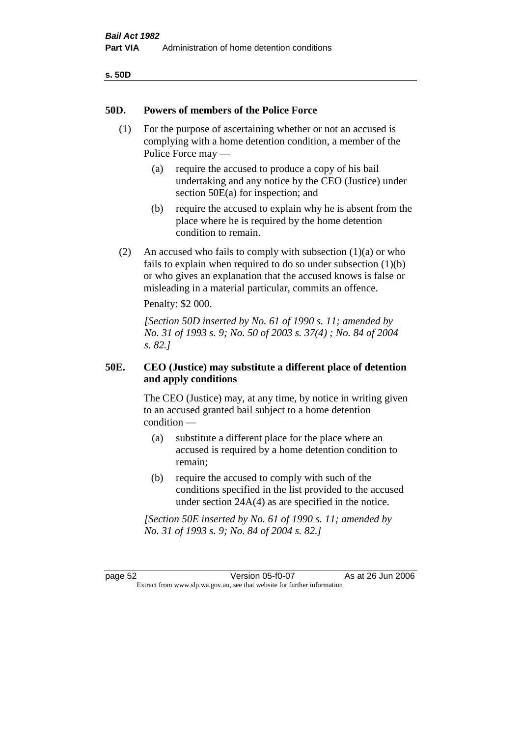| v<br>۰,<br>٠<br>۰.<br>× |  |
|-------------------------|--|
|-------------------------|--|

### **50D. Powers of members of the Police Force**

- (1) For the purpose of ascertaining whether or not an accused is complying with a home detention condition, a member of the Police Force may —
	- (a) require the accused to produce a copy of his bail undertaking and any notice by the CEO (Justice) under section 50E(a) for inspection; and
	- (b) require the accused to explain why he is absent from the place where he is required by the home detention condition to remain.
- (2) An accused who fails to comply with subsection  $(1)(a)$  or who fails to explain when required to do so under subsection (1)(b) or who gives an explanation that the accused knows is false or misleading in a material particular, commits an offence.

Penalty: \$2 000.

*[Section 50D inserted by No. 61 of 1990 s. 11; amended by No. 31 of 1993 s. 9; No. 50 of 2003 s. 37(4) ; No. 84 of 2004 s. 82.]* 

## **50E. CEO (Justice) may substitute a different place of detention and apply conditions**

The CEO (Justice) may, at any time, by notice in writing given to an accused granted bail subject to a home detention condition —

- (a) substitute a different place for the place where an accused is required by a home detention condition to remain;
- (b) require the accused to comply with such of the conditions specified in the list provided to the accused under section 24A(4) as are specified in the notice.

*[Section 50E inserted by No. 61 of 1990 s. 11; amended by No. 31 of 1993 s. 9; No. 84 of 2004 s. 82.]* 

page 52 Version 05-f0-07 As at 26 Jun 2006 Extract from www.slp.wa.gov.au, see that website for further information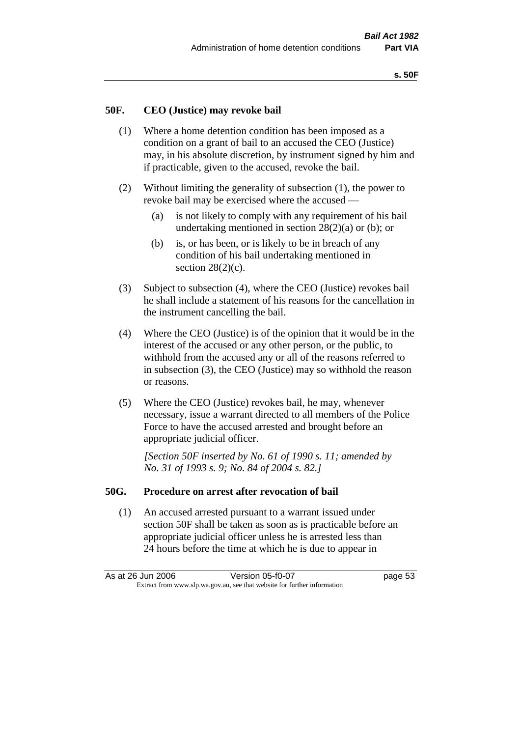### **50F. CEO (Justice) may revoke bail**

- (1) Where a home detention condition has been imposed as a condition on a grant of bail to an accused the CEO (Justice) may, in his absolute discretion, by instrument signed by him and if practicable, given to the accused, revoke the bail.
- (2) Without limiting the generality of subsection (1), the power to revoke bail may be exercised where the accused —
	- (a) is not likely to comply with any requirement of his bail undertaking mentioned in section  $28(2)(a)$  or (b); or
	- (b) is, or has been, or is likely to be in breach of any condition of his bail undertaking mentioned in section  $28(2)(c)$ .
- (3) Subject to subsection (4), where the CEO (Justice) revokes bail he shall include a statement of his reasons for the cancellation in the instrument cancelling the bail.
- (4) Where the CEO (Justice) is of the opinion that it would be in the interest of the accused or any other person, or the public, to withhold from the accused any or all of the reasons referred to in subsection (3), the CEO (Justice) may so withhold the reason or reasons.
- (5) Where the CEO (Justice) revokes bail, he may, whenever necessary, issue a warrant directed to all members of the Police Force to have the accused arrested and brought before an appropriate judicial officer.

*[Section 50F inserted by No. 61 of 1990 s. 11; amended by No. 31 of 1993 s. 9; No. 84 of 2004 s. 82.]* 

#### **50G. Procedure on arrest after revocation of bail**

(1) An accused arrested pursuant to a warrant issued under section 50F shall be taken as soon as is practicable before an appropriate judicial officer unless he is arrested less than 24 hours before the time at which he is due to appear in

As at 26 Jun 2006 Version 05-f0-07 page 53 Extract from www.slp.wa.gov.au, see that website for further information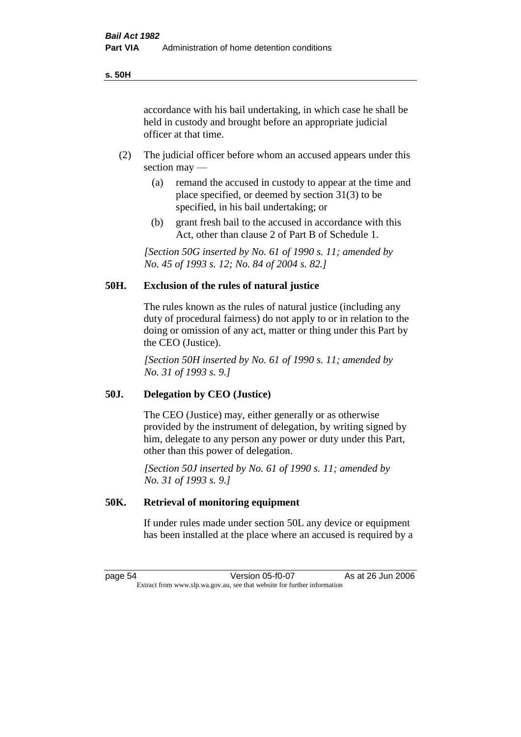accordance with his bail undertaking, in which case he shall be held in custody and brought before an appropriate judicial officer at that time.

- (2) The judicial officer before whom an accused appears under this section may —
	- (a) remand the accused in custody to appear at the time and place specified, or deemed by section 31(3) to be specified, in his bail undertaking; or
	- (b) grant fresh bail to the accused in accordance with this Act, other than clause 2 of Part B of Schedule 1.

*[Section 50G inserted by No. 61 of 1990 s. 11; amended by No. 45 of 1993 s. 12; No. 84 of 2004 s. 82.]* 

# **50H. Exclusion of the rules of natural justice**

The rules known as the rules of natural justice (including any duty of procedural fairness) do not apply to or in relation to the doing or omission of any act, matter or thing under this Part by the CEO (Justice).

*[Section 50H inserted by No. 61 of 1990 s. 11; amended by No. 31 of 1993 s. 9.]* 

### **50J. Delegation by CEO (Justice)**

The CEO (Justice) may, either generally or as otherwise provided by the instrument of delegation, by writing signed by him, delegate to any person any power or duty under this Part, other than this power of delegation.

*[Section 50J inserted by No. 61 of 1990 s. 11; amended by No. 31 of 1993 s. 9.]* 

### **50K. Retrieval of monitoring equipment**

If under rules made under section 50L any device or equipment has been installed at the place where an accused is required by a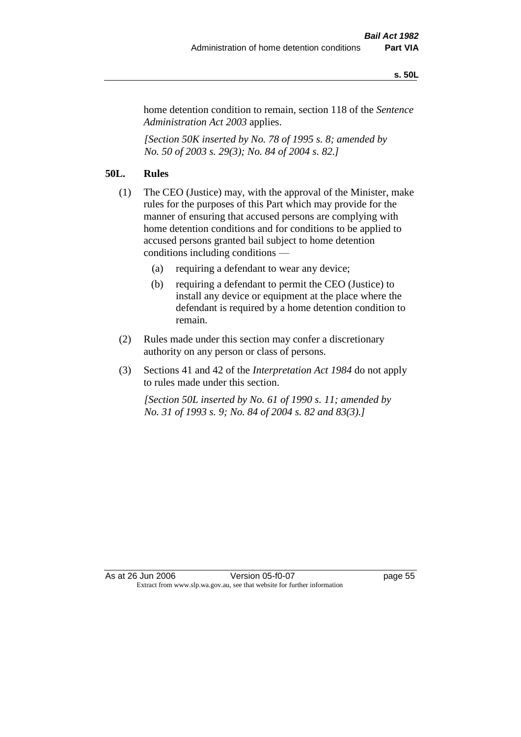#### **s. 50L**

home detention condition to remain, section 118 of the *Sentence Administration Act 2003* applies.

*[Section 50K inserted by No. 78 of 1995 s. 8; amended by No. 50 of 2003 s. 29(3); No. 84 of 2004 s. 82.]* 

## **50L. Rules**

- (1) The CEO (Justice) may, with the approval of the Minister, make rules for the purposes of this Part which may provide for the manner of ensuring that accused persons are complying with home detention conditions and for conditions to be applied to accused persons granted bail subject to home detention conditions including conditions —
	- (a) requiring a defendant to wear any device;
	- (b) requiring a defendant to permit the CEO (Justice) to install any device or equipment at the place where the defendant is required by a home detention condition to remain.
- (2) Rules made under this section may confer a discretionary authority on any person or class of persons.
- (3) Sections 41 and 42 of the *Interpretation Act 1984* do not apply to rules made under this section.

*[Section 50L inserted by No. 61 of 1990 s. 11; amended by No. 31 of 1993 s. 9; No. 84 of 2004 s. 82 and 83(3).]*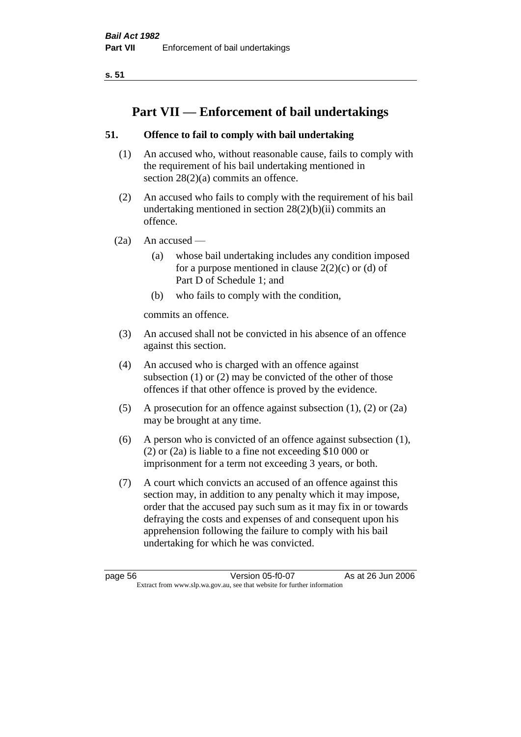**s. 51**

# **Part VII — Enforcement of bail undertakings**

# **51. Offence to fail to comply with bail undertaking**

- (1) An accused who, without reasonable cause, fails to comply with the requirement of his bail undertaking mentioned in section 28(2)(a) commits an offence.
- (2) An accused who fails to comply with the requirement of his bail undertaking mentioned in section  $28(2)(b)(ii)$  commits an offence.
- $(2a)$  An accused
	- (a) whose bail undertaking includes any condition imposed for a purpose mentioned in clause  $2(2)(c)$  or (d) of Part D of Schedule 1; and
	- (b) who fails to comply with the condition,

commits an offence.

- (3) An accused shall not be convicted in his absence of an offence against this section.
- (4) An accused who is charged with an offence against subsection (1) or (2) may be convicted of the other of those offences if that other offence is proved by the evidence.
- (5) A prosecution for an offence against subsection (1), (2) or (2a) may be brought at any time.
- (6) A person who is convicted of an offence against subsection (1), (2) or (2a) is liable to a fine not exceeding \$10 000 or imprisonment for a term not exceeding 3 years, or both.
- (7) A court which convicts an accused of an offence against this section may, in addition to any penalty which it may impose, order that the accused pay such sum as it may fix in or towards defraying the costs and expenses of and consequent upon his apprehension following the failure to comply with his bail undertaking for which he was convicted.

page 56 Version 05-f0-07 As at 26 Jun 2006 Extract from www.slp.wa.gov.au, see that website for further information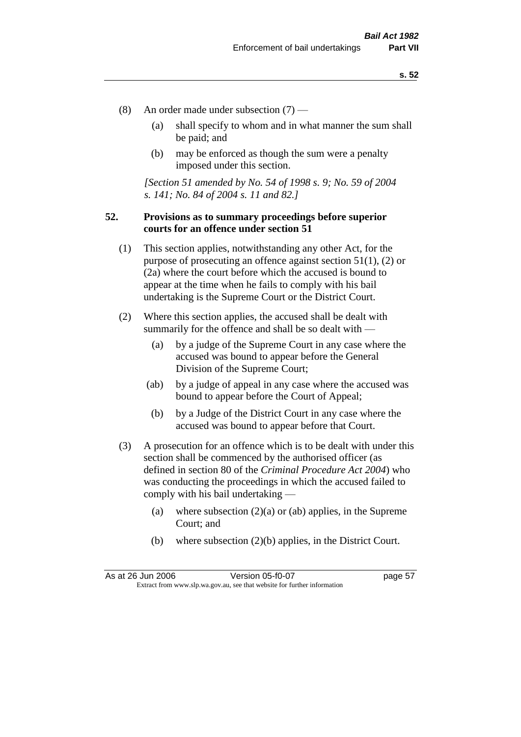- (8) An order made under subsection (7)
	- (a) shall specify to whom and in what manner the sum shall be paid; and
	- (b) may be enforced as though the sum were a penalty imposed under this section.

*[Section 51 amended by No. 54 of 1998 s. 9; No. 59 of 2004 s. 141; No. 84 of 2004 s. 11 and 82.]*

## **52. Provisions as to summary proceedings before superior courts for an offence under section 51**

- (1) This section applies, notwithstanding any other Act, for the purpose of prosecuting an offence against section 51(1), (2) or (2a) where the court before which the accused is bound to appear at the time when he fails to comply with his bail undertaking is the Supreme Court or the District Court.
- (2) Where this section applies, the accused shall be dealt with summarily for the offence and shall be so dealt with —
	- (a) by a judge of the Supreme Court in any case where the accused was bound to appear before the General Division of the Supreme Court;
	- (ab) by a judge of appeal in any case where the accused was bound to appear before the Court of Appeal;
	- (b) by a Judge of the District Court in any case where the accused was bound to appear before that Court.
- (3) A prosecution for an offence which is to be dealt with under this section shall be commenced by the authorised officer (as defined in section 80 of the *Criminal Procedure Act 2004*) who was conducting the proceedings in which the accused failed to comply with his bail undertaking —
	- (a) where subsection  $(2)(a)$  or (ab) applies, in the Supreme Court; and
	- (b) where subsection (2)(b) applies, in the District Court.

As at 26 Jun 2006 Version 05-f0-07 page 57 Extract from www.slp.wa.gov.au, see that website for further information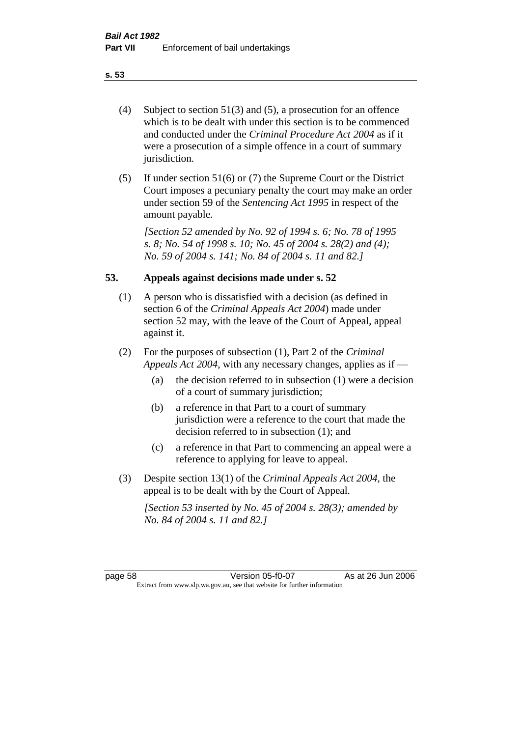- (4) Subject to section 51(3) and (5), a prosecution for an offence which is to be dealt with under this section is to be commenced and conducted under the *Criminal Procedure Act 2004* as if it were a prosecution of a simple offence in a court of summary jurisdiction.
- (5) If under section 51(6) or (7) the Supreme Court or the District Court imposes a pecuniary penalty the court may make an order under section 59 of the *Sentencing Act 1995* in respect of the amount payable.

*[Section 52 amended by No. 92 of 1994 s. 6; No. 78 of 1995 s. 8; No. 54 of 1998 s. 10; No. 45 of 2004 s. 28(2) and (4); No. 59 of 2004 s. 141; No. 84 of 2004 s. 11 and 82.]* 

## **53. Appeals against decisions made under s. 52**

- (1) A person who is dissatisfied with a decision (as defined in section 6 of the *Criminal Appeals Act 2004*) made under section 52 may, with the leave of the Court of Appeal, appeal against it.
- (2) For the purposes of subsection (1), Part 2 of the *Criminal Appeals Act 2004*, with any necessary changes, applies as if —
	- (a) the decision referred to in subsection (1) were a decision of a court of summary jurisdiction;
	- (b) a reference in that Part to a court of summary jurisdiction were a reference to the court that made the decision referred to in subsection (1); and
	- (c) a reference in that Part to commencing an appeal were a reference to applying for leave to appeal.
- (3) Despite section 13(1) of the *Criminal Appeals Act 2004*, the appeal is to be dealt with by the Court of Appeal.

*[Section 53 inserted by No. 45 of 2004 s. 28(3); amended by No. 84 of 2004 s. 11 and 82.]*

page 58 Version 05-f0-07 As at 26 Jun 2006 Extract from www.slp.wa.gov.au, see that website for further information

### **s. 53**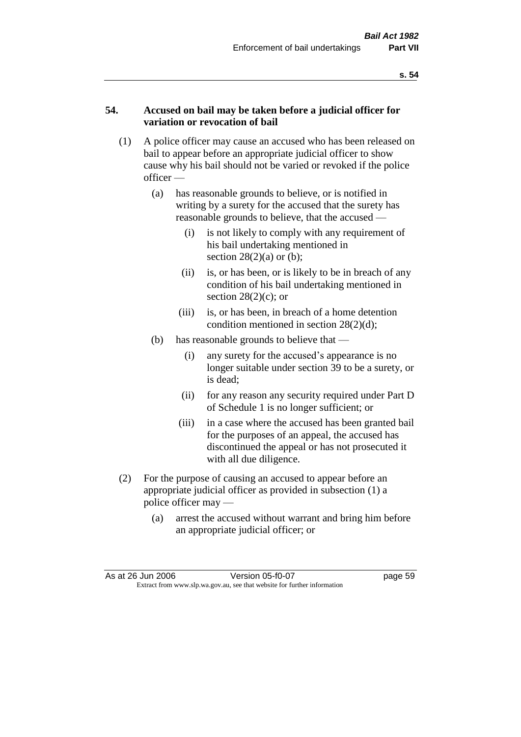## **54. Accused on bail may be taken before a judicial officer for variation or revocation of bail**

- (1) A police officer may cause an accused who has been released on bail to appear before an appropriate judicial officer to show cause why his bail should not be varied or revoked if the police officer —
	- (a) has reasonable grounds to believe, or is notified in writing by a surety for the accused that the surety has reasonable grounds to believe, that the accused —
		- (i) is not likely to comply with any requirement of his bail undertaking mentioned in section  $28(2)(a)$  or (b);
		- (ii) is, or has been, or is likely to be in breach of any condition of his bail undertaking mentioned in section  $28(2)(c)$ ; or
		- (iii) is, or has been, in breach of a home detention condition mentioned in section 28(2)(d);
	- (b) has reasonable grounds to believe that
		- (i) any surety for the accused's appearance is no longer suitable under section 39 to be a surety, or is dead;
		- (ii) for any reason any security required under Part D of Schedule 1 is no longer sufficient; or
		- (iii) in a case where the accused has been granted bail for the purposes of an appeal, the accused has discontinued the appeal or has not prosecuted it with all due diligence.
- (2) For the purpose of causing an accused to appear before an appropriate judicial officer as provided in subsection (1) a police officer may —
	- (a) arrest the accused without warrant and bring him before an appropriate judicial officer; or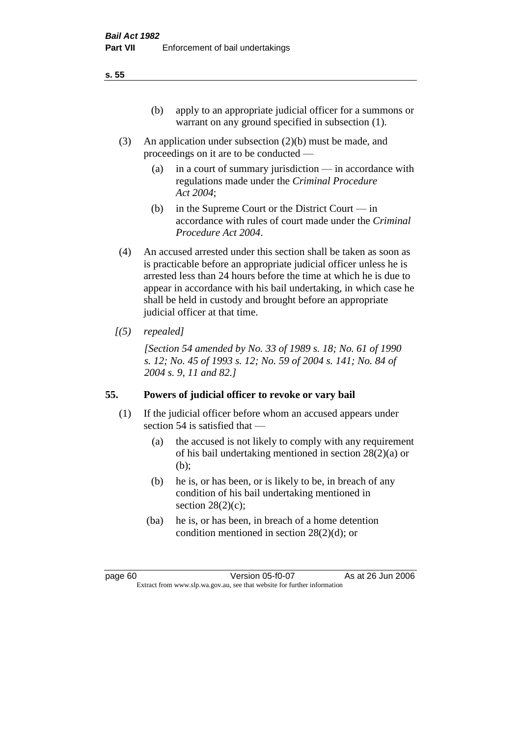- (3) An application under subsection (2)(b) must be made, and proceedings on it are to be conducted —
	- (a) in a court of summary jurisdiction in accordance with regulations made under the *Criminal Procedure Act 2004*;
	- (b) in the Supreme Court or the District Court  $-\text{in}$ accordance with rules of court made under the *Criminal Procedure Act 2004*.
- (4) An accused arrested under this section shall be taken as soon as is practicable before an appropriate judicial officer unless he is arrested less than 24 hours before the time at which he is due to appear in accordance with his bail undertaking, in which case he shall be held in custody and brought before an appropriate judicial officer at that time.
- *[(5) repealed]*

*[Section 54 amended by No. 33 of 1989 s. 18; No. 61 of 1990 s. 12; No. 45 of 1993 s. 12; No. 59 of 2004 s. 141; No. 84 of 2004 s. 9, 11 and 82.]* 

# **55. Powers of judicial officer to revoke or vary bail**

- (1) If the judicial officer before whom an accused appears under section 54 is satisfied that —
	- (a) the accused is not likely to comply with any requirement of his bail undertaking mentioned in section 28(2)(a) or (b);
	- (b) he is, or has been, or is likely to be, in breach of any condition of his bail undertaking mentioned in section  $28(2)(c)$ ;
	- (ba) he is, or has been, in breach of a home detention condition mentioned in section 28(2)(d); or

page 60 Version 05-f0-07 As at 26 Jun 2006 Extract from www.slp.wa.gov.au, see that website for further information

### **s. 55**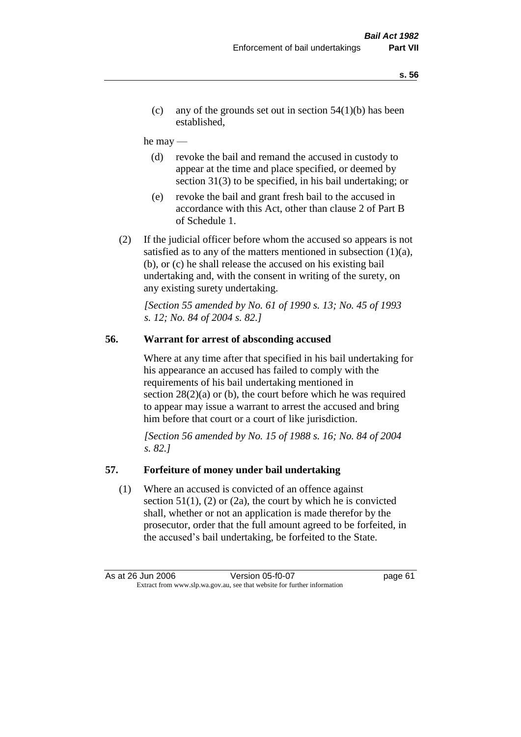(c) any of the grounds set out in section  $54(1)(b)$  has been established,

### he may —

- (d) revoke the bail and remand the accused in custody to appear at the time and place specified, or deemed by section 31(3) to be specified, in his bail undertaking; or
- (e) revoke the bail and grant fresh bail to the accused in accordance with this Act, other than clause 2 of Part B of Schedule 1.
- (2) If the judicial officer before whom the accused so appears is not satisfied as to any of the matters mentioned in subsection  $(1)(a)$ , (b), or (c) he shall release the accused on his existing bail undertaking and, with the consent in writing of the surety, on any existing surety undertaking.

*[Section 55 amended by No. 61 of 1990 s. 13; No. 45 of 1993 s. 12; No. 84 of 2004 s. 82.]* 

## **56. Warrant for arrest of absconding accused**

Where at any time after that specified in his bail undertaking for his appearance an accused has failed to comply with the requirements of his bail undertaking mentioned in section  $28(2)(a)$  or (b), the court before which he was required to appear may issue a warrant to arrest the accused and bring him before that court or a court of like jurisdiction.

*[Section 56 amended by No. 15 of 1988 s. 16; No. 84 of 2004 s. 82.]* 

## **57. Forfeiture of money under bail undertaking**

(1) Where an accused is convicted of an offence against section  $51(1)$ ,  $(2)$  or  $(2a)$ , the court by which he is convicted shall, whether or not an application is made therefor by the prosecutor, order that the full amount agreed to be forfeited, in the accused's bail undertaking, be forfeited to the State.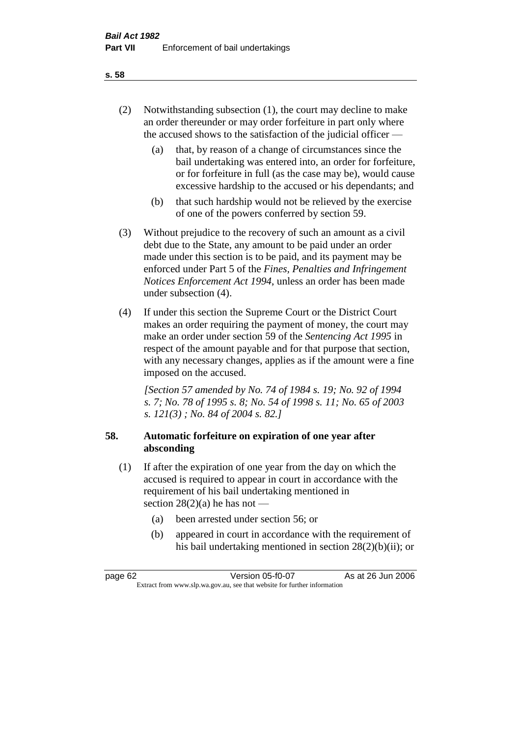- (2) Notwithstanding subsection (1), the court may decline to make an order thereunder or may order forfeiture in part only where the accused shows to the satisfaction of the judicial officer —
	- (a) that, by reason of a change of circumstances since the bail undertaking was entered into, an order for forfeiture, or for forfeiture in full (as the case may be), would cause excessive hardship to the accused or his dependants; and
	- (b) that such hardship would not be relieved by the exercise of one of the powers conferred by section 59.
- (3) Without prejudice to the recovery of such an amount as a civil debt due to the State, any amount to be paid under an order made under this section is to be paid, and its payment may be enforced under Part 5 of the *Fines, Penalties and Infringement Notices Enforcement Act 1994*, unless an order has been made under subsection (4).
- (4) If under this section the Supreme Court or the District Court makes an order requiring the payment of money, the court may make an order under section 59 of the *Sentencing Act 1995* in respect of the amount payable and for that purpose that section, with any necessary changes, applies as if the amount were a fine imposed on the accused.

*[Section 57 amended by No. 74 of 1984 s. 19; No. 92 of 1994 s. 7; No. 78 of 1995 s. 8; No. 54 of 1998 s. 11; No. 65 of 2003 s. 121(3) ; No. 84 of 2004 s. 82.]* 

## **58. Automatic forfeiture on expiration of one year after absconding**

- (1) If after the expiration of one year from the day on which the accused is required to appear in court in accordance with the requirement of his bail undertaking mentioned in section  $28(2)(a)$  he has not —
	- (a) been arrested under section 56; or
	- (b) appeared in court in accordance with the requirement of his bail undertaking mentioned in section 28(2)(b)(ii); or

| page 62                                                                  | Version 05-f0-07 | As at 26 Jun 2006 |
|--------------------------------------------------------------------------|------------------|-------------------|
| Extract from www.slp.wa.gov.au, see that website for further information |                  |                   |

### **s. 58**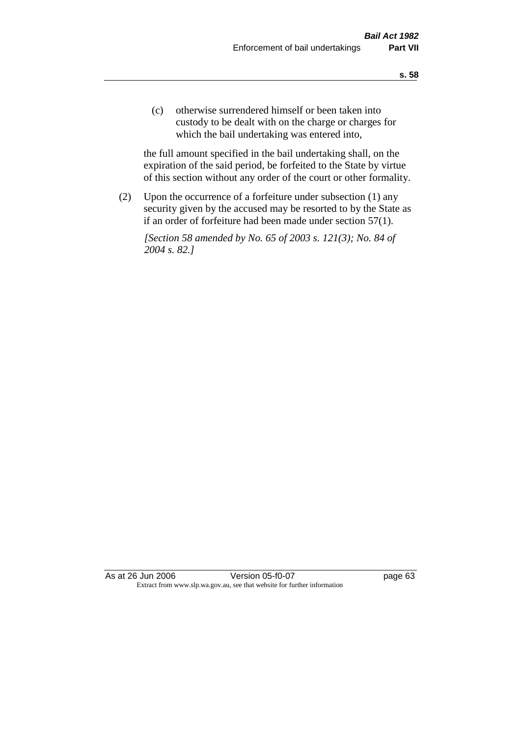(c) otherwise surrendered himself or been taken into custody to be dealt with on the charge or charges for which the bail undertaking was entered into,

the full amount specified in the bail undertaking shall, on the expiration of the said period, be forfeited to the State by virtue of this section without any order of the court or other formality.

(2) Upon the occurrence of a forfeiture under subsection (1) any security given by the accused may be resorted to by the State as if an order of forfeiture had been made under section 57(1).

*[Section 58 amended by No. 65 of 2003 s. 121(3); No. 84 of 2004 s. 82.]*

As at 26 Jun 2006 Version 05-f0-07 page 63 Extract from www.slp.wa.gov.au, see that website for further information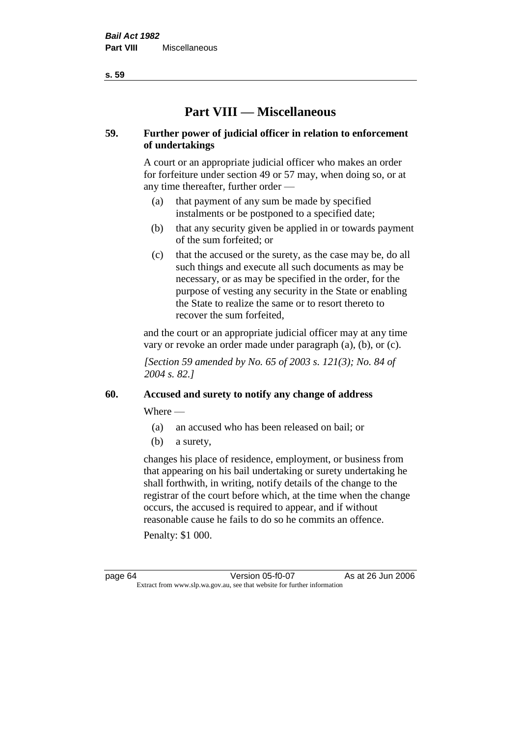**s. 59**

# **Part VIII — Miscellaneous**

# **59. Further power of judicial officer in relation to enforcement of undertakings**

A court or an appropriate judicial officer who makes an order for forfeiture under section 49 or 57 may, when doing so, or at any time thereafter, further order —

- (a) that payment of any sum be made by specified instalments or be postponed to a specified date;
- (b) that any security given be applied in or towards payment of the sum forfeited; or
- (c) that the accused or the surety, as the case may be, do all such things and execute all such documents as may be necessary, or as may be specified in the order, for the purpose of vesting any security in the State or enabling the State to realize the same or to resort thereto to recover the sum forfeited,

and the court or an appropriate judicial officer may at any time vary or revoke an order made under paragraph (a), (b), or (c).

*[Section 59 amended by No. 65 of 2003 s. 121(3); No. 84 of 2004 s. 82.]*

# **60. Accused and surety to notify any change of address**

Where —

- (a) an accused who has been released on bail; or
- (b) a surety,

changes his place of residence, employment, or business from that appearing on his bail undertaking or surety undertaking he shall forthwith, in writing, notify details of the change to the registrar of the court before which, at the time when the change occurs, the accused is required to appear, and if without reasonable cause he fails to do so he commits an offence.

Penalty: \$1 000.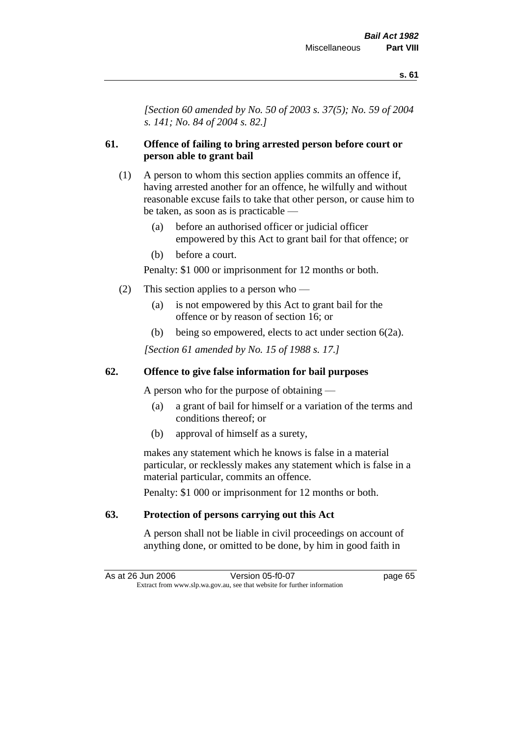*[Section 60 amended by No. 50 of 2003 s. 37(5); No. 59 of 2004 s. 141; No. 84 of 2004 s. 82.]*

# **61. Offence of failing to bring arrested person before court or person able to grant bail**

- (1) A person to whom this section applies commits an offence if, having arrested another for an offence, he wilfully and without reasonable excuse fails to take that other person, or cause him to be taken, as soon as is practicable —
	- (a) before an authorised officer or judicial officer empowered by this Act to grant bail for that offence; or
	- (b) before a court.

Penalty: \$1 000 or imprisonment for 12 months or both.

- (2) This section applies to a person who
	- (a) is not empowered by this Act to grant bail for the offence or by reason of section 16; or
	- (b) being so empowered, elects to act under section 6(2a).

*[Section 61 amended by No. 15 of 1988 s. 17.]* 

# **62. Offence to give false information for bail purposes**

A person who for the purpose of obtaining —

- (a) a grant of bail for himself or a variation of the terms and conditions thereof; or
- (b) approval of himself as a surety,

makes any statement which he knows is false in a material particular, or recklessly makes any statement which is false in a material particular, commits an offence.

Penalty: \$1 000 or imprisonment for 12 months or both.

# **63. Protection of persons carrying out this Act**

A person shall not be liable in civil proceedings on account of anything done, or omitted to be done, by him in good faith in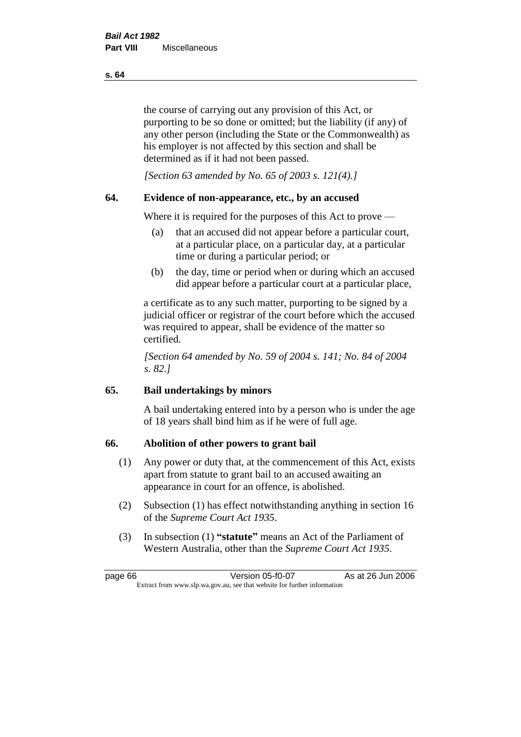the course of carrying out any provision of this Act, or purporting to be so done or omitted; but the liability (if any) of any other person (including the State or the Commonwealth) as his employer is not affected by this section and shall be determined as if it had not been passed.

*[Section 63 amended by No. 65 of 2003 s. 121(4).]*

# **64. Evidence of non-appearance, etc., by an accused**

Where it is required for the purposes of this Act to prove —

- (a) that an accused did not appear before a particular court, at a particular place, on a particular day, at a particular time or during a particular period; or
- (b) the day, time or period when or during which an accused did appear before a particular court at a particular place,

a certificate as to any such matter, purporting to be signed by a judicial officer or registrar of the court before which the accused was required to appear, shall be evidence of the matter so certified.

*[Section 64 amended by No. 59 of 2004 s. 141; No. 84 of 2004 s. 82.]* 

# **65. Bail undertakings by minors**

A bail undertaking entered into by a person who is under the age of 18 years shall bind him as if he were of full age.

# **66. Abolition of other powers to grant bail**

- (1) Any power or duty that, at the commencement of this Act, exists apart from statute to grant bail to an accused awaiting an appearance in court for an offence, is abolished.
- (2) Subsection (1) has effect notwithstanding anything in section 16 of the *Supreme Court Act 1935*.
- (3) In subsection (1) **"statute"** means an Act of the Parliament of Western Australia, other than the *Supreme Court Act 1935*.

page 66 Version 05-f0-07 As at 26 Jun 2006 Extract from www.slp.wa.gov.au, see that website for further information

#### **s. 64**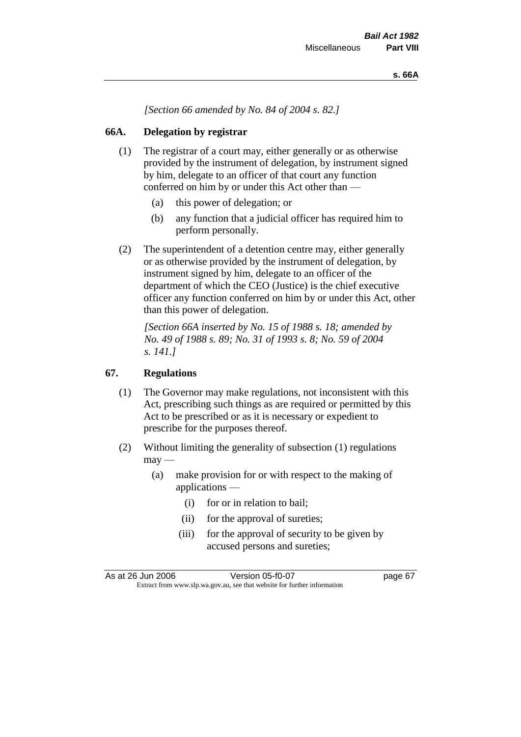*[Section 66 amended by No. 84 of 2004 s. 82.]*

# **66A. Delegation by registrar**

- (1) The registrar of a court may, either generally or as otherwise provided by the instrument of delegation, by instrument signed by him, delegate to an officer of that court any function conferred on him by or under this Act other than —
	- (a) this power of delegation; or
	- (b) any function that a judicial officer has required him to perform personally.
- (2) The superintendent of a detention centre may, either generally or as otherwise provided by the instrument of delegation, by instrument signed by him, delegate to an officer of the department of which the CEO (Justice) is the chief executive officer any function conferred on him by or under this Act, other than this power of delegation.

*[Section 66A inserted by No. 15 of 1988 s. 18; amended by No. 49 of 1988 s. 89; No. 31 of 1993 s. 8; No. 59 of 2004 s. 141.]* 

# **67. Regulations**

- (1) The Governor may make regulations, not inconsistent with this Act, prescribing such things as are required or permitted by this Act to be prescribed or as it is necessary or expedient to prescribe for the purposes thereof.
- (2) Without limiting the generality of subsection (1) regulations  $\text{max}$  —
	- (a) make provision for or with respect to the making of applications —
		- (i) for or in relation to bail;
		- (ii) for the approval of sureties;
		- (iii) for the approval of security to be given by accused persons and sureties;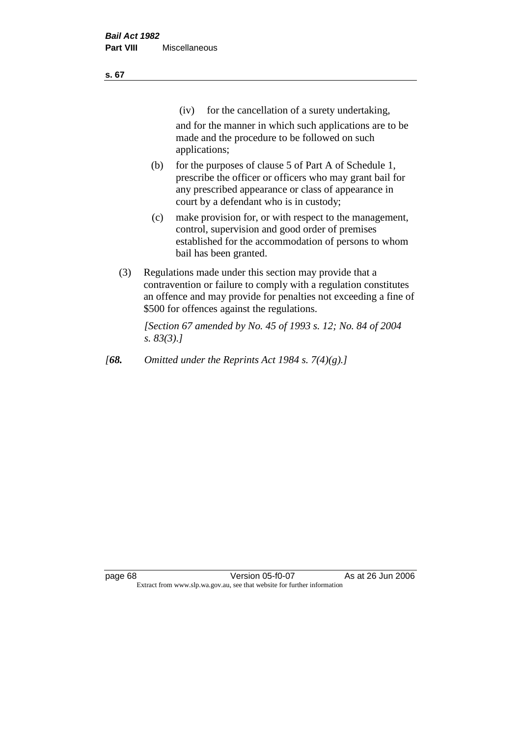| ×<br>v | ×<br>۰. |
|--------|---------|
|        |         |

(iv) for the cancellation of a surety undertaking,

and for the manner in which such applications are to be made and the procedure to be followed on such applications;

- (b) for the purposes of clause 5 of Part A of Schedule 1, prescribe the officer or officers who may grant bail for any prescribed appearance or class of appearance in court by a defendant who is in custody;
- (c) make provision for, or with respect to the management, control, supervision and good order of premises established for the accommodation of persons to whom bail has been granted.
- (3) Regulations made under this section may provide that a contravention or failure to comply with a regulation constitutes an offence and may provide for penalties not exceeding a fine of \$500 for offences against the regulations.

*[Section 67 amended by No. 45 of 1993 s. 12; No. 84 of 2004 s. 83(3).]* 

*[68. Omitted under the Reprints Act 1984 s. 7(4)(g).]*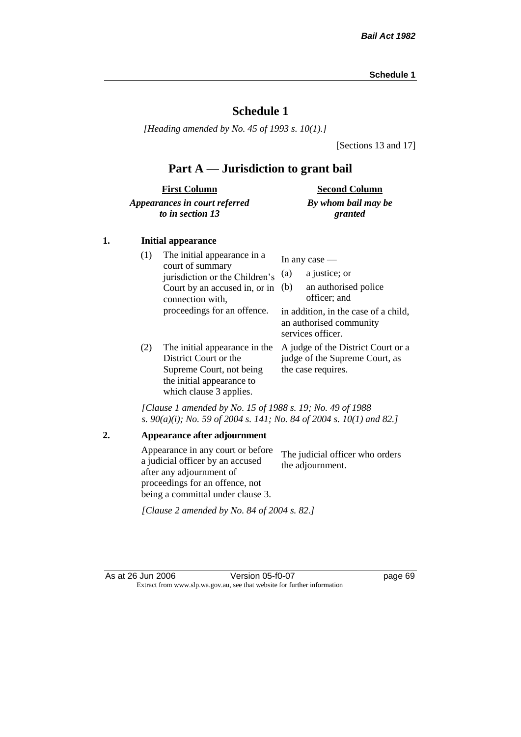# **Schedule 1**

*[Heading amended by No. 45 of 1993 s. 10(1).]*

[Sections 13 and 17]

# **Part A — Jurisdiction to grant bail**

| <b>First Column</b>           | <b>Second Column</b> |
|-------------------------------|----------------------|
| Appearances in court referred | By whom bail may be  |
| to in section 13              | granted              |

### **1. Initial appearance**

| (1) | The initial appearance in a<br>court of summary<br>jurisdiction or the Children's<br>Court by an accused in, or in<br>connection with,<br>proceedings for an offence. | In any case $-$<br>a justice; or<br>(a)<br>an authorised police<br>(b)<br>officer; and<br>in addition, in the case of a child,<br>an authorised community |
|-----|-----------------------------------------------------------------------------------------------------------------------------------------------------------------------|-----------------------------------------------------------------------------------------------------------------------------------------------------------|
| (2) | The initial appearance in the<br>District Court or the<br>Supreme Court, not being<br>the initial appearance to<br>which clause 3 applies.                            | services officer.<br>A judge of the District Court or a<br>judge of the Supreme Court, as<br>the case requires.                                           |

*[Clause 1 amended by No. 15 of 1988 s. 19; No. 49 of 1988 s. 90(a)(i); No. 59 of 2004 s. 141; No. 84 of 2004 s. 10(1) and 82.]*

**2. Appearance after adjournment** Appearance in any court or before a judicial officer by an accused after any adjournment of proceedings for an offence, not being a committal under clause 3. The judicial officer who orders the adjournment.

*[Clause 2 amended by No. 84 of 2004 s. 82.]*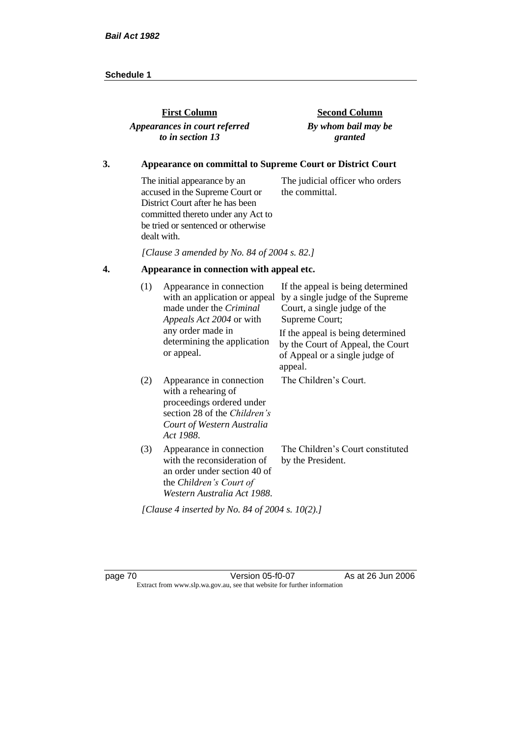| <b>First Column</b>           | <b>Second Column</b> |
|-------------------------------|----------------------|
| Appearances in court referred | By whom bail may be  |
| to in section 13              | granted              |
|                               |                      |

# **3. Appearance on committal to Supreme Court or District Court**

The initial appearance by an accused in the Supreme Court or District Court after he has been committed thereto under any Act to be tried or sentenced or otherwise dealt with. The judicial officer who orders the committal.

*[Clause 3 amended by No. 84 of 2004 s. 82.]*

# **4. Appearance in connection with appeal etc.**

| (1) | Appearance in connection<br>with an application or appeal<br>made under the <i>Criminal</i><br>Appeals Act 2004 or with                                 | If the appeal is being determined<br>by a single judge of the Supreme<br>Court, a single judge of the<br>Supreme Court; |
|-----|---------------------------------------------------------------------------------------------------------------------------------------------------------|-------------------------------------------------------------------------------------------------------------------------|
|     | any order made in<br>determining the application<br>or appeal.                                                                                          | If the appeal is being determined<br>by the Court of Appeal, the Court<br>of Appeal or a single judge of<br>appeal.     |
| (2) | Appearance in connection<br>with a rehearing of<br>proceedings ordered under<br>section 28 of the Children's<br>Court of Western Australia<br>Act 1988. | The Children's Court.                                                                                                   |
| (3) | Appearance in connection<br>with the reconsideration of<br>an order under section 40 of<br>the Children's Court of<br>Western Australia Act 1988.       | The Children's Court constituted<br>by the President.                                                                   |
|     | [Clause 4 inserted by No. 84 of 2004 s. 10(2).]                                                                                                         |                                                                                                                         |

page 70 Version 05-f0-07 As at 26 Jun 2006 Extract from www.slp.wa.gov.au, see that website for further information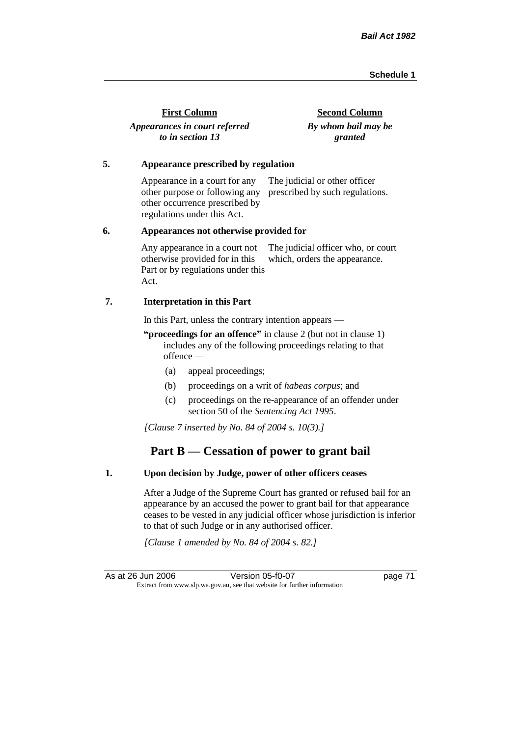| <b>First Column</b>           | <b>Second Column</b> |
|-------------------------------|----------------------|
| Appearances in court referred | By whom bail may be  |
| to in section 13              | granted              |

#### **5. Appearance prescribed by regulation**

Appearance in a court for any other purpose or following any prescribed by such regulations. other occurrence prescribed by regulations under this Act. The judicial or other officer

#### **6. Appearances not otherwise provided for**

Any appearance in a court not otherwise provided for in this Part or by regulations under this Act. The judicial officer who, or court which, orders the appearance.

### **7. Interpretation in this Part**

In this Part, unless the contrary intention appears —

**"proceedings for an offence"** in clause 2 (but not in clause 1) includes any of the following proceedings relating to that offence —

- (a) appeal proceedings;
- (b) proceedings on a writ of *habeas corpus*; and
- (c) proceedings on the re-appearance of an offender under section 50 of the *Sentencing Act 1995*.

*[Clause 7 inserted by No. 84 of 2004 s. 10(3).]*

# **Part B — Cessation of power to grant bail**

### **1. Upon decision by Judge, power of other officers ceases**

After a Judge of the Supreme Court has granted or refused bail for an appearance by an accused the power to grant bail for that appearance ceases to be vested in any judicial officer whose jurisdiction is inferior to that of such Judge or in any authorised officer.

*[Clause 1 amended by No. 84 of 2004 s. 82.]*

As at 26 Jun 2006 Version 05-f0-07 page 71 Extract from www.slp.wa.gov.au, see that website for further information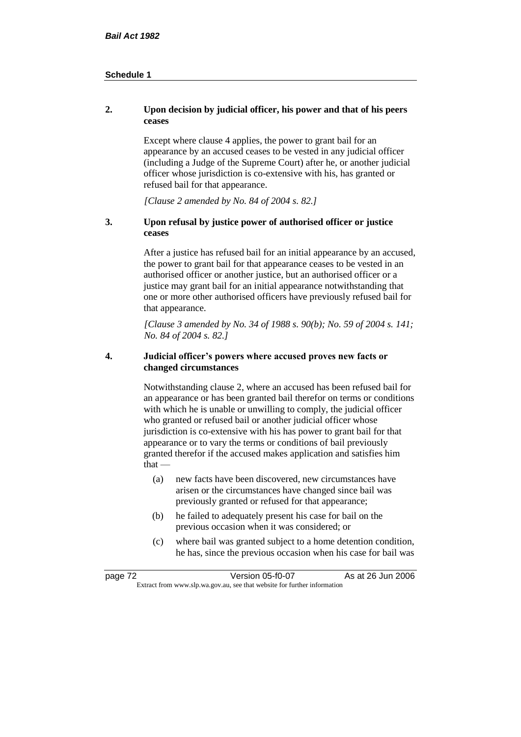## **2. Upon decision by judicial officer, his power and that of his peers ceases**

Except where clause 4 applies, the power to grant bail for an appearance by an accused ceases to be vested in any judicial officer (including a Judge of the Supreme Court) after he, or another judicial officer whose jurisdiction is co-extensive with his, has granted or refused bail for that appearance.

*[Clause 2 amended by No. 84 of 2004 s. 82.]*

## **3. Upon refusal by justice power of authorised officer or justice ceases**

After a justice has refused bail for an initial appearance by an accused, the power to grant bail for that appearance ceases to be vested in an authorised officer or another justice, but an authorised officer or a justice may grant bail for an initial appearance notwithstanding that one or more other authorised officers have previously refused bail for that appearance.

*[Clause 3 amended by No. 34 of 1988 s. 90(b); No. 59 of 2004 s. 141; No. 84 of 2004 s. 82.]*

### **4. Judicial officer's powers where accused proves new facts or changed circumstances**

Notwithstanding clause 2, where an accused has been refused bail for an appearance or has been granted bail therefor on terms or conditions with which he is unable or unwilling to comply, the judicial officer who granted or refused bail or another judicial officer whose jurisdiction is co-extensive with his has power to grant bail for that appearance or to vary the terms or conditions of bail previously granted therefor if the accused makes application and satisfies him  $that -$ 

- (a) new facts have been discovered, new circumstances have arisen or the circumstances have changed since bail was previously granted or refused for that appearance;
- (b) he failed to adequately present his case for bail on the previous occasion when it was considered; or
- (c) where bail was granted subject to a home detention condition, he has, since the previous occasion when his case for bail was

| page 72 | Version 05-f0-07                                                         | As at 26 Jun 2006 |
|---------|--------------------------------------------------------------------------|-------------------|
|         | Extract from www.slp.wa.gov.au, see that website for further information |                   |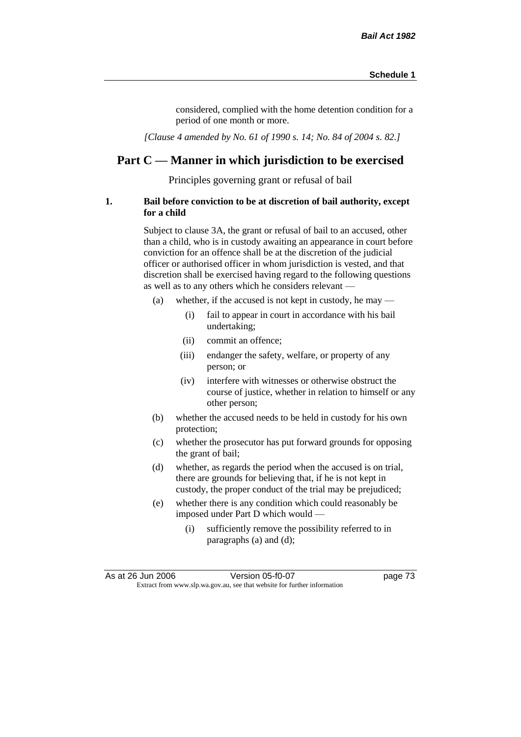considered, complied with the home detention condition for a period of one month or more.

*[Clause 4 amended by No. 61 of 1990 s. 14; No. 84 of 2004 s. 82.]*

# **Part C — Manner in which jurisdiction to be exercised**

Principles governing grant or refusal of bail

### **1. Bail before conviction to be at discretion of bail authority, except for a child**

Subject to clause 3A, the grant or refusal of bail to an accused, other than a child, who is in custody awaiting an appearance in court before conviction for an offence shall be at the discretion of the judicial officer or authorised officer in whom jurisdiction is vested, and that discretion shall be exercised having regard to the following questions as well as to any others which he considers relevant —

- (a) whether, if the accused is not kept in custody, he may
	- (i) fail to appear in court in accordance with his bail undertaking;
	- (ii) commit an offence;
	- (iii) endanger the safety, welfare, or property of any person; or
	- (iv) interfere with witnesses or otherwise obstruct the course of justice, whether in relation to himself or any other person;
- (b) whether the accused needs to be held in custody for his own protection;
- (c) whether the prosecutor has put forward grounds for opposing the grant of bail;
- (d) whether, as regards the period when the accused is on trial, there are grounds for believing that, if he is not kept in custody, the proper conduct of the trial may be prejudiced;
- (e) whether there is any condition which could reasonably be imposed under Part D which would —
	- (i) sufficiently remove the possibility referred to in paragraphs (a) and (d);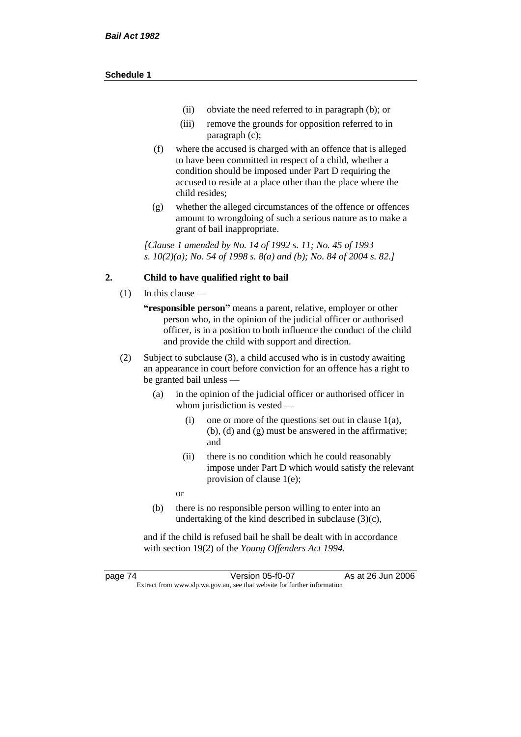- (ii) obviate the need referred to in paragraph (b); or
- (iii) remove the grounds for opposition referred to in paragraph (c);
- (f) where the accused is charged with an offence that is alleged to have been committed in respect of a child, whether a condition should be imposed under Part D requiring the accused to reside at a place other than the place where the child resides;
- (g) whether the alleged circumstances of the offence or offences amount to wrongdoing of such a serious nature as to make a grant of bail inappropriate.

*[Clause 1 amended by No. 14 of 1992 s. 11; No. 45 of 1993 s. 10(2)(a); No. 54 of 1998 s. 8(a) and (b); No. 84 of 2004 s. 82.]*

### **2. Child to have qualified right to bail**

- (1) In this clause
	- **"responsible person"** means a parent, relative, employer or other person who, in the opinion of the judicial officer or authorised officer, is in a position to both influence the conduct of the child and provide the child with support and direction.
- (2) Subject to subclause (3), a child accused who is in custody awaiting an appearance in court before conviction for an offence has a right to be granted bail unless —
	- (a) in the opinion of the judicial officer or authorised officer in whom jurisdiction is vested —
		- (i) one or more of the questions set out in clause 1(a), (b), (d) and (g) must be answered in the affirmative; and
		- (ii) there is no condition which he could reasonably impose under Part D which would satisfy the relevant provision of clause 1(e);
		- or
	- (b) there is no responsible person willing to enter into an undertaking of the kind described in subclause (3)(c),

and if the child is refused bail he shall be dealt with in accordance with section 19(2) of the *Young Offenders Act 1994*.

page 74 Version 05-f0-07 As at 26 Jun 2006 Extract from www.slp.wa.gov.au, see that website for further information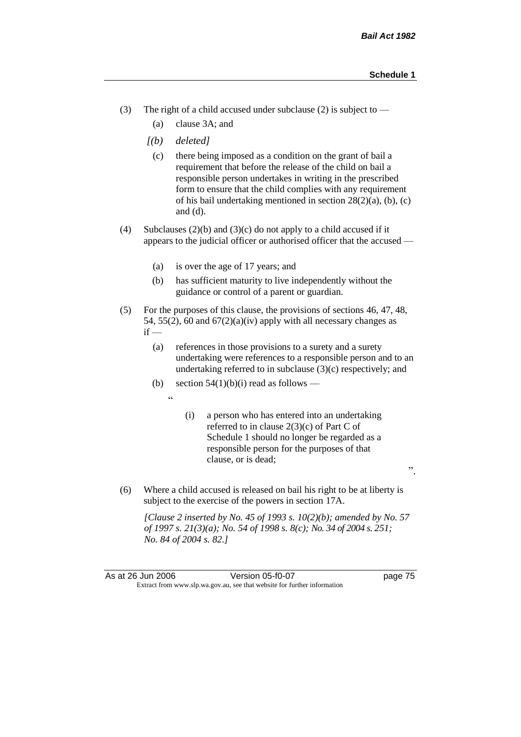".

- (3) The right of a child accused under subclause (2) is subject to  $-$ 
	- (a) clause 3A; and
	- *[(b) deleted]*
		- (c) there being imposed as a condition on the grant of bail a requirement that before the release of the child on bail a responsible person undertakes in writing in the prescribed form to ensure that the child complies with any requirement of his bail undertaking mentioned in section 28(2)(a), (b), (c) and (d).
- (4) Subclauses (2)(b) and (3)(c) do not apply to a child accused if it appears to the judicial officer or authorised officer that the accused —
	- (a) is over the age of 17 years; and
	- (b) has sufficient maturity to live independently without the guidance or control of a parent or guardian.
- (5) For the purposes of this clause, the provisions of sections 46, 47, 48, 54, 55(2), 60 and  $67(2)(a)(iv)$  apply with all necessary changes as  $if -$ 
	- (a) references in those provisions to a surety and a surety undertaking were references to a responsible person and to an undertaking referred to in subclause  $(3)(c)$  respectively; and
	- (b) section  $54(1)(b)(i)$  read as follows
		- "
- (i) a person who has entered into an undertaking referred to in clause 2(3)(c) of Part C of Schedule 1 should no longer be regarded as a responsible person for the purposes of that clause, or is dead;
- (6) Where a child accused is released on bail his right to be at liberty is subject to the exercise of the powers in section 17A.

*[Clause 2 inserted by No. 45 of 1993 s. 10(2)(b); amended by No. 57 of 1997 s. 21(3)(a); No. 54 of 1998 s. 8(c); No. 34 of 2004 s. 251; No. 84 of 2004 s. 82.]*

As at 26 Jun 2006 Version 05-f0-07 page 75 Extract from www.slp.wa.gov.au, see that website for further information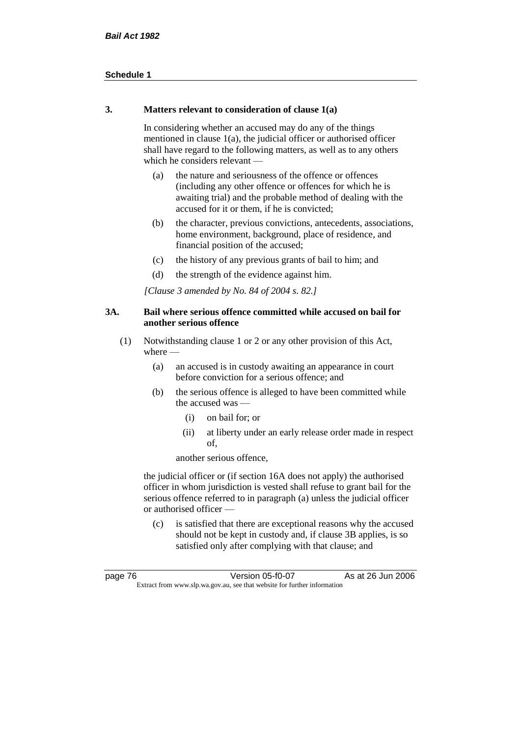### **3. Matters relevant to consideration of clause 1(a)**

In considering whether an accused may do any of the things mentioned in clause 1(a), the judicial officer or authorised officer shall have regard to the following matters, as well as to any others which he considers relevant —

- (a) the nature and seriousness of the offence or offences (including any other offence or offences for which he is awaiting trial) and the probable method of dealing with the accused for it or them, if he is convicted;
- (b) the character, previous convictions, antecedents, associations, home environment, background, place of residence, and financial position of the accused;
- (c) the history of any previous grants of bail to him; and
- (d) the strength of the evidence against him.

*[Clause 3 amended by No. 84 of 2004 s. 82.]*

## **3A. Bail where serious offence committed while accused on bail for another serious offence**

- (1) Notwithstanding clause 1 or 2 or any other provision of this Act, where —
	- (a) an accused is in custody awaiting an appearance in court before conviction for a serious offence; and
	- (b) the serious offence is alleged to have been committed while the accused was —
		- (i) on bail for; or
		- (ii) at liberty under an early release order made in respect of,

another serious offence,

the judicial officer or (if section 16A does not apply) the authorised officer in whom jurisdiction is vested shall refuse to grant bail for the serious offence referred to in paragraph (a) unless the judicial officer or authorised officer —

(c) is satisfied that there are exceptional reasons why the accused should not be kept in custody and, if clause 3B applies, is so satisfied only after complying with that clause; and

| page 76                                                                  | Version 05-f0-07 | As at 26 Jun 2006 |
|--------------------------------------------------------------------------|------------------|-------------------|
| Extract from www.slp.wa.gov.au, see that website for further information |                  |                   |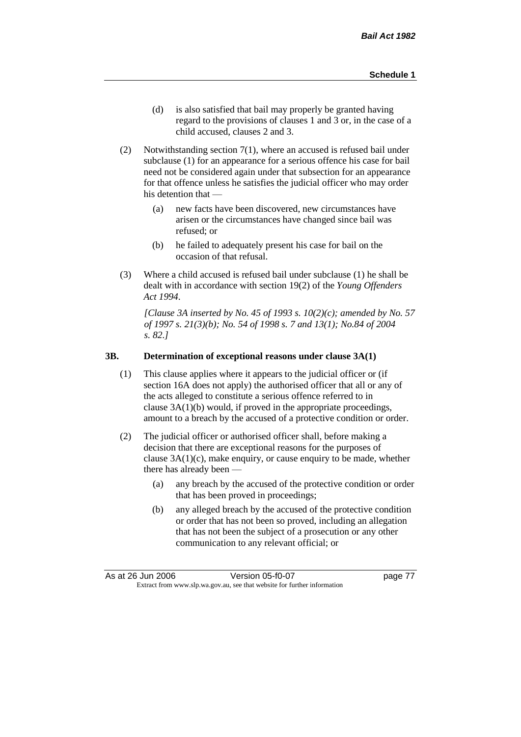- (d) is also satisfied that bail may properly be granted having regard to the provisions of clauses 1 and 3 or, in the case of a child accused, clauses 2 and 3.
- (2) Notwithstanding section 7(1), where an accused is refused bail under subclause (1) for an appearance for a serious offence his case for bail need not be considered again under that subsection for an appearance for that offence unless he satisfies the judicial officer who may order his detention that —
	- (a) new facts have been discovered, new circumstances have arisen or the circumstances have changed since bail was refused; or
	- (b) he failed to adequately present his case for bail on the occasion of that refusal.
- (3) Where a child accused is refused bail under subclause (1) he shall be dealt with in accordance with section 19(2) of the *Young Offenders Act 1994*.

*[Clause 3A inserted by No. 45 of 1993 s. 10(2)(c); amended by No. 57 of 1997 s. 21(3)(b); No. 54 of 1998 s. 7 and 13(1); No.84 of 2004 s. 82.]*

#### **3B. Determination of exceptional reasons under clause 3A(1)**

- (1) This clause applies where it appears to the judicial officer or (if section 16A does not apply) the authorised officer that all or any of the acts alleged to constitute a serious offence referred to in clause 3A(1)(b) would, if proved in the appropriate proceedings, amount to a breach by the accused of a protective condition or order.
- (2) The judicial officer or authorised officer shall, before making a decision that there are exceptional reasons for the purposes of clause  $3A(1)(c)$ , make enquiry, or cause enquiry to be made, whether there has already been -
	- (a) any breach by the accused of the protective condition or order that has been proved in proceedings;
	- (b) any alleged breach by the accused of the protective condition or order that has not been so proved, including an allegation that has not been the subject of a prosecution or any other communication to any relevant official; or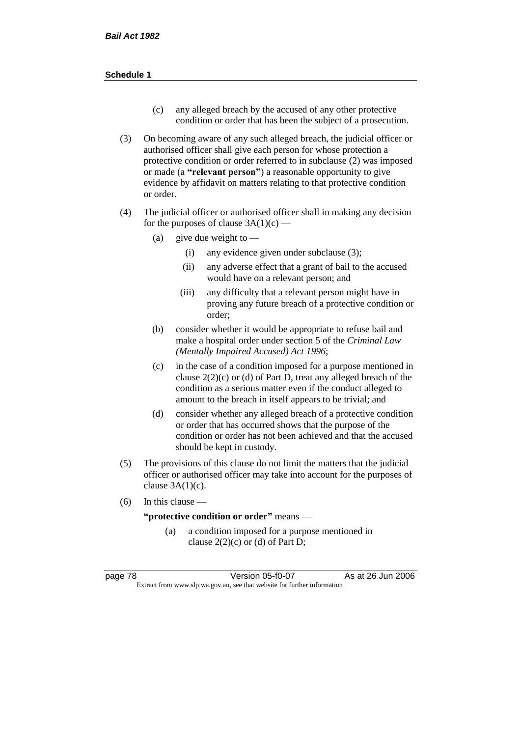- (c) any alleged breach by the accused of any other protective condition or order that has been the subject of a prosecution.
- (3) On becoming aware of any such alleged breach, the judicial officer or authorised officer shall give each person for whose protection a protective condition or order referred to in subclause (2) was imposed or made (a **"relevant person"**) a reasonable opportunity to give evidence by affidavit on matters relating to that protective condition or order.
- (4) The judicial officer or authorised officer shall in making any decision for the purposes of clause  $3A(1)(c)$  —
	- (a) give due weight to  $-$ 
		- (i) any evidence given under subclause (3);
		- (ii) any adverse effect that a grant of bail to the accused would have on a relevant person; and
		- (iii) any difficulty that a relevant person might have in proving any future breach of a protective condition or order;
	- (b) consider whether it would be appropriate to refuse bail and make a hospital order under section 5 of the *Criminal Law (Mentally Impaired Accused) Act 1996*;
	- (c) in the case of a condition imposed for a purpose mentioned in clause  $2(2)(c)$  or (d) of Part D, treat any alleged breach of the condition as a serious matter even if the conduct alleged to amount to the breach in itself appears to be trivial; and
	- (d) consider whether any alleged breach of a protective condition or order that has occurred shows that the purpose of the condition or order has not been achieved and that the accused should be kept in custody.
- (5) The provisions of this clause do not limit the matters that the judicial officer or authorised officer may take into account for the purposes of clause  $3A(1)(c)$ .
- (6) In this clause —

**"protective condition or order"** means —

(a) a condition imposed for a purpose mentioned in clause  $2(2)(c)$  or (d) of Part D;

page 78 Version 05-f0-07 As at 26 Jun 2006 Extract from www.slp.wa.gov.au, see that website for further information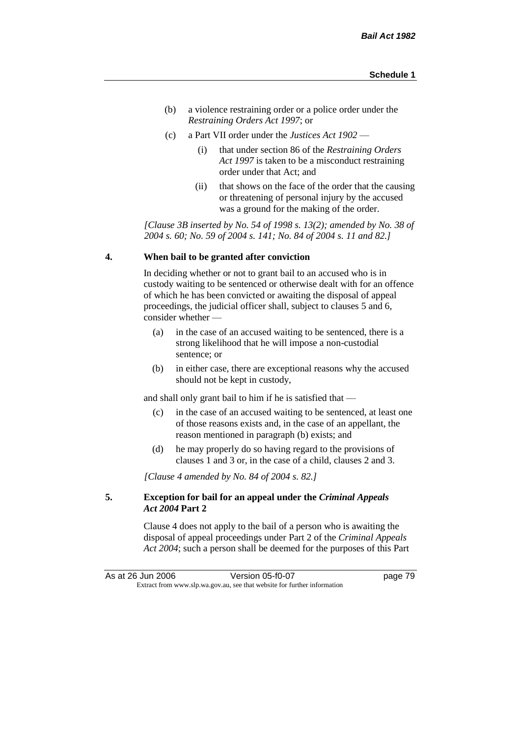- (b) a violence restraining order or a police order under the *Restraining Orders Act 1997*; or
- (c) a Part VII order under the *Justices Act 1902*
	- (i) that under section 86 of the *Restraining Orders Act 1997* is taken to be a misconduct restraining order under that Act; and
	- (ii) that shows on the face of the order that the causing or threatening of personal injury by the accused was a ground for the making of the order.

*[Clause 3B inserted by No. 54 of 1998 s. 13(2); amended by No. 38 of 2004 s. 60; No. 59 of 2004 s. 141; No. 84 of 2004 s. 11 and 82.]*

#### **4. When bail to be granted after conviction**

In deciding whether or not to grant bail to an accused who is in custody waiting to be sentenced or otherwise dealt with for an offence of which he has been convicted or awaiting the disposal of appeal proceedings, the judicial officer shall, subject to clauses 5 and 6, consider whether —

- (a) in the case of an accused waiting to be sentenced, there is a strong likelihood that he will impose a non-custodial sentence; or
- (b) in either case, there are exceptional reasons why the accused should not be kept in custody,

and shall only grant bail to him if he is satisfied that —

- (c) in the case of an accused waiting to be sentenced, at least one of those reasons exists and, in the case of an appellant, the reason mentioned in paragraph (b) exists; and
- (d) he may properly do so having regard to the provisions of clauses 1 and 3 or, in the case of a child, clauses 2 and 3.

*[Clause 4 amended by No. 84 of 2004 s. 82.]*

## **5. Exception for bail for an appeal under the** *Criminal Appeals Act 2004* **Part 2**

Clause 4 does not apply to the bail of a person who is awaiting the disposal of appeal proceedings under Part 2 of the *Criminal Appeals Act 2004*; such a person shall be deemed for the purposes of this Part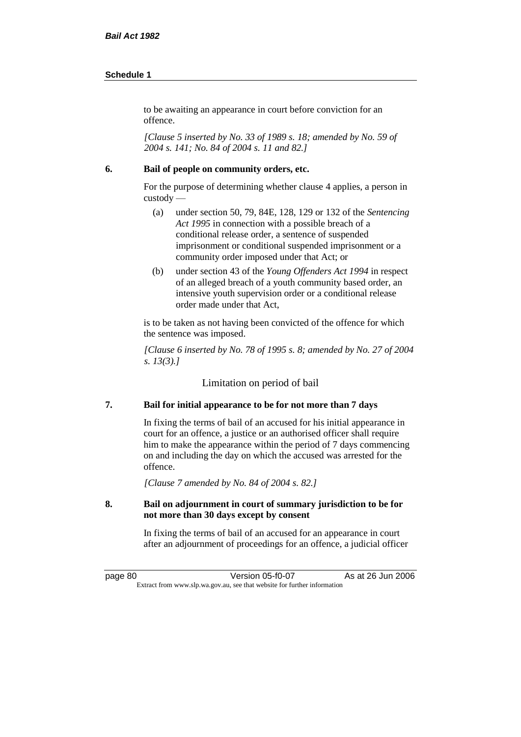to be awaiting an appearance in court before conviction for an offence.

*[Clause 5 inserted by No. 33 of 1989 s. 18; amended by No. 59 of 2004 s. 141; No. 84 of 2004 s. 11 and 82.]*

### **6. Bail of people on community orders, etc.**

For the purpose of determining whether clause 4 applies, a person in custody —

- (a) under section 50, 79, 84E, 128, 129 or 132 of the *Sentencing Act 1995* in connection with a possible breach of a conditional release order, a sentence of suspended imprisonment or conditional suspended imprisonment or a community order imposed under that Act; or
- (b) under section 43 of the *Young Offenders Act 1994* in respect of an alleged breach of a youth community based order, an intensive youth supervision order or a conditional release order made under that Act,

is to be taken as not having been convicted of the offence for which the sentence was imposed.

*[Clause 6 inserted by No. 78 of 1995 s. 8; amended by No. 27 of 2004 s. 13(3).]*

Limitation on period of bail

# **7. Bail for initial appearance to be for not more than 7 days**

In fixing the terms of bail of an accused for his initial appearance in court for an offence, a justice or an authorised officer shall require him to make the appearance within the period of 7 days commencing on and including the day on which the accused was arrested for the offence.

*[Clause 7 amended by No. 84 of 2004 s. 82.]*

### **8. Bail on adjournment in court of summary jurisdiction to be for not more than 30 days except by consent**

In fixing the terms of bail of an accused for an appearance in court after an adjournment of proceedings for an offence, a judicial officer

page 80 Version 05-f0-07 As at 26 Jun 2006 Extract from www.slp.wa.gov.au, see that website for further information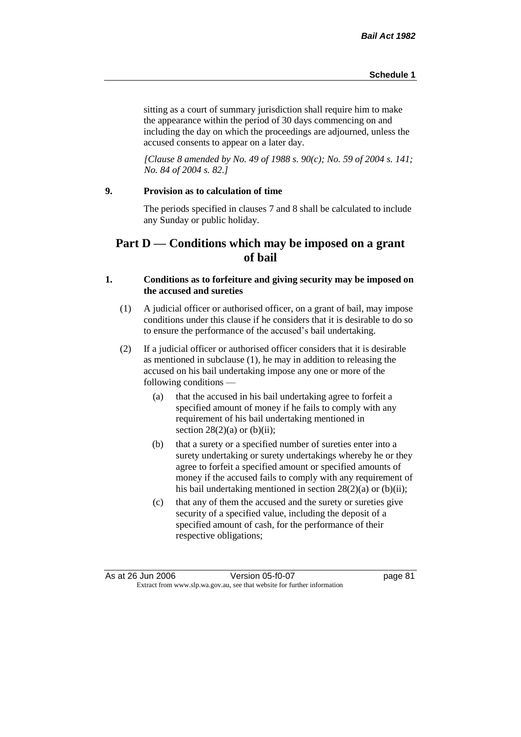sitting as a court of summary jurisdiction shall require him to make the appearance within the period of 30 days commencing on and including the day on which the proceedings are adjourned, unless the accused consents to appear on a later day.

*[Clause 8 amended by No. 49 of 1988 s. 90(c); No. 59 of 2004 s. 141; No. 84 of 2004 s. 82.]*

# **9. Provision as to calculation of time**

The periods specified in clauses 7 and 8 shall be calculated to include any Sunday or public holiday.

# **Part D — Conditions which may be imposed on a grant of bail**

## **1. Conditions as to forfeiture and giving security may be imposed on the accused and sureties**

- (1) A judicial officer or authorised officer, on a grant of bail, may impose conditions under this clause if he considers that it is desirable to do so to ensure the performance of the accused's bail undertaking.
- (2) If a judicial officer or authorised officer considers that it is desirable as mentioned in subclause (1), he may in addition to releasing the accused on his bail undertaking impose any one or more of the following conditions —
	- (a) that the accused in his bail undertaking agree to forfeit a specified amount of money if he fails to comply with any requirement of his bail undertaking mentioned in section  $28(2)(a)$  or (b)(ii);
	- (b) that a surety or a specified number of sureties enter into a surety undertaking or surety undertakings whereby he or they agree to forfeit a specified amount or specified amounts of money if the accused fails to comply with any requirement of his bail undertaking mentioned in section 28(2)(a) or (b)(ii);
	- (c) that any of them the accused and the surety or sureties give security of a specified value, including the deposit of a specified amount of cash, for the performance of their respective obligations;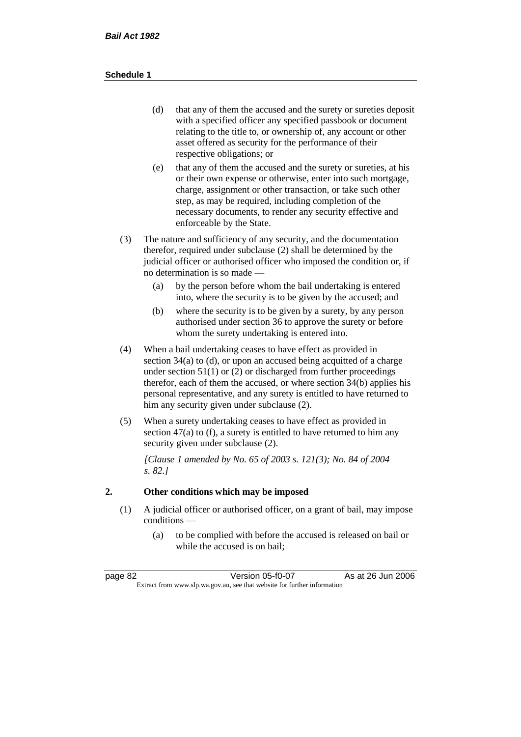- (d) that any of them the accused and the surety or sureties deposit with a specified officer any specified passbook or document relating to the title to, or ownership of, any account or other asset offered as security for the performance of their respective obligations; or
- (e) that any of them the accused and the surety or sureties, at his or their own expense or otherwise, enter into such mortgage, charge, assignment or other transaction, or take such other step, as may be required, including completion of the necessary documents, to render any security effective and enforceable by the State.
- (3) The nature and sufficiency of any security, and the documentation therefor, required under subclause (2) shall be determined by the judicial officer or authorised officer who imposed the condition or, if no determination is so made —
	- (a) by the person before whom the bail undertaking is entered into, where the security is to be given by the accused; and
	- (b) where the security is to be given by a surety, by any person authorised under section 36 to approve the surety or before whom the surety undertaking is entered into.
- (4) When a bail undertaking ceases to have effect as provided in section 34(a) to (d), or upon an accused being acquitted of a charge under section  $51(1)$  or (2) or discharged from further proceedings therefor, each of them the accused, or where section 34(b) applies his personal representative, and any surety is entitled to have returned to him any security given under subclause (2).
- (5) When a surety undertaking ceases to have effect as provided in section 47(a) to (f), a surety is entitled to have returned to him any security given under subclause  $(2)$ .

*[Clause 1 amended by No. 65 of 2003 s. 121(3); No. 84 of 2004 s. 82.]*

# **2. Other conditions which may be imposed**

- (1) A judicial officer or authorised officer, on a grant of bail, may impose conditions —
	- (a) to be complied with before the accused is released on bail or while the accused is on bail;

| page 82                                                                  | Version 05-f0-07 | As at 26 Jun 2006 |
|--------------------------------------------------------------------------|------------------|-------------------|
| Extract from www.slp.wa.gov.au, see that website for further information |                  |                   |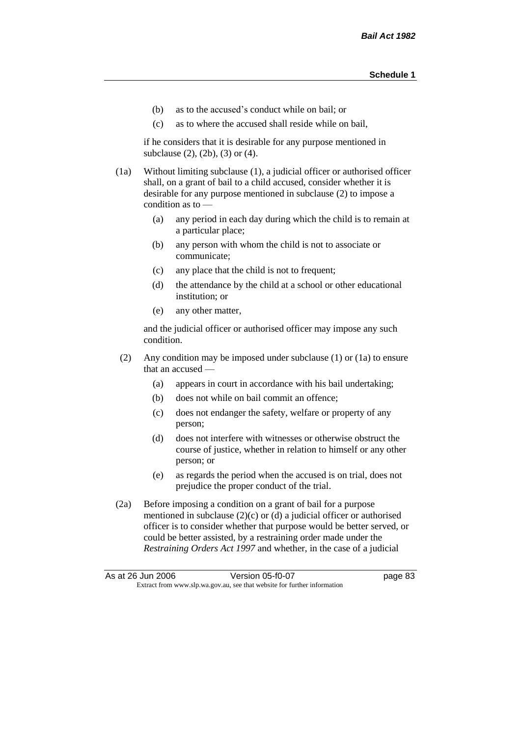- (b) as to the accused's conduct while on bail; or
- (c) as to where the accused shall reside while on bail,

if he considers that it is desirable for any purpose mentioned in subclause (2), (2b), (3) or (4).

(1a) Without limiting subclause (1), a judicial officer or authorised officer shall, on a grant of bail to a child accused, consider whether it is desirable for any purpose mentioned in subclause (2) to impose a condition as to —

- (a) any period in each day during which the child is to remain at a particular place;
- (b) any person with whom the child is not to associate or communicate;
- (c) any place that the child is not to frequent;
- (d) the attendance by the child at a school or other educational institution; or
- (e) any other matter,

and the judicial officer or authorised officer may impose any such condition.

- (2) Any condition may be imposed under subclause (1) or (1a) to ensure that an accused —
	- (a) appears in court in accordance with his bail undertaking;
	- (b) does not while on bail commit an offence;
	- (c) does not endanger the safety, welfare or property of any person;
	- (d) does not interfere with witnesses or otherwise obstruct the course of justice, whether in relation to himself or any other person; or
	- (e) as regards the period when the accused is on trial, does not prejudice the proper conduct of the trial.
- (2a) Before imposing a condition on a grant of bail for a purpose mentioned in subclause (2)(c) or (d) a judicial officer or authorised officer is to consider whether that purpose would be better served, or could be better assisted, by a restraining order made under the *Restraining Orders Act 1997* and whether, in the case of a judicial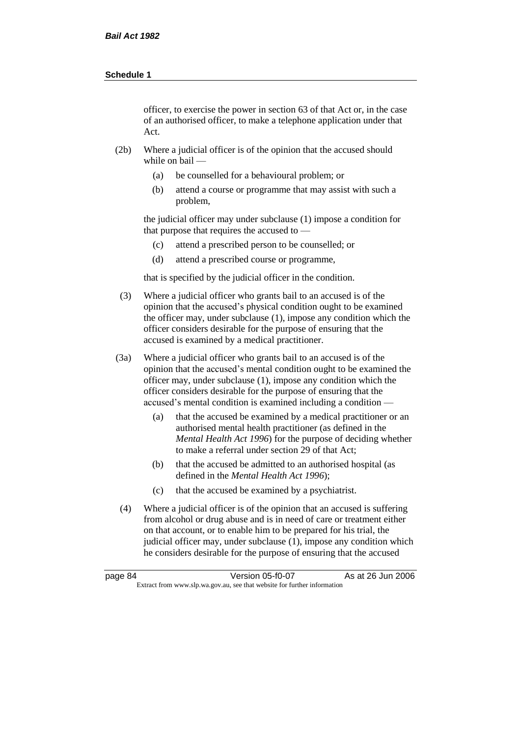officer, to exercise the power in section 63 of that Act or, in the case of an authorised officer, to make a telephone application under that Act.

- (2b) Where a judicial officer is of the opinion that the accused should while on bail —
	- (a) be counselled for a behavioural problem; or
	- (b) attend a course or programme that may assist with such a problem,

the judicial officer may under subclause (1) impose a condition for that purpose that requires the accused to —

- (c) attend a prescribed person to be counselled; or
- (d) attend a prescribed course or programme,

that is specified by the judicial officer in the condition.

- (3) Where a judicial officer who grants bail to an accused is of the opinion that the accused's physical condition ought to be examined the officer may, under subclause (1), impose any condition which the officer considers desirable for the purpose of ensuring that the accused is examined by a medical practitioner.
- (3a) Where a judicial officer who grants bail to an accused is of the opinion that the accused's mental condition ought to be examined the officer may, under subclause (1), impose any condition which the officer considers desirable for the purpose of ensuring that the accused's mental condition is examined including a condition —
	- (a) that the accused be examined by a medical practitioner or an authorised mental health practitioner (as defined in the *Mental Health Act 1996*) for the purpose of deciding whether to make a referral under section 29 of that Act;
	- (b) that the accused be admitted to an authorised hospital (as defined in the *Mental Health Act 1996*);
	- (c) that the accused be examined by a psychiatrist.
- (4) Where a judicial officer is of the opinion that an accused is suffering from alcohol or drug abuse and is in need of care or treatment either on that account, or to enable him to be prepared for his trial, the judicial officer may, under subclause (1), impose any condition which he considers desirable for the purpose of ensuring that the accused

| page 84 | Version 05-f0-07                                                         | As at 26 Jun 2006 |
|---------|--------------------------------------------------------------------------|-------------------|
|         | Extract from www.slp.wa.gov.au, see that website for further information |                   |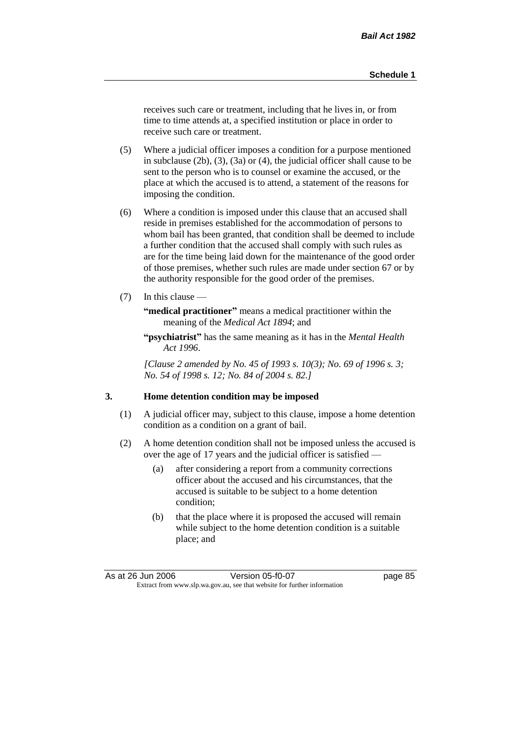receives such care or treatment, including that he lives in, or from time to time attends at, a specified institution or place in order to receive such care or treatment.

- (5) Where a judicial officer imposes a condition for a purpose mentioned in subclause (2b), (3), (3a) or (4), the judicial officer shall cause to be sent to the person who is to counsel or examine the accused, or the place at which the accused is to attend, a statement of the reasons for imposing the condition.
- (6) Where a condition is imposed under this clause that an accused shall reside in premises established for the accommodation of persons to whom bail has been granted, that condition shall be deemed to include a further condition that the accused shall comply with such rules as are for the time being laid down for the maintenance of the good order of those premises, whether such rules are made under section 67 or by the authority responsible for the good order of the premises.
- (7) In this clause —

**"medical practitioner"** means a medical practitioner within the meaning of the *Medical Act 1894*; and

**"psychiatrist"** has the same meaning as it has in the *Mental Health Act 1996*.

*[Clause 2 amended by No. 45 of 1993 s. 10(3); No. 69 of 1996 s. 3; No. 54 of 1998 s. 12; No. 84 of 2004 s. 82.]*

### **3. Home detention condition may be imposed**

- (1) A judicial officer may, subject to this clause, impose a home detention condition as a condition on a grant of bail.
- (2) A home detention condition shall not be imposed unless the accused is over the age of 17 years and the judicial officer is satisfied —
	- (a) after considering a report from a community corrections officer about the accused and his circumstances, that the accused is suitable to be subject to a home detention condition;
	- (b) that the place where it is proposed the accused will remain while subject to the home detention condition is a suitable place; and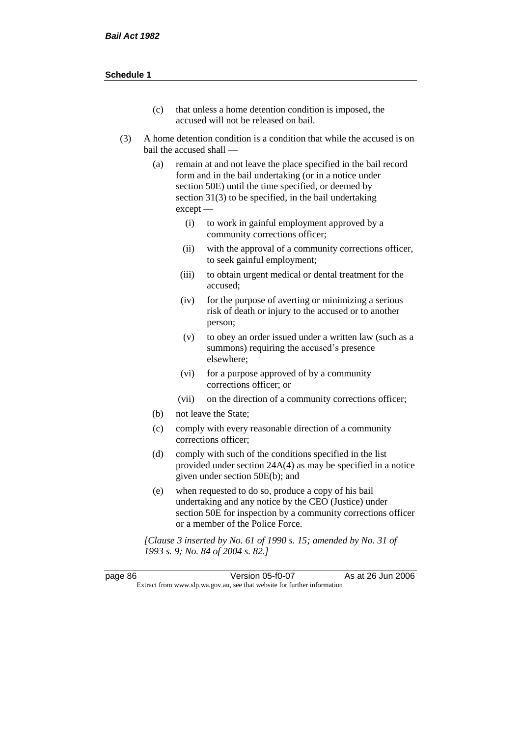- (c) that unless a home detention condition is imposed, the accused will not be released on bail.
- (3) A home detention condition is a condition that while the accused is on bail the accused shall —
	- (a) remain at and not leave the place specified in the bail record form and in the bail undertaking (or in a notice under section 50E) until the time specified, or deemed by section 31(3) to be specified, in the bail undertaking except —
		- (i) to work in gainful employment approved by a community corrections officer;
		- (ii) with the approval of a community corrections officer, to seek gainful employment;
		- (iii) to obtain urgent medical or dental treatment for the accused;
		- (iv) for the purpose of averting or minimizing a serious risk of death or injury to the accused or to another person;
		- (v) to obey an order issued under a written law (such as a summons) requiring the accused's presence elsewhere;
		- (vi) for a purpose approved of by a community corrections officer; or
		- (vii) on the direction of a community corrections officer;
	- (b) not leave the State;
	- (c) comply with every reasonable direction of a community corrections officer;
	- (d) comply with such of the conditions specified in the list provided under section 24A(4) as may be specified in a notice given under section 50E(b); and
	- (e) when requested to do so, produce a copy of his bail undertaking and any notice by the CEO (Justice) under section 50E for inspection by a community corrections officer or a member of the Police Force.

*[Clause 3 inserted by No. 61 of 1990 s. 15; amended by No. 31 of 1993 s. 9; No. 84 of 2004 s. 82.]*

page 86 Version 05-f0-07 As at 26 Jun 2006 Extract from www.slp.wa.gov.au, see that website for further information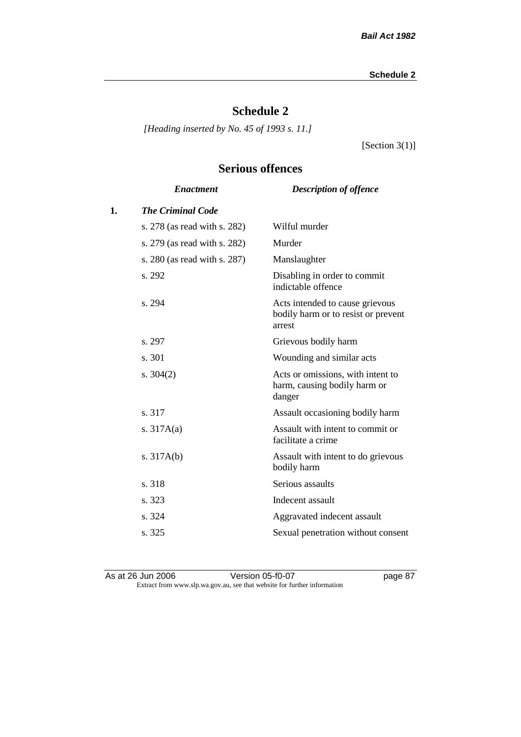# **Schedule 2**

*[Heading inserted by No. 45 of 1993 s. 11.]*

[Section 3(1)]

# **Serious offences**

|    | <b>Enactment</b>             | <b>Description of offence</b>                                                    |
|----|------------------------------|----------------------------------------------------------------------------------|
| 1. | <b>The Criminal Code</b>     |                                                                                  |
|    | s. 278 (as read with s. 282) | Wilful murder                                                                    |
|    | s. 279 (as read with s. 282) | Murder                                                                           |
|    | s. 280 (as read with s. 287) | Manslaughter                                                                     |
|    | s. 292                       | Disabling in order to commit<br>indictable offence                               |
|    | s. 294                       | Acts intended to cause grievous<br>bodily harm or to resist or prevent<br>arrest |
|    | s. 297                       | Grievous bodily harm                                                             |
|    | s. 301                       | Wounding and similar acts                                                        |
|    | s. $304(2)$                  | Acts or omissions, with intent to<br>harm, causing bodily harm or<br>danger      |
|    | s. 317                       | Assault occasioning bodily harm                                                  |
|    | s. $317A(a)$                 | Assault with intent to commit or<br>facilitate a crime                           |
|    | s. $317A(b)$                 | Assault with intent to do grievous<br>bodily harm                                |
|    | s. 318                       | Serious assaults                                                                 |
|    | s. 323                       | Indecent assault                                                                 |
|    | s. 324                       | Aggravated indecent assault                                                      |
|    | s. 325                       | Sexual penetration without consent                                               |
|    |                              |                                                                                  |

As at 26 Jun 2006 Version 05-f0-07 page 87 Extract from www.slp.wa.gov.au, see that website for further information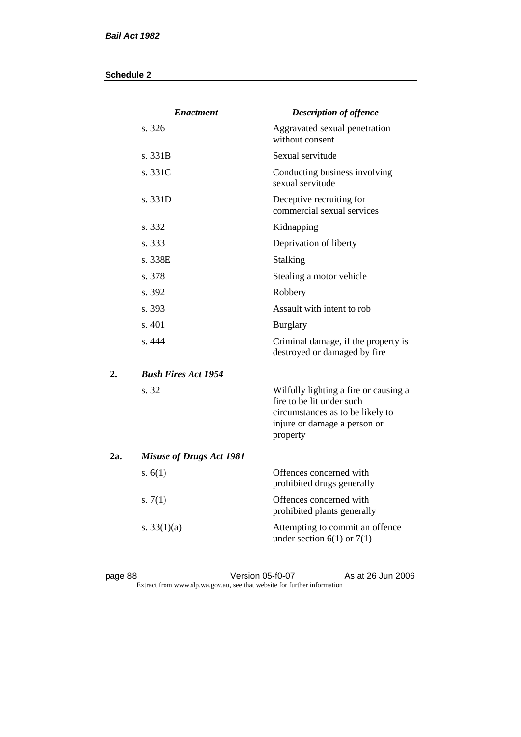|     | <b>Enactment</b>                | <b>Description of offence</b>                                                                                                                      |
|-----|---------------------------------|----------------------------------------------------------------------------------------------------------------------------------------------------|
|     | s.326                           | Aggravated sexual penetration<br>without consent                                                                                                   |
|     | s. 331B                         | Sexual servitude                                                                                                                                   |
|     | s. 331C                         | Conducting business involving<br>sexual servitude                                                                                                  |
|     | s. 331D                         | Deceptive recruiting for<br>commercial sexual services                                                                                             |
|     | s. 332                          | Kidnapping                                                                                                                                         |
|     | s. 333                          | Deprivation of liberty                                                                                                                             |
|     | s. 338E                         | <b>Stalking</b>                                                                                                                                    |
|     | s. 378                          | Stealing a motor vehicle                                                                                                                           |
|     | s. 392                          | Robbery                                                                                                                                            |
|     | s. 393                          | Assault with intent to rob                                                                                                                         |
|     | s. 401                          | <b>Burglary</b>                                                                                                                                    |
|     | s. 444                          | Criminal damage, if the property is<br>destroyed or damaged by fire                                                                                |
| 2.  | <b>Bush Fires Act 1954</b>      |                                                                                                                                                    |
|     | s. 32                           | Wilfully lighting a fire or causing a<br>fire to be lit under such<br>circumstances as to be likely to<br>injure or damage a person or<br>property |
| 2a. | <b>Misuse of Drugs Act 1981</b> |                                                                                                                                                    |
|     | s. $6(1)$                       | Offences concerned with<br>prohibited drugs generally                                                                                              |
|     | s. $7(1)$                       | Offences concerned with<br>prohibited plants generally                                                                                             |
|     | s. $33(1)(a)$                   | Attempting to commit an offence<br>under section $6(1)$ or $7(1)$                                                                                  |

page 88 Version 05-f0-07 As at 26 Jun 2006 Extract from www.slp.wa.gov.au, see that website for further information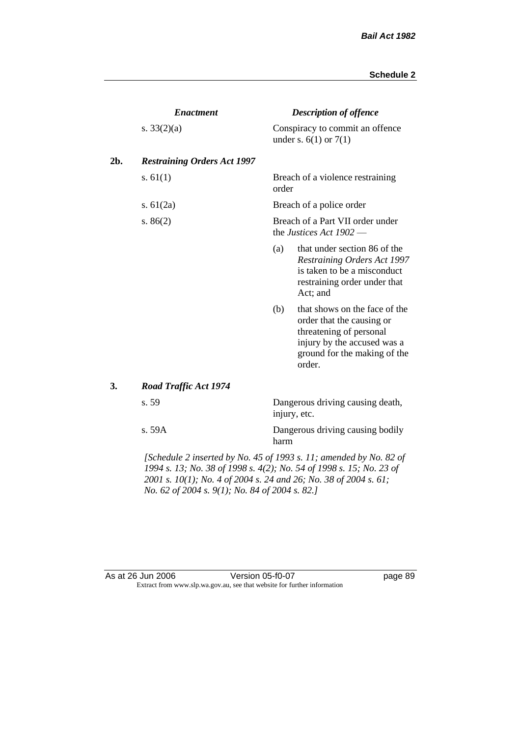|     | <b>Enactment</b>                                                                |                                                             | <b>Description of offence</b>                                                                                                                                  |  |  |
|-----|---------------------------------------------------------------------------------|-------------------------------------------------------------|----------------------------------------------------------------------------------------------------------------------------------------------------------------|--|--|
|     | s. $33(2)(a)$                                                                   |                                                             | Conspiracy to commit an offence<br>under s. $6(1)$ or $7(1)$                                                                                                   |  |  |
| 2b. | <b>Restraining Orders Act 1997</b>                                              |                                                             |                                                                                                                                                                |  |  |
|     | s. $61(1)$                                                                      | order                                                       | Breach of a violence restraining                                                                                                                               |  |  |
|     | s. $61(2a)$                                                                     | Breach of a police order                                    |                                                                                                                                                                |  |  |
|     | s. $86(2)$                                                                      | Breach of a Part VII order under<br>the Justices Act 1902 - |                                                                                                                                                                |  |  |
|     |                                                                                 | (a)                                                         | that under section 86 of the<br><b>Restraining Orders Act 1997</b><br>is taken to be a misconduct<br>restraining order under that<br>Act; and                  |  |  |
|     |                                                                                 | (b)                                                         | that shows on the face of the<br>order that the causing or<br>threatening of personal<br>injury by the accused was a<br>ground for the making of the<br>order. |  |  |
| 3.  | <b>Road Traffic Act 1974</b>                                                    |                                                             |                                                                                                                                                                |  |  |
|     | s. 59                                                                           |                                                             | Dangerous driving causing death,<br>injury, etc.                                                                                                               |  |  |
|     | s. 59A                                                                          | harm                                                        | Dangerous driving causing bodily                                                                                                                               |  |  |
|     | $\mathcal{L}$ Cahadula 2 inserted by No. 45 of 1002 s. 11; smanded by No. 82 of |                                                             |                                                                                                                                                                |  |  |

*[Schedule 2 inserted by No. 45 of 1993 s. 11; amended by No. 82 of 1994 s. 13; No. 38 of 1998 s. 4(2); No. 54 of 1998 s. 15; No. 23 of 2001 s. 10(1); No. 4 of 2004 s. 24 and 26; No. 38 of 2004 s. 61; No. 62 of 2004 s. 9(1); No. 84 of 2004 s. 82.]* 

#### As at 26 Jun 2006 Version 05-f0-07 Page 89 Extract from www.slp.wa.gov.au, see that website for further information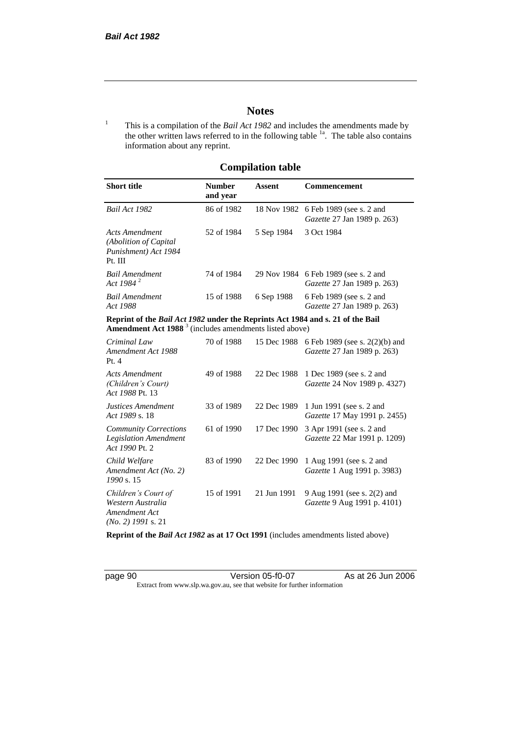# **Notes**

<sup>1</sup> This is a compilation of the *Bail Act 1982* and includes the amendments made by the other written laws referred to in the following table  $1a$ . The table also contains information about any reprint.

# **Compilation table**

| <b>Short title</b>                                                          | <b>Number</b><br>and year | Assent     | <b>Commencement</b>                                                        |
|-----------------------------------------------------------------------------|---------------------------|------------|----------------------------------------------------------------------------|
| Bail Act 1982                                                               | 86 of 1982                |            | 18 Nov 1982 6 Feb 1989 (see s. 2 and<br><i>Gazette</i> 27 Jan 1989 p. 263) |
| Acts Amendment<br>(Abolition of Capital)<br>Punishment) Act 1984<br>Pt. III | 52 of 1984                | 5 Sep 1984 | 3 Oct 1984                                                                 |
| <b>Bail Amendment</b><br>Act 1984 <sup>2</sup>                              | 74 of 1984                |            | 29 Nov 1984 6 Feb 1989 (see s. 2 and<br><i>Gazette</i> 27 Jan 1989 p. 263) |
| <b>Bail Amendment</b><br>Act 1988                                           | 15 of 1988                | 6 Sep 1988 | 6 Feb 1989 (see s. 2 and<br><i>Gazette</i> 27 Jan 1989 p. 263)             |

**Reprint of the** *Bail Act 1982* **under the Reprints Act 1984 and s. 21 of the Bail Amendment Act 1988** <sup>3</sup> (includes amendments listed above)

| Criminal Law<br>Amendment Act 1988<br>Pt. 4                                       | 70 of 1988 | 15 Dec 1988 | 6 Feb 1989 (see s. 2(2)(b) and<br><i>Gazette</i> 27 Jan 1989 p. 263) |
|-----------------------------------------------------------------------------------|------------|-------------|----------------------------------------------------------------------|
| Acts Amendment<br>(Children's Court)<br>Act 1988 Pt. 13                           | 49 of 1988 | 22 Dec 1988 | 1 Dec 1989 (see s. 2 and<br><i>Gazette</i> 24 Nov 1989 p. 4327)      |
| Justices Amendment<br>Act 1989 s. 18                                              | 33 of 1989 | 22 Dec 1989 | 1 Jun 1991 (see s. 2 and<br><i>Gazette</i> 17 May 1991 p. 2455)      |
| <b>Community Corrections</b><br><b>Legislation Amendment</b><br>Act 1990 Pt. 2    | 61 of 1990 | 17 Dec 1990 | 3 Apr 1991 (see s. 2 and<br><i>Gazette</i> 22 Mar 1991 p. 1209)      |
| Child Welfare<br>Amendment Act (No. 2)<br>1990 s. 15                              | 83 of 1990 | 22 Dec 1990 | 1 Aug 1991 (see s. 2 and<br><i>Gazette</i> 1 Aug 1991 p. 3983)       |
| Children's Court of<br>Western Australia<br>Amendment Act<br>$(No. 2)$ 1991 s. 21 | 15 of 1991 | 21 Jun 1991 | 9 Aug 1991 (see s. 2(2) and<br><i>Gazette</i> 9 Aug 1991 p. 4101)    |

**Reprint of the** *Bail Act 1982* **as at 17 Oct 1991** (includes amendments listed above)

page 90 Version 05-f0-07 As at 26 Jun 2006 Extract from www.slp.wa.gov.au, see that website for further information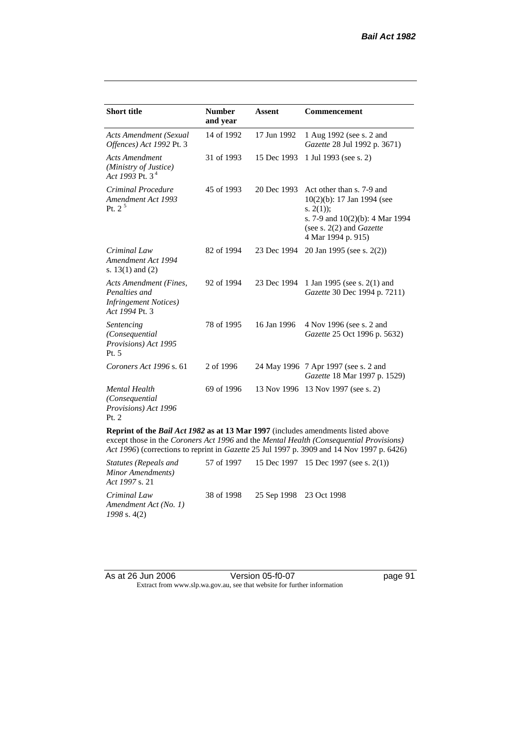| <b>Short title</b>                                                                         | <b>Number</b><br>and year | <b>Assent</b> | <b>Commencement</b>                                                                                                                                                     |
|--------------------------------------------------------------------------------------------|---------------------------|---------------|-------------------------------------------------------------------------------------------------------------------------------------------------------------------------|
| <b>Acts Amendment (Sexual</b><br>Offences) Act 1992 Pt. 3                                  | 14 of 1992                | 17 Jun 1992   | 1 Aug 1992 (see s. 2 and<br>Gazette 28 Jul 1992 p. 3671)                                                                                                                |
| <b>Acts Amendment</b><br>(Ministry of Justice)<br>Act 1993 Pt. $3^4$                       | 31 of 1993                | 15 Dec 1993   | 1 Jul 1993 (see s. 2)                                                                                                                                                   |
| Criminal Procedure<br>Amendment Act 1993<br>Pt. 2 <sup>5</sup>                             | 45 of 1993                | 20 Dec 1993   | Act other than s. 7-9 and<br>$10(2)(b)$ : 17 Jan 1994 (see<br>s. $2(1)$ ;<br>s. 7-9 and 10(2)(b): 4 Mar 1994<br>(see s. $2(2)$ and <i>Gazette</i><br>4 Mar 1994 p. 915) |
| Criminal Law<br>Amendment Act 1994<br>s. $13(1)$ and $(2)$                                 | 82 of 1994                | 23 Dec 1994   | 20 Jan 1995 (see s. 2(2))                                                                                                                                               |
| Acts Amendment (Fines,<br>Penalties and<br><b>Infringement Notices</b> )<br>Act 1994 Pt. 3 | 92 of 1994                | 23 Dec 1994   | 1 Jan 1995 (see s. 2(1) and<br>Gazette 30 Dec 1994 p. 7211)                                                                                                             |
| Sentencing<br>(Consequential<br>Provisions) Act 1995<br>Pt. 5                              | 78 of 1995                | 16 Jan 1996   | 4 Nov 1996 (see s. 2 and<br><i>Gazette</i> 25 Oct 1996 p. 5632)                                                                                                         |
| Coroners Act 1996 s. 61                                                                    | 2 of 1996                 |               | 24 May 1996 7 Apr 1997 (see s. 2 and<br>Gazette 18 Mar 1997 p. 1529)                                                                                                    |
| <b>Mental Health</b><br>(Consequential<br>Provisions) Act 1996<br>Pt. 2                    | 69 of 1996                |               | 13 Nov 1996 13 Nov 1997 (see s. 2)                                                                                                                                      |
| Reprint of the Bail Act 1982 as at 13 Mar 1997 (includes amendments listed above           |                           |               | except those in the Coroners Act 1996 and the Mental Health (Consequential Provisions)                                                                                  |

*Act 1996*) (corrections to reprint in *Gazette* 25 Jul 1997 p. 3909 and 14 Nov 1997 p. 6426)

| <i>Statutes (Repeals and</i><br>Minor Amendments)<br><i>Act 1997 s.</i> 21 |                                    | 57 of 1997 15 Dec 1997 15 Dec 1997 (see s. 2(1)) |
|----------------------------------------------------------------------------|------------------------------------|--------------------------------------------------|
| Criminal Law<br>Amendment Act (No. 1)<br>$1998$ s. 4(2)                    | 38 of 1998 25 Sep 1998 23 Oct 1998 |                                                  |

| As at 26 Jun 2006 | Version 05-f0-07                                                         |
|-------------------|--------------------------------------------------------------------------|
|                   | Extract from www.slp.wa.gov.au, see that website for further information |

page 91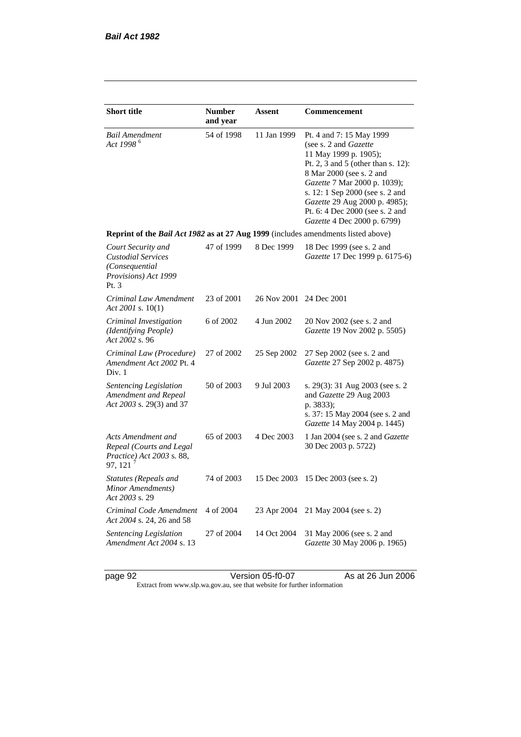| <b>Short title</b>                                                                                 | <b>Number</b><br>and year | Assent                  | Commencement                                                                                                                                                                                                                                                                                                       |  |  |
|----------------------------------------------------------------------------------------------------|---------------------------|-------------------------|--------------------------------------------------------------------------------------------------------------------------------------------------------------------------------------------------------------------------------------------------------------------------------------------------------------------|--|--|
| <b>Bail Amendment</b><br>Act 1998 <sup>6</sup>                                                     | 54 of 1998                | 11 Jan 1999             | Pt. 4 and 7: 15 May 1999<br>(see s. 2 and Gazette<br>11 May 1999 p. 1905);<br>Pt. 2, 3 and 5 (other than s. 12):<br>8 Mar 2000 (see s. 2 and<br>Gazette 7 Mar 2000 p. 1039);<br>s. 12: 1 Sep 2000 (see s. 2 and<br>Gazette 29 Aug 2000 p. 4985);<br>Pt. 6: 4 Dec 2000 (see s. 2 and<br>Gazette 4 Dec 2000 p. 6799) |  |  |
| Reprint of the <i>Bail Act 1982</i> as at 27 Aug 1999 (includes amendments listed above)           |                           |                         |                                                                                                                                                                                                                                                                                                                    |  |  |
| Court Security and<br><b>Custodial Services</b><br>(Consequential<br>Provisions) Act 1999<br>Pt. 3 | 47 of 1999                | 8 Dec 1999              | 18 Dec 1999 (see s. 2 and<br>Gazette 17 Dec 1999 p. 6175-6)                                                                                                                                                                                                                                                        |  |  |
| Criminal Law Amendment<br>Act 2001 s. 10(1)                                                        | 23 of 2001                | 26 Nov 2001 24 Dec 2001 |                                                                                                                                                                                                                                                                                                                    |  |  |
| Criminal Investigation<br>(Identifying People)<br>Act 2002 s. 96                                   | 6 of 2002                 | 4 Jun 2002              | 20 Nov 2002 (see s. 2 and<br>Gazette 19 Nov 2002 p. 5505)                                                                                                                                                                                                                                                          |  |  |
| Criminal Law (Procedure)<br>Amendment Act 2002 Pt. 4<br>Div. 1                                     | 27 of 2002                | 25 Sep 2002             | 27 Sep 2002 (see s. 2 and<br>Gazette 27 Sep 2002 p. 4875)                                                                                                                                                                                                                                                          |  |  |
| Sentencing Legislation<br>Amendment and Repeal<br>Act 2003 s. 29(3) and 37                         | 50 of 2003                | 9 Jul 2003              | s. 29(3): 31 Aug 2003 (see s. 2<br>and Gazette 29 Aug 2003<br>p. 3833);<br>s. 37: 15 May 2004 (see s. 2 and<br>Gazette 14 May 2004 p. 1445)                                                                                                                                                                        |  |  |
| Acts Amendment and<br>Repeal (Courts and Legal<br>Practice) Act 2003 s. 88,<br>97, 121 $^7$        | 65 of 2003                | 4 Dec 2003              | 1 Jan 2004 (see s. 2 and Gazette<br>30 Dec 2003 p. 5722)                                                                                                                                                                                                                                                           |  |  |
| <b>Statutes (Repeals and</b><br>Minor Amendments)<br>Act 2003 s. 29                                | 74 of 2003                | 15 Dec 2003             | 15 Dec 2003 (see s. 2)                                                                                                                                                                                                                                                                                             |  |  |
| Criminal Code Amendment<br>Act 2004 s. 24, 26 and 58                                               | 4 of 2004                 | 23 Apr 2004             | 21 May 2004 (see s. 2)                                                                                                                                                                                                                                                                                             |  |  |
| Sentencing Legislation<br>Amendment Act 2004 s. 13                                                 | 27 of 2004                | 14 Oct 2004             | 31 May 2006 (see s. 2 and<br>Gazette 30 May 2006 p. 1965)                                                                                                                                                                                                                                                          |  |  |

page 92 Version 05-f0-07 As at 26 Jun 2006 Extract from www.slp.wa.gov.au, see that website for further information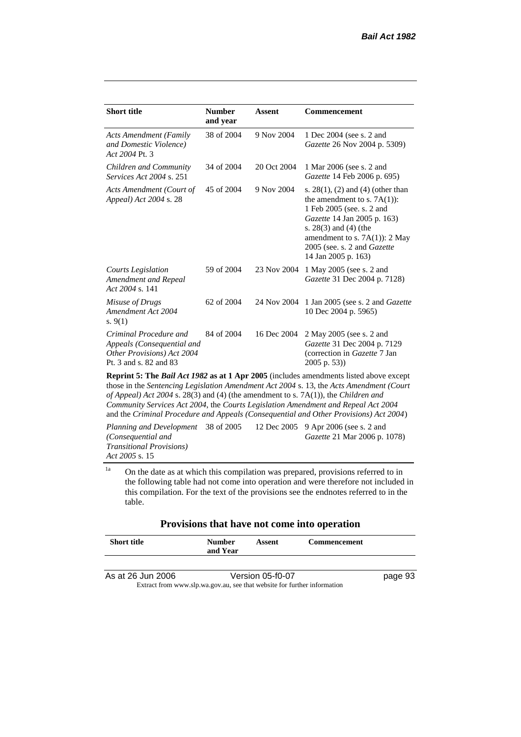| <b>Short title</b>                                                                                           | <b>Number</b><br>and year | <b>Assent</b> | <b>Commencement</b>                                                                                                                                                                                                                                            |  |  |  |
|--------------------------------------------------------------------------------------------------------------|---------------------------|---------------|----------------------------------------------------------------------------------------------------------------------------------------------------------------------------------------------------------------------------------------------------------------|--|--|--|
| <b>Acts Amendment (Family</b><br>and Domestic Violence)<br>Act 2004 Pt. 3                                    | 38 of 2004                | 9 Nov 2004    | 1 Dec 2004 (see s. 2 and<br>Gazette 26 Nov 2004 p. 5309)                                                                                                                                                                                                       |  |  |  |
| Children and Community<br><i>Services Act 2004 s. 251</i>                                                    | 34 of 2004                | 20 Oct 2004   | 1 Mar 2006 (see s. 2 and<br>Gazette 14 Feb 2006 p. 695)                                                                                                                                                                                                        |  |  |  |
| Acts Amendment (Court of<br>Appeal) Act 2004 s. 28                                                           | 45 of 2004                | 9 Nov 2004    | s. $28(1)$ , (2) and (4) (other than<br>the amendment to s. $7A(1)$ :<br>1 Feb 2005 (see. s. 2 and<br><i>Gazette</i> 14 Jan 2005 p. 163)<br>s. $28(3)$ and $(4)$ (the<br>amendment to s. $7A(1)$ : 2 May<br>2005 (see. s. 2 and Gazette<br>14 Jan 2005 p. 163) |  |  |  |
| <b>Courts Legislation</b><br>Amendment and Repeal<br>Act 2004 s. 141                                         | 59 of 2004                | 23 Nov 2004   | 1 May 2005 (see s. 2 and<br>Gazette 31 Dec 2004 p. 7128)                                                                                                                                                                                                       |  |  |  |
| Misuse of Drugs<br>Amendment Act 2004<br>s. $9(1)$                                                           | 62 of 2004                | 24 Nov 2004   | 1 Jan 2005 (see s. 2 and <i>Gazette</i><br>10 Dec 2004 p. 5965)                                                                                                                                                                                                |  |  |  |
| Criminal Procedure and<br>Appeals (Consequential and<br>Other Provisions) Act 2004<br>Pt. 3 and s. 82 and 83 | 84 of 2004                | 16 Dec 2004   | 2 May 2005 (see s. 2 and<br>Gazette 31 Dec 2004 p. 7129<br>(correction in Gazette 7 Jan<br>$2005$ p. 53))                                                                                                                                                      |  |  |  |
| <b>Reprint 5: The Bail Act 1982 as at 1 Apr 2005</b> (includes amendments listed above except                |                           |               |                                                                                                                                                                                                                                                                |  |  |  |

those in the *Sentencing Legislation Amendment Act 2004* s. 13, the *Acts Amendment (Court of Appeal) Act 2004* s. 28(3) and (4) (the amendment to s. 7A(1)), the *Children and Community Services Act 2004*, the *Courts Legislation Amendment and Repeal Act 2004* and the *Criminal Procedure and Appeals (Consequential and Other Provisions) Act 2004*)

*Planning and Development (Consequential and Transitional Provisions) Act 2005* s. 15 12 Dec 2005 9 Apr 2006 (see s. 2 and *Gazette* 21 Mar 2006 p. 1078)

 $1a$  On the date as at which this compilation was prepared, provisions referred to in the following table had not come into operation and were therefore not included in this compilation. For the text of the provisions see the endnotes referred to in the table.

| Provisions that have not come into operation |  |  |  |  |  |  |
|----------------------------------------------|--|--|--|--|--|--|
|----------------------------------------------|--|--|--|--|--|--|

| <b>Short title</b>                                                       | <b>Number</b><br>and Year | Assent           | <b>Commencement</b> |         |
|--------------------------------------------------------------------------|---------------------------|------------------|---------------------|---------|
|                                                                          |                           |                  |                     |         |
| As at 26 Jun 2006                                                        |                           | Version 05-f0-07 |                     | page 93 |
| Extract from www.slp.wa.gov.au, see that website for further information |                           |                  |                     |         |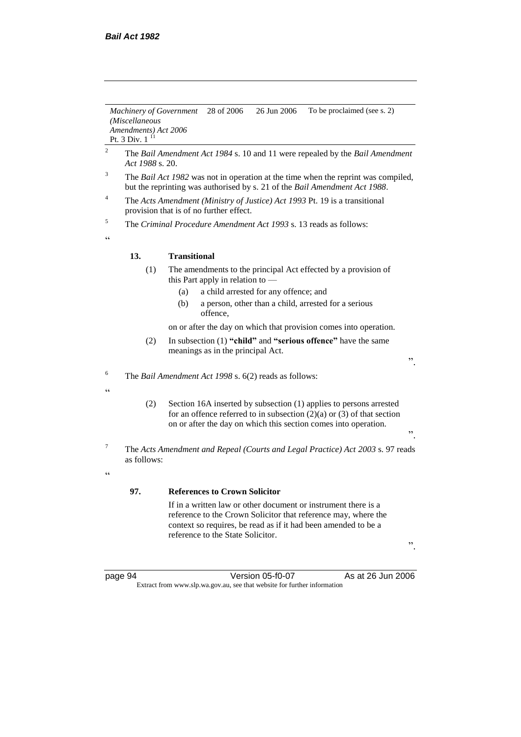*Machinery of Government (Miscellaneous Amendments) Act 2006* Pt. 3 Div.  $1<sup>11</sup>$ 28 of 2006 26 Jun 2006 To be proclaimed (see s. 2)

- <sup>2</sup> The *Bail Amendment Act 1984* s. 10 and 11 were repealed by the *Bail Amendment Act 1988* s. 20.
- <sup>3</sup> The *Bail Act 1982* was not in operation at the time when the reprint was compiled, but the reprinting was authorised by s. 21 of the *Bail Amendment Act 1988*.
- <sup>4</sup> The *Acts Amendment (Ministry of Justice) Act 1993* Pt. 19 is a transitional provision that is of no further effect.

<sup>5</sup> The *Criminal Procedure Amendment Act 1993* s. 13 reads as follows:

 $\epsilon$ 

 $\epsilon$ 

 $\epsilon$ 

#### **13. Transitional**

- (1) The amendments to the principal Act effected by a provision of this Part apply in relation to —
	- (a) a child arrested for any offence; and
	- (b) a person, other than a child, arrested for a serious offence,

on or after the day on which that provision comes into operation.

(2) In subsection (1) **"child"** and **"serious offence"** have the same meanings as in the principal Act.

<sup>6</sup> The *Bail Amendment Act 1998* s. 6(2) reads as follows:

- (2) Section 16A inserted by subsection (1) applies to persons arrested for an offence referred to in subsection  $(2)(a)$  or  $(3)$  of that section on or after the day on which this section comes into operation.
- <sup>7</sup> The *Acts Amendment and Repeal (Courts and Legal Practice) Act 2003* s. 97 reads as follows:
	- **97. References to Crown Solicitor**

If in a written law or other document or instrument there is a reference to the Crown Solicitor that reference may, where the context so requires, be read as if it had been amended to be a reference to the State Solicitor.

".

".

".

page 94 Version 05-f0-07 As at 26 Jun 2006 Extract from www.slp.wa.gov.au, see that website for further information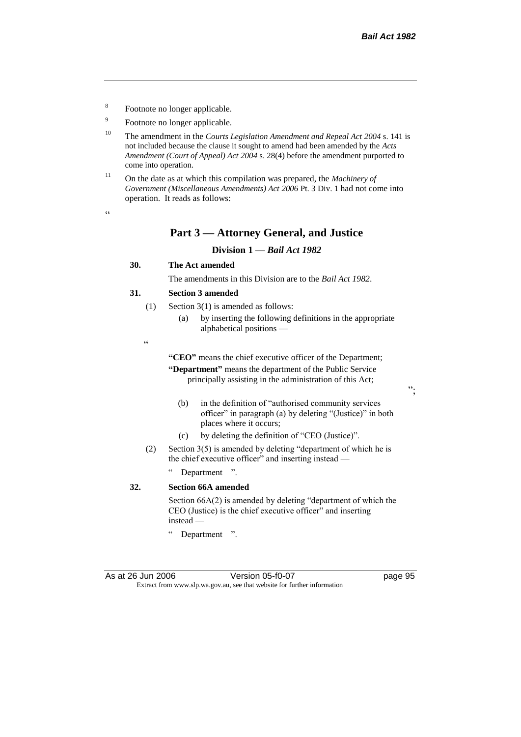- 8 Footnote no longer applicable.
- 9 Footnote no longer applicable.
- <sup>10</sup> The amendment in the *Courts Legislation Amendment and Repeal Act 2004* s. 141 is not included because the clause it sought to amend had been amended by the *Acts Amendment (Court of Appeal) Act 2004* s. 28(4) before the amendment purported to come into operation.
- <sup>11</sup> On the date as at which this compilation was prepared, the *Machinery of Government (Miscellaneous Amendments) Act 2006* Pt. 3 Div. 1 had not come into operation. It reads as follows:

### **Part 3 — Attorney General, and Justice**

#### **Division 1 —** *Bail Act 1982*

### **30. The Act amended**

The amendments in this Division are to the *Bail Act 1982*.

#### **31. Section 3 amended**

- (1) Section 3(1) is amended as follows:
	- (a) by inserting the following definitions in the appropriate alphabetical positions —
- $\epsilon$

**"CEO"** means the chief executive officer of the Department; **"Department"** means the department of the Public Service principally assisting in the administration of this Act;

- (b) in the definition of "authorised community services officer" in paragraph (a) by deleting "(Justice)" in both places where it occurs;
- (c) by deleting the definition of "CEO (Justice)".
- (2) Section 3(5) is amended by deleting "department of which he is the chief executive officer" and inserting instead —
	- Department ".

#### **32. Section 66A amended**

Section 66A(2) is amended by deleting "department of which the CEO (Justice) is the chief executive officer" and inserting instead —

" Department ".

";

 $\epsilon$